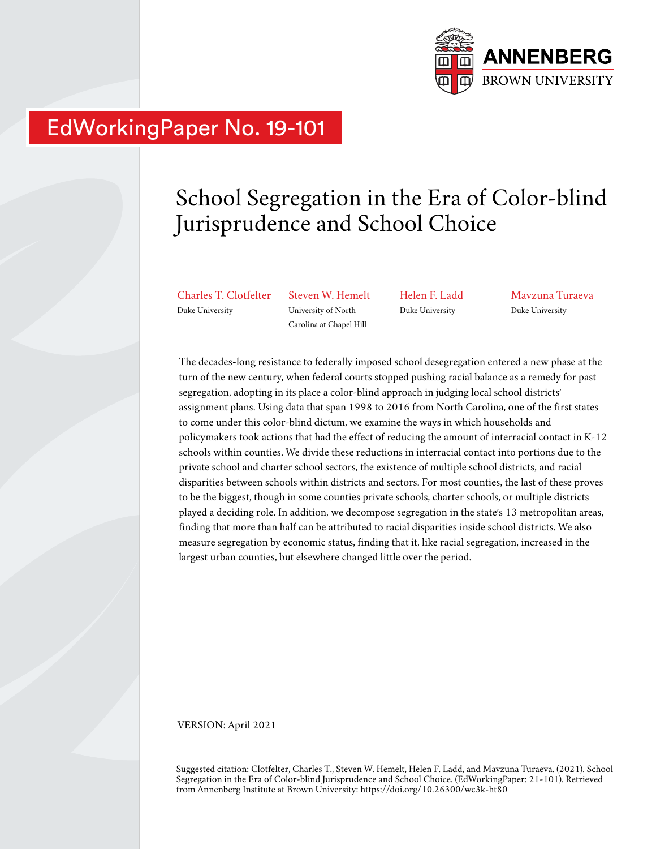

## EdWorkingPaper No. 19-101

# School Segregation in the Era of Color-blind Jurisprudence and School Choice

Charles T. Clotfelter Duke University

Steven W. Hemelt University of North Carolina at Chapel Hill

Helen F. Ladd Duke University

Mavzuna Turaeva Duke University

The decades-long resistance to federally imposed school desegregation entered a new phase at the turn of the new century, when federal courts stopped pushing racial balance as a remedy for past segregation, adopting in its place a color-blind approach in judging local school districts' assignment plans. Using data that span 1998 to 2016 from North Carolina, one of the first states to come under this color-blind dictum, we examine the ways in which households and policymakers took actions that had the effect of reducing the amount of interracial contact in K-12 schools within counties. We divide these reductions in interracial contact into portions due to the private school and charter school sectors, the existence of multiple school districts, and racial disparities between schools within districts and sectors. For most counties, the last of these proves to be the biggest, though in some counties private schools, charter schools, or multiple districts played a deciding role. In addition, we decompose segregation in the state's 13 metropolitan areas, finding that more than half can be attributed to racial disparities inside school districts. We also measure segregation by economic status, finding that it, like racial segregation, increased in the largest urban counties, but elsewhere changed little over the period.

VERSION: April 2021

Suggested citation: Clotfelter, Charles T., Steven W. Hemelt, Helen F. Ladd, and Mavzuna Turaeva. (2021). School Segregation in the Era of Color-blind Jurisprudence and School Choice. (EdWorkingPaper: 21-101). Retrieved from Annenberg Institute at Brown University: https://doi.org/10.26300/wc3k-ht80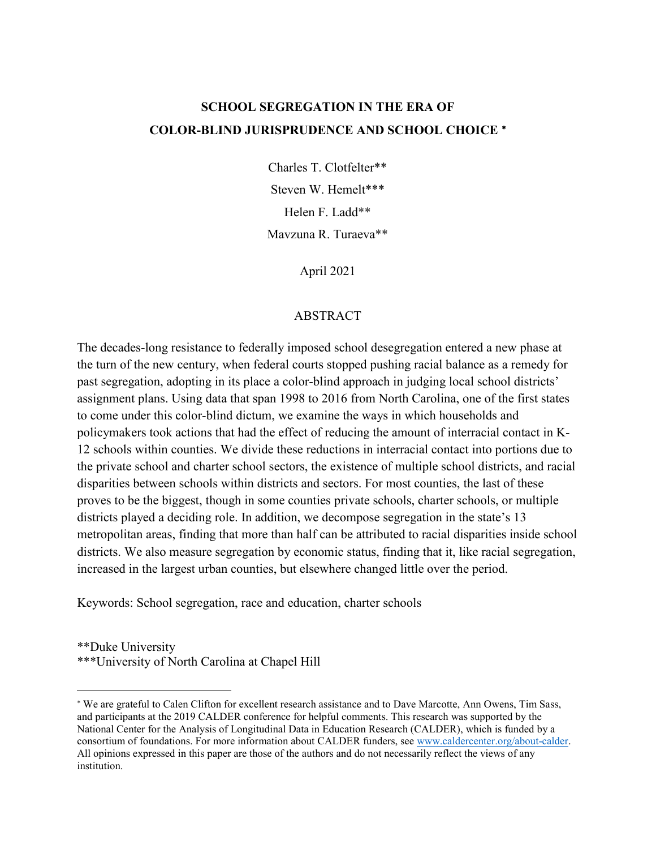### **SCHOOL SEGREGATION IN THE ERA OF COLOR-BLIND JURISPRUDENCE AND SCHOOL CHOICE** [∗](#page-1-0)

Charles T. Clotfelter\*\* Steven W. Hemelt\*\*\* Helen F. Ladd\*\* Mavzuna R. Turaeva\*\*

April 2021

#### ABSTRACT

The decades-long resistance to federally imposed school desegregation entered a new phase at the turn of the new century, when federal courts stopped pushing racial balance as a remedy for past segregation, adopting in its place a color-blind approach in judging local school districts' assignment plans. Using data that span 1998 to 2016 from North Carolina, one of the first states to come under this color-blind dictum, we examine the ways in which households and policymakers took actions that had the effect of reducing the amount of interracial contact in K-12 schools within counties. We divide these reductions in interracial contact into portions due to the private school and charter school sectors, the existence of multiple school districts, and racial disparities between schools within districts and sectors. For most counties, the last of these proves to be the biggest, though in some counties private schools, charter schools, or multiple districts played a deciding role. In addition, we decompose segregation in the state's 13 metropolitan areas, finding that more than half can be attributed to racial disparities inside school districts. We also measure segregation by economic status, finding that it, like racial segregation, increased in the largest urban counties, but elsewhere changed little over the period.

Keywords: School segregation, race and education, charter schools

\*\*Duke University \*\*\*University of North Carolina at Chapel Hill

<span id="page-1-0"></span><sup>∗</sup> We are grateful to Calen Clifton for excellent research assistance and to Dave Marcotte, Ann Owens, Tim Sass, and participants at the 2019 CALDER conference for helpful comments. This research was supported by the National Center for the Analysis of Longitudinal Data in Education Research (CALDER), which is funded by a consortium of foundations. For more information about CALDER funders, see [www.caldercenter.org/about-calder.](http://www.caldercenter.org/about-calder) All opinions expressed in this paper are those of the authors and do not necessarily reflect the views of any institution.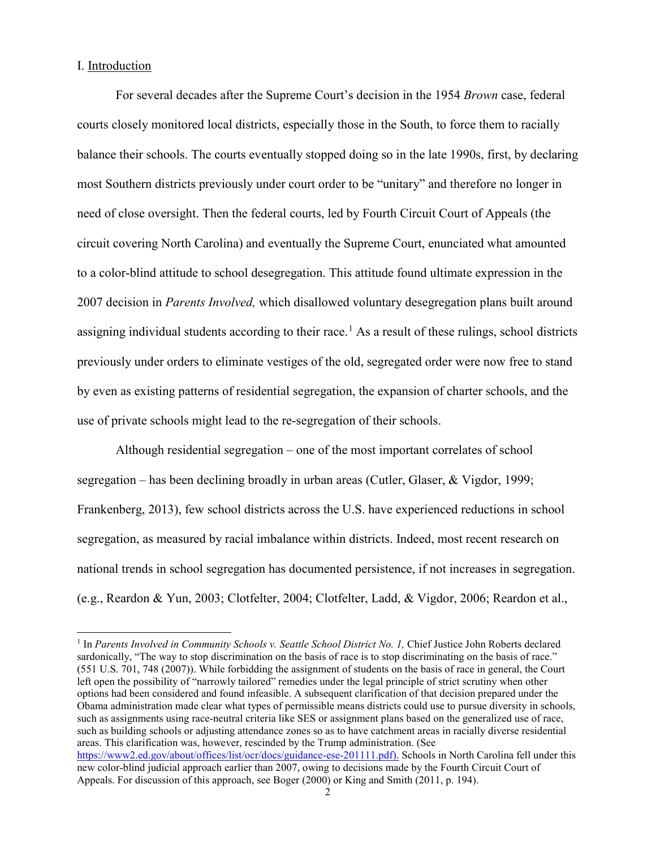#### I. Introduction

 $\overline{a}$ 

For several decades after the Supreme Court's decision in the 1954 *Brown* case, federal courts closely monitored local districts, especially those in the South, to force them to racially balance their schools. The courts eventually stopped doing so in the late 1990s, first, by declaring most Southern districts previously under court order to be "unitary" and therefore no longer in need of close oversight. Then the federal courts, led by Fourth Circuit Court of Appeals (the circuit covering North Carolina) and eventually the Supreme Court, enunciated what amounted to a color-blind attitude to school desegregation. This attitude found ultimate expression in the 2007 decision in *Parents Involved,* which disallowed voluntary desegregation plans built around assigning individual students according to their race.<sup>[1](#page-2-0)</sup> As a result of these rulings, school districts previously under orders to eliminate vestiges of the old, segregated order were now free to stand by even as existing patterns of residential segregation, the expansion of charter schools, and the use of private schools might lead to the re-segregation of their schools.

Although residential segregation – one of the most important correlates of school segregation – has been declining broadly in urban areas (Cutler, Glaser, & Vigdor, 1999; Frankenberg, 2013), few school districts across the U.S. have experienced reductions in school segregation, as measured by racial imbalance within districts. Indeed, most recent research on national trends in school segregation has documented persistence, if not increases in segregation. (e.g., Reardon & Yun, 2003; Clotfelter, 2004; Clotfelter, Ladd, & Vigdor, 2006; Reardon et al.,

<span id="page-2-0"></span><sup>&</sup>lt;sup>1</sup> In Parents Involved in Community Schools v. Seattle School District No. 1, Chief Justice John Roberts declared sardonically, "The way to stop discrimination on the basis of race is to stop discriminating on the basis of race." (551 U.S. 701, 748 (2007)). While forbidding the assignment of students on the basis of race in general, the Court left open the possibility of "narrowly tailored" remedies under the legal principle of strict scrutiny when other options had been considered and found infeasible. A subsequent clarification of that decision prepared under the Obama administration made clear what types of permissible means districts could use to pursue diversity in schools, such as assignments using race-neutral criteria like SES or assignment plans based on the generalized use of race, such as building schools or adjusting attendance zones so as to have catchment areas in racially diverse residential areas. This clarification was, however, rescinded by the Trump administration. (See [https://www2.ed.gov/about/offices/list/ocr/docs/guidance-ese-201111.pdf\)](https://www2.ed.gov/about/offices/list/ocr/docs/guidance-ese-201111.pdf). Schools in North Carolina fell under this new color-blind judicial approach earlier than 2007, owing to decisions made by the Fourth Circuit Court of Appeals. For discussion of this approach, see Boger (2000) or King and Smith (2011, p. 194).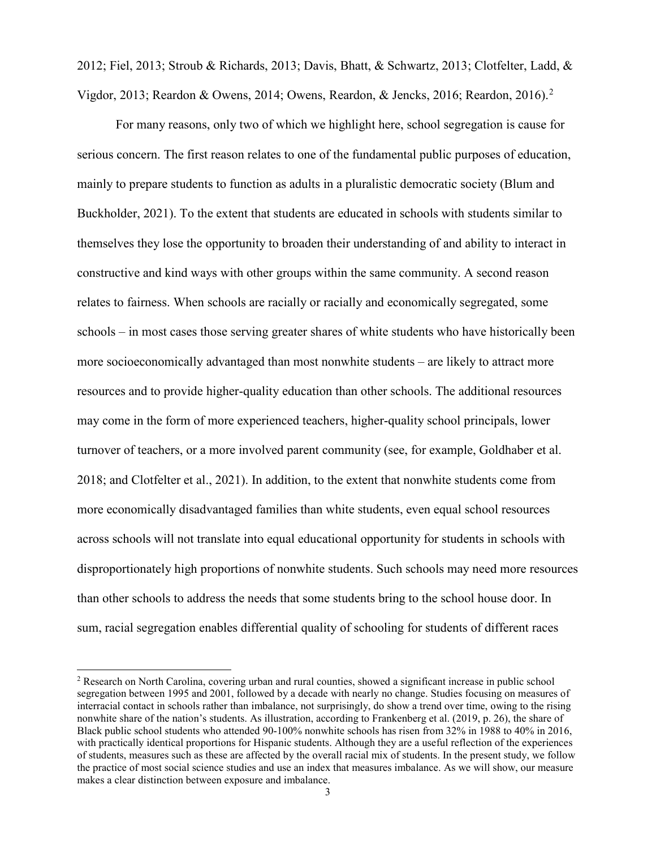2012; Fiel, 2013; Stroub & Richards, 2013; Davis, Bhatt, & Schwartz, 2013; Clotfelter, Ladd, & Vigdor, 2013; Reardon & Owens, 2014; Owens, Reardon, & Jencks, 2016; Reardon, 2016).[2](#page-3-0)

For many reasons, only two of which we highlight here, school segregation is cause for serious concern. The first reason relates to one of the fundamental public purposes of education, mainly to prepare students to function as adults in a pluralistic democratic society (Blum and Buckholder, 2021). To the extent that students are educated in schools with students similar to themselves they lose the opportunity to broaden their understanding of and ability to interact in constructive and kind ways with other groups within the same community. A second reason relates to fairness. When schools are racially or racially and economically segregated, some schools – in most cases those serving greater shares of white students who have historically been more socioeconomically advantaged than most nonwhite students – are likely to attract more resources and to provide higher-quality education than other schools. The additional resources may come in the form of more experienced teachers, higher-quality school principals, lower turnover of teachers, or a more involved parent community (see, for example, Goldhaber et al. 2018; and Clotfelter et al., 2021). In addition, to the extent that nonwhite students come from more economically disadvantaged families than white students, even equal school resources across schools will not translate into equal educational opportunity for students in schools with disproportionately high proportions of nonwhite students. Such schools may need more resources than other schools to address the needs that some students bring to the school house door. In sum, racial segregation enables differential quality of schooling for students of different races

<span id="page-3-0"></span><sup>2</sup> Research on North Carolina, covering urban and rural counties, showed a significant increase in public school segregation between 1995 and 2001, followed by a decade with nearly no change. Studies focusing on measures of interracial contact in schools rather than imbalance, not surprisingly, do show a trend over time, owing to the rising nonwhite share of the nation's students. As illustration, according to Frankenberg et al. (2019, p. 26), the share of Black public school students who attended 90-100% nonwhite schools has risen from 32% in 1988 to 40% in 2016, with practically identical proportions for Hispanic students. Although they are a useful reflection of the experiences of students, measures such as these are affected by the overall racial mix of students. In the present study, we follow the practice of most social science studies and use an index that measures imbalance. As we will show, our measure makes a clear distinction between exposure and imbalance.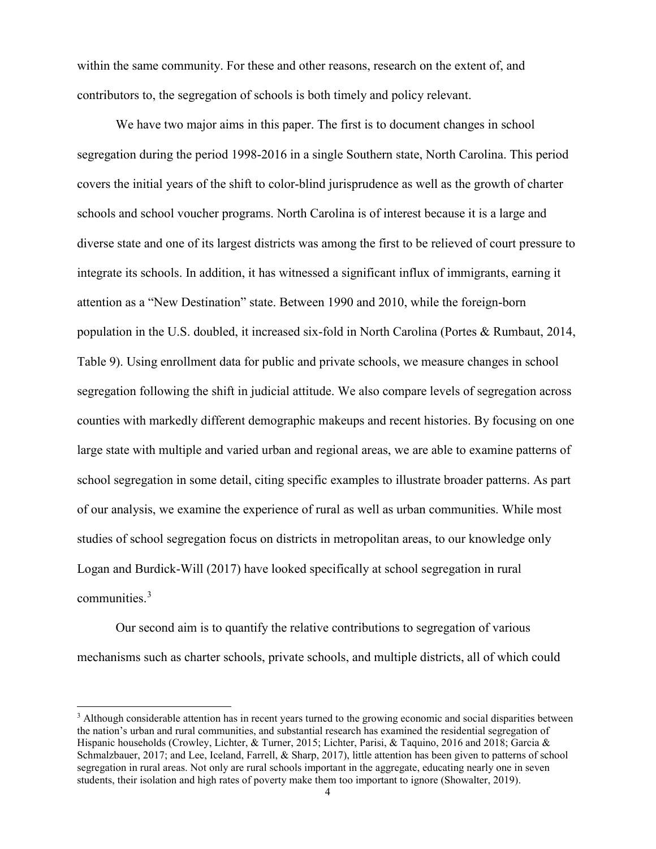within the same community. For these and other reasons, research on the extent of, and contributors to, the segregation of schools is both timely and policy relevant.

We have two major aims in this paper. The first is to document changes in school segregation during the period 1998-2016 in a single Southern state, North Carolina. This period covers the initial years of the shift to color-blind jurisprudence as well as the growth of charter schools and school voucher programs. North Carolina is of interest because it is a large and diverse state and one of its largest districts was among the first to be relieved of court pressure to integrate its schools. In addition, it has witnessed a significant influx of immigrants, earning it attention as a "New Destination" state. Between 1990 and 2010, while the foreign-born population in the U.S. doubled, it increased six-fold in North Carolina (Portes & Rumbaut, 2014, Table 9). Using enrollment data for public and private schools, we measure changes in school segregation following the shift in judicial attitude. We also compare levels of segregation across counties with markedly different demographic makeups and recent histories. By focusing on one large state with multiple and varied urban and regional areas, we are able to examine patterns of school segregation in some detail, citing specific examples to illustrate broader patterns. As part of our analysis, we examine the experience of rural as well as urban communities. While most studies of school segregation focus on districts in metropolitan areas, to our knowledge only Logan and Burdick-Will (2017) have looked specifically at school segregation in rural communities.<sup>[3](#page-4-0)</sup>

Our second aim is to quantify the relative contributions to segregation of various mechanisms such as charter schools, private schools, and multiple districts, all of which could

<span id="page-4-0"></span><sup>&</sup>lt;sup>3</sup> Although considerable attention has in recent years turned to the growing economic and social disparities between the nation's urban and rural communities, and substantial research has examined the residential segregation of Hispanic households (Crowley, Lichter, & Turner, 2015; Lichter, Parisi, & Taquino, 2016 and 2018; Garcia & Schmalzbauer, 2017; and Lee, Iceland, Farrell, & Sharp, 2017), little attention has been given to patterns of school segregation in rural areas. Not only are rural schools important in the aggregate, educating nearly one in seven students, their isolation and high rates of poverty make them too important to ignore (Showalter, 2019).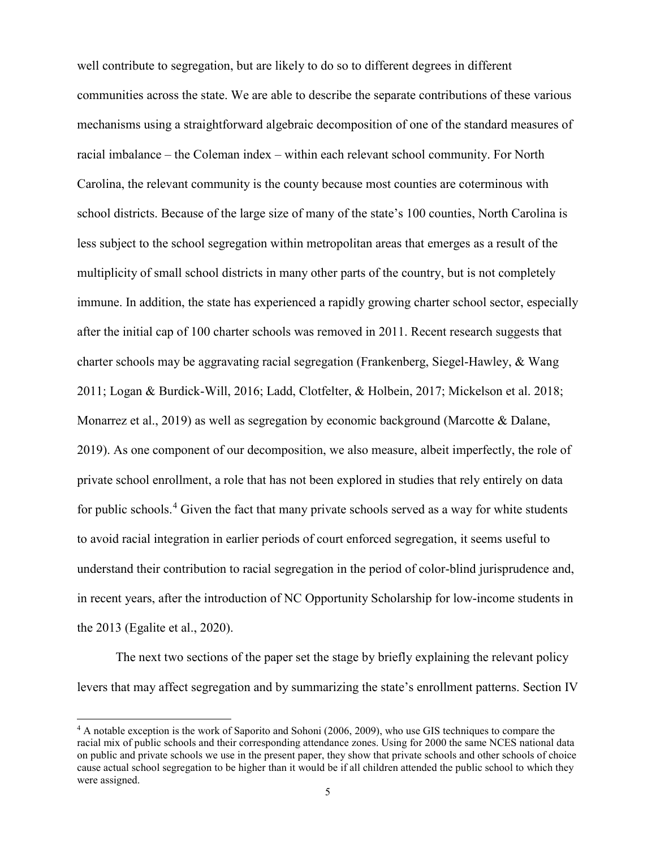well contribute to segregation, but are likely to do so to different degrees in different communities across the state. We are able to describe the separate contributions of these various mechanisms using a straightforward algebraic decomposition of one of the standard measures of racial imbalance – the Coleman index – within each relevant school community. For North Carolina, the relevant community is the county because most counties are coterminous with school districts. Because of the large size of many of the state's 100 counties, North Carolina is less subject to the school segregation within metropolitan areas that emerges as a result of the multiplicity of small school districts in many other parts of the country, but is not completely immune. In addition, the state has experienced a rapidly growing charter school sector, especially after the initial cap of 100 charter schools was removed in 2011. Recent research suggests that charter schools may be aggravating racial segregation (Frankenberg, Siegel-Hawley, & Wang 2011; Logan & Burdick-Will, 2016; Ladd, Clotfelter, & Holbein, 2017; Mickelson et al. 2018; Monarrez et al., 2019) as well as segregation by economic background (Marcotte & Dalane, 2019). As one component of our decomposition, we also measure, albeit imperfectly, the role of private school enrollment, a role that has not been explored in studies that rely entirely on data for public schools.<sup>[4](#page-5-0)</sup> Given the fact that many private schools served as a way for white students to avoid racial integration in earlier periods of court enforced segregation, it seems useful to understand their contribution to racial segregation in the period of color-blind jurisprudence and, in recent years, after the introduction of NC Opportunity Scholarship for low-income students in the 2013 (Egalite et al., 2020).

The next two sections of the paper set the stage by briefly explaining the relevant policy levers that may affect segregation and by summarizing the state's enrollment patterns. Section IV

<span id="page-5-0"></span><sup>4</sup> A notable exception is the work of Saporito and Sohoni (2006, 2009), who use GIS techniques to compare the racial mix of public schools and their corresponding attendance zones. Using for 2000 the same NCES national data on public and private schools we use in the present paper, they show that private schools and other schools of choice cause actual school segregation to be higher than it would be if all children attended the public school to which they were assigned.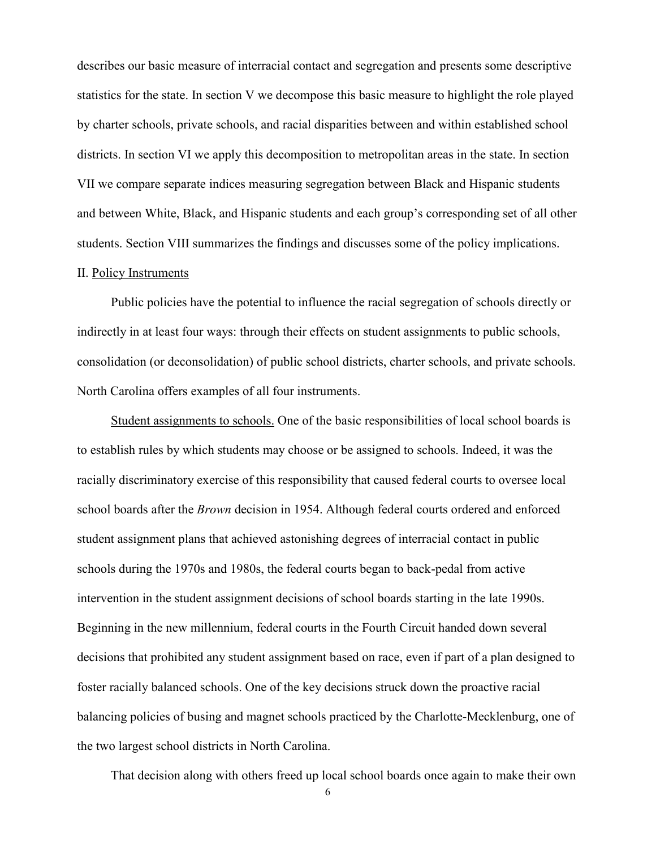describes our basic measure of interracial contact and segregation and presents some descriptive statistics for the state. In section V we decompose this basic measure to highlight the role played by charter schools, private schools, and racial disparities between and within established school districts. In section VI we apply this decomposition to metropolitan areas in the state. In section VII we compare separate indices measuring segregation between Black and Hispanic students and between White, Black, and Hispanic students and each group's corresponding set of all other students. Section VIII summarizes the findings and discusses some of the policy implications.

#### II. Policy Instruments

Public policies have the potential to influence the racial segregation of schools directly or indirectly in at least four ways: through their effects on student assignments to public schools, consolidation (or deconsolidation) of public school districts, charter schools, and private schools. North Carolina offers examples of all four instruments.

Student assignments to schools. One of the basic responsibilities of local school boards is to establish rules by which students may choose or be assigned to schools. Indeed, it was the racially discriminatory exercise of this responsibility that caused federal courts to oversee local school boards after the *Brown* decision in 1954. Although federal courts ordered and enforced student assignment plans that achieved astonishing degrees of interracial contact in public schools during the 1970s and 1980s, the federal courts began to back-pedal from active intervention in the student assignment decisions of school boards starting in the late 1990s. Beginning in the new millennium, federal courts in the Fourth Circuit handed down several decisions that prohibited any student assignment based on race, even if part of a plan designed to foster racially balanced schools. One of the key decisions struck down the proactive racial balancing policies of busing and magnet schools practiced by the Charlotte-Mecklenburg, one of the two largest school districts in North Carolina.

That decision along with others freed up local school boards once again to make their own

6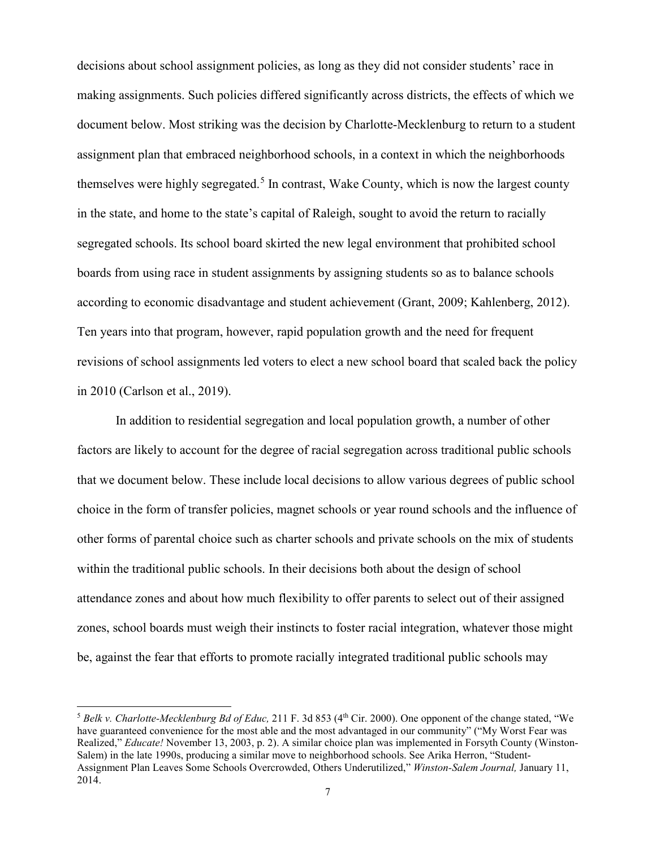decisions about school assignment policies, as long as they did not consider students' race in making assignments. Such policies differed significantly across districts, the effects of which we document below. Most striking was the decision by Charlotte-Mecklenburg to return to a student assignment plan that embraced neighborhood schools, in a context in which the neighborhoods themselves were highly segregated.<sup>[5](#page-7-0)</sup> In contrast, Wake County, which is now the largest county in the state, and home to the state's capital of Raleigh, sought to avoid the return to racially segregated schools. Its school board skirted the new legal environment that prohibited school boards from using race in student assignments by assigning students so as to balance schools according to economic disadvantage and student achievement (Grant, 2009; Kahlenberg, 2012). Ten years into that program, however, rapid population growth and the need for frequent revisions of school assignments led voters to elect a new school board that scaled back the policy in 2010 (Carlson et al., 2019).

In addition to residential segregation and local population growth, a number of other factors are likely to account for the degree of racial segregation across traditional public schools that we document below. These include local decisions to allow various degrees of public school choice in the form of transfer policies, magnet schools or year round schools and the influence of other forms of parental choice such as charter schools and private schools on the mix of students within the traditional public schools. In their decisions both about the design of school attendance zones and about how much flexibility to offer parents to select out of their assigned zones, school boards must weigh their instincts to foster racial integration, whatever those might be, against the fear that efforts to promote racially integrated traditional public schools may

<span id="page-7-0"></span><sup>&</sup>lt;sup>5</sup> Belk v. Charlotte-Mecklenburg Bd of Educ, 211 F. 3d 853 (4<sup>th</sup> Cir. 2000). One opponent of the change stated, "We have guaranteed convenience for the most able and the most advantaged in our community" ("My Worst Fear was Realized," *Educate!* November 13, 2003, p. 2). A similar choice plan was implemented in Forsyth County (Winston-Salem) in the late 1990s, producing a similar move to neighborhood schools. See Arika Herron, "Student-Assignment Plan Leaves Some Schools Overcrowded, Others Underutilized," *Winston-Salem Journal,* January 11, 2014.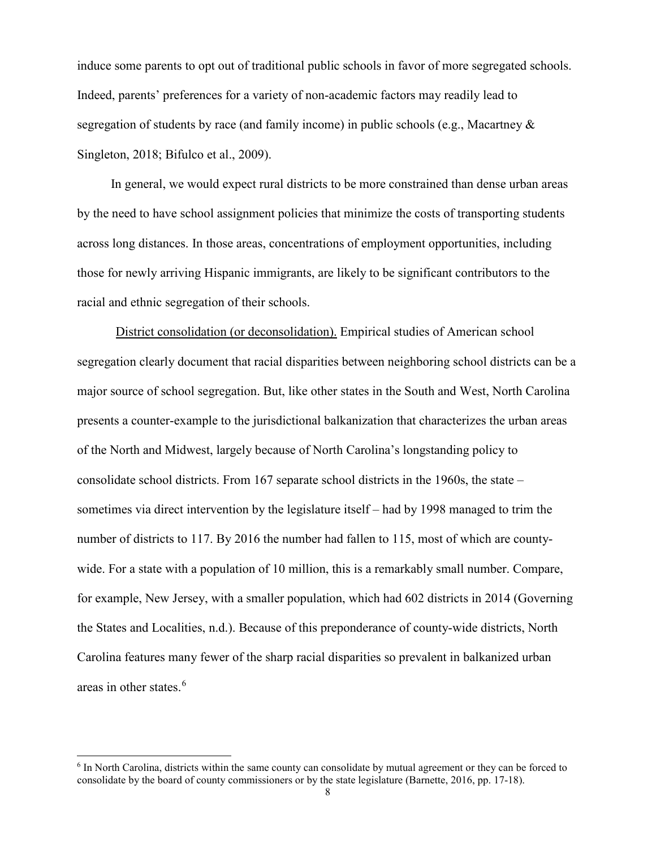induce some parents to opt out of traditional public schools in favor of more segregated schools. Indeed, parents' preferences for a variety of non-academic factors may readily lead to segregation of students by race (and family income) in public schools (e.g., Macartney & Singleton, 2018; Bifulco et al., 2009).

In general, we would expect rural districts to be more constrained than dense urban areas by the need to have school assignment policies that minimize the costs of transporting students across long distances. In those areas, concentrations of employment opportunities, including those for newly arriving Hispanic immigrants, are likely to be significant contributors to the racial and ethnic segregation of their schools.

District consolidation (or deconsolidation). Empirical studies of American school segregation clearly document that racial disparities between neighboring school districts can be a major source of school segregation. But, like other states in the South and West, North Carolina presents a counter-example to the jurisdictional balkanization that characterizes the urban areas of the North and Midwest, largely because of North Carolina's longstanding policy to consolidate school districts. From 167 separate school districts in the 1960s, the state – sometimes via direct intervention by the legislature itself – had by 1998 managed to trim the number of districts to 117. By 2016 the number had fallen to 115, most of which are countywide. For a state with a population of 10 million, this is a remarkably small number. Compare, for example, New Jersey, with a smaller population, which had 602 districts in 2014 (Governing the States and Localities, n.d.). Because of this preponderance of county-wide districts, North Carolina features many fewer of the sharp racial disparities so prevalent in balkanized urban areas in other states. [6](#page-8-0)

<span id="page-8-0"></span><sup>6</sup> In North Carolina, districts within the same county can consolidate by mutual agreement or they can be forced to consolidate by the board of county commissioners or by the state legislature (Barnette, 2016, pp. 17-18).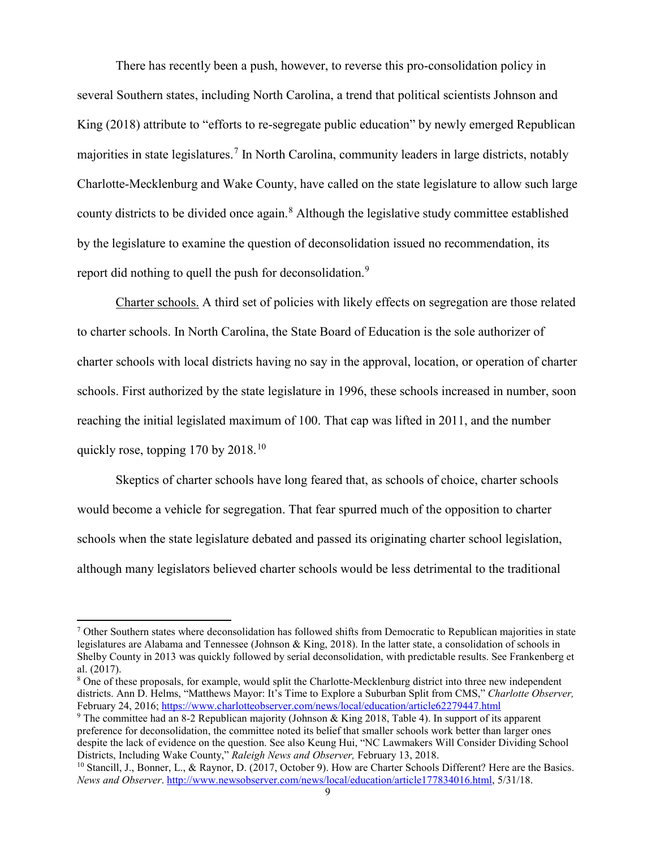There has recently been a push, however, to reverse this pro-consolidation policy in several Southern states, including North Carolina, a trend that political scientists Johnson and King (2018) attribute to "efforts to re-segregate public education" by newly emerged Republican majorities in state legislatures.<sup>[7](#page-9-0)</sup> In North Carolina, community leaders in large districts, notably Charlotte-Mecklenburg and Wake County, have called on the state legislature to allow such large county districts to be divided once again.[8](#page-9-1) Although the legislative study committee established by the legislature to examine the question of deconsolidation issued no recommendation, its report did nothing to quell the push for deconsolidation.<sup>[9](#page-9-2)</sup>

Charter schools. A third set of policies with likely effects on segregation are those related to charter schools. In North Carolina, the State Board of Education is the sole authorizer of charter schools with local districts having no say in the approval, location, or operation of charter schools. First authorized by the state legislature in 1996, these schools increased in number, soon reaching the initial legislated maximum of 100. That cap was lifted in 2011, and the number quickly rose, topping  $170$  by  $2018$ <sup>[10](#page-9-3)</sup>

Skeptics of charter schools have long feared that, as schools of choice, charter schools would become a vehicle for segregation. That fear spurred much of the opposition to charter schools when the state legislature debated and passed its originating charter school legislation, although many legislators believed charter schools would be less detrimental to the traditional

<span id="page-9-0"></span><sup>7</sup> Other Southern states where deconsolidation has followed shifts from Democratic to Republican majorities in state legislatures are Alabama and Tennessee (Johnson & King, 2018). In the latter state, a consolidation of schools in Shelby County in 2013 was quickly followed by serial deconsolidation, with predictable results. See Frankenberg et al. (2017).

<span id="page-9-1"></span><sup>&</sup>lt;sup>8</sup> One of these proposals, for example, would split the Charlotte-Mecklenburg district into three new independent districts. Ann D. Helms, "Matthews Mayor: It's Time to Explore a Suburban Split from CMS," *Charlotte Observer,*  February 24, 2016; <https://www.charlotteobserver.com/news/local/education/article62279447.html>

<span id="page-9-2"></span><sup>9</sup> The committee had an 8-2 Republican majority (Johnson & King 2018, Table 4). In support of its apparent preference for deconsolidation, the committee noted its belief that smaller schools work better than larger ones despite the lack of evidence on the question. See also Keung Hui, "NC Lawmakers Will Consider Dividing School Districts, Including Wake County," *Raleigh News and Observer,* February 13, 2018.

<span id="page-9-3"></span><sup>&</sup>lt;sup>10</sup> Stancill, J., Bonner, L., & Raynor, D. (2017, October 9). How are Charter Schools Different? Here are the Basics. *News and Observer*. [http://www.newsobserver.com/news/local/education/article177834016.html,](http://www.newsobserver.com/news/local/education/article177834016.html) 5/31/18.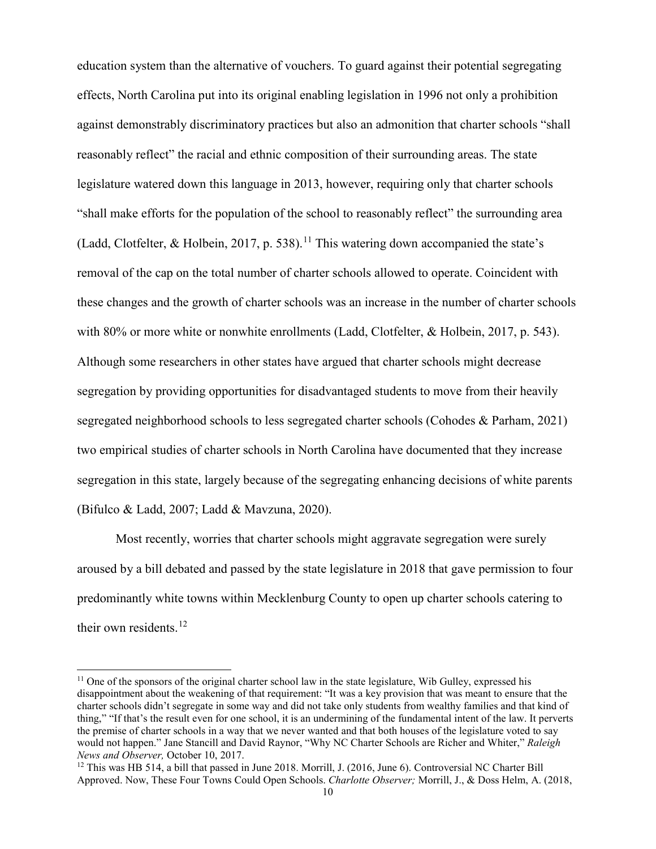education system than the alternative of vouchers. To guard against their potential segregating effects, North Carolina put into its original enabling legislation in 1996 not only a prohibition against demonstrably discriminatory practices but also an admonition that charter schools "shall reasonably reflect" the racial and ethnic composition of their surrounding areas. The state legislature watered down this language in 2013, however, requiring only that charter schools "shall make efforts for the population of the school to reasonably reflect" the surrounding area (Ladd, Clotfelter, & Holbein, 2017, p. 538).<sup>[11](#page-10-0)</sup> This watering down accompanied the state's removal of the cap on the total number of charter schools allowed to operate. Coincident with these changes and the growth of charter schools was an increase in the number of charter schools with 80% or more white or nonwhite enrollments (Ladd, Clotfelter, & Holbein, 2017, p. 543). Although some researchers in other states have argued that charter schools might decrease segregation by providing opportunities for disadvantaged students to move from their heavily segregated neighborhood schools to less segregated charter schools (Cohodes & Parham, 2021) two empirical studies of charter schools in North Carolina have documented that they increase segregation in this state, largely because of the segregating enhancing decisions of white parents (Bifulco & Ladd, 2007; Ladd & Mavzuna, 2020).

Most recently, worries that charter schools might aggravate segregation were surely aroused by a bill debated and passed by the state legislature in 2018 that gave permission to four predominantly white towns within Mecklenburg County to open up charter schools catering to their own residents. $12$ 

<span id="page-10-0"></span><sup>&</sup>lt;sup>11</sup> One of the sponsors of the original charter school law in the state legislature, Wib Gulley, expressed his disappointment about the weakening of that requirement: "It was a key provision that was meant to ensure that the charter schools didn't segregate in some way and did not take only students from wealthy families and that kind of thing," "If that's the result even for one school, it is an undermining of the fundamental intent of the law. It perverts the premise of charter schools in a way that we never wanted and that both houses of the legislature voted to say would not happen." Jane Stancill and David Raynor, "Why NC Charter Schools are Richer and Whiter," *Raleigh News and Observer,* October 10, 2017.

<span id="page-10-1"></span><sup>&</sup>lt;sup>12</sup> This was HB 514, a bill that passed in June 2018. Morrill, J. (2016, June 6). Controversial NC Charter Bill Approved. Now, These Four Towns Could Open Schools. *Charlotte Observer;* Morrill, J., & Doss Helm, A. (2018,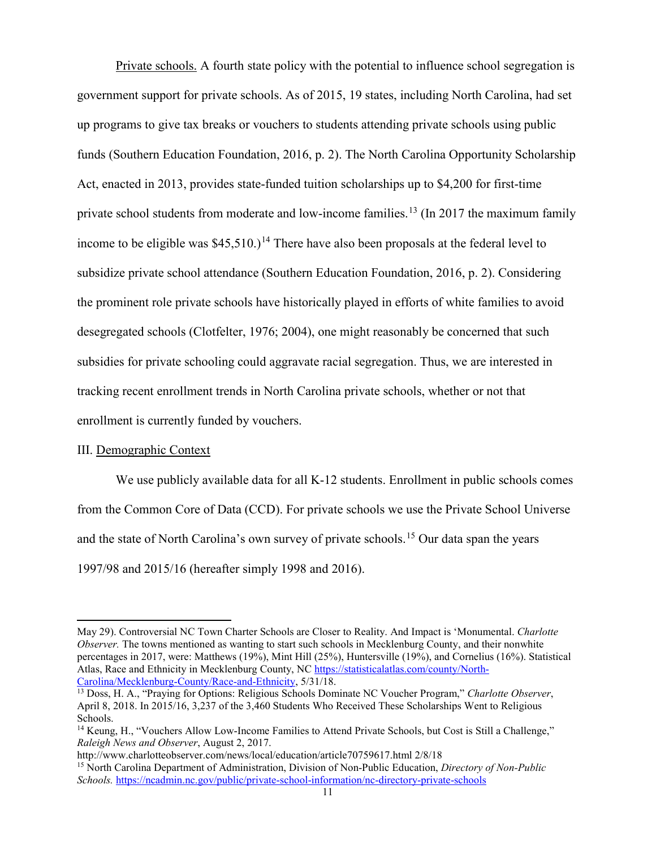Private schools. A fourth state policy with the potential to influence school segregation is government support for private schools. As of 2015, 19 states, including North Carolina, had set up programs to give tax breaks or vouchers to students attending private schools using public funds (Southern Education Foundation, 2016, p. 2). The North Carolina Opportunity Scholarship Act, enacted in 2013, provides state-funded tuition scholarships up to \$4,200 for first-time private school students from moderate and low-income families.<sup>[13](#page-11-0)</sup> (In 2017 the maximum family income to be eligible was  $$45,510$ .)<sup>[14](#page-11-1)</sup> There have also been proposals at the federal level to subsidize private school attendance (Southern Education Foundation, 2016, p. 2). Considering the prominent role private schools have historically played in efforts of white families to avoid desegregated schools (Clotfelter, 1976; 2004), one might reasonably be concerned that such subsidies for private schooling could aggravate racial segregation. Thus, we are interested in tracking recent enrollment trends in North Carolina private schools, whether or not that enrollment is currently funded by vouchers.

#### III. Demographic Context

 $\overline{a}$ 

We use publicly available data for all K-12 students. Enrollment in public schools comes from the Common Core of Data (CCD). For private schools we use the Private School Universe and the state of North Carolina's own survey of private schools.<sup>[15](#page-11-2)</sup> Our data span the years 1997/98 and 2015/16 (hereafter simply 1998 and 2016).

May 29). Controversial NC Town Charter Schools are Closer to Reality. And Impact is 'Monumental. *Charlotte Observer*. The towns mentioned as wanting to start such schools in Mecklenburg County, and their nonwhite percentages in 2017, were: Matthews (19%), Mint Hill (25%), Huntersville (19%), and Cornelius (16%). Statistical Atlas, Race and Ethnicity in Mecklenburg County, NC [https://statisticalatlas.com/county/North-](https://statisticalatlas.com/county/North-Carolina/Mecklenburg-County/Race-and-Ethnicity)[Carolina/Mecklenburg-County/Race-and-Ethnicity,](https://statisticalatlas.com/county/North-Carolina/Mecklenburg-County/Race-and-Ethnicity) 5/31/18.

<span id="page-11-0"></span><sup>13</sup> Doss, H. A., "Praying for Options: Religious Schools Dominate NC Voucher Program," *Charlotte Observer*, April 8, 2018. In 2015/16, 3,237 of the 3,460 Students Who Received These Scholarships Went to Religious Schools.

<span id="page-11-1"></span><sup>&</sup>lt;sup>14</sup> Keung, H., "Vouchers Allow Low-Income Families to Attend Private Schools, but Cost is Still a Challenge," *Raleigh News and Observer*, August 2, 2017.

http://www.charlotteobserver.com/news/local/education/article70759617.html 2/8/18

<span id="page-11-2"></span><sup>15</sup> North Carolina Department of Administration, Division of Non-Public Education, *Directory of Non-Public Schools.* <https://ncadmin.nc.gov/public/private-school-information/nc-directory-private-schools>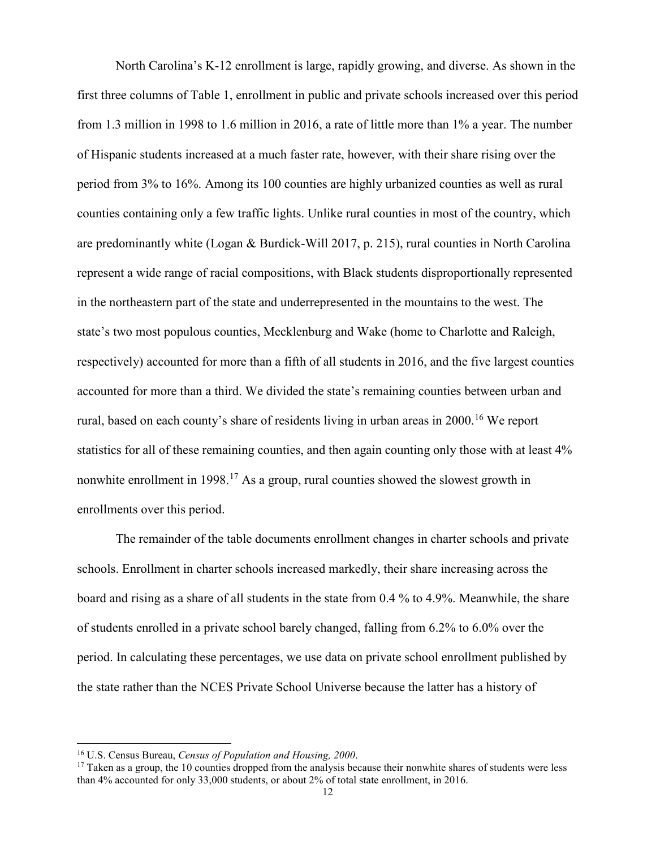North Carolina's K-12 enrollment is large, rapidly growing, and diverse. As shown in the first three columns of Table 1, enrollment in public and private schools increased over this period from 1.3 million in 1998 to 1.6 million in 2016, a rate of little more than 1% a year. The number of Hispanic students increased at a much faster rate, however, with their share rising over the period from 3% to 16%. Among its 100 counties are highly urbanized counties as well as rural counties containing only a few traffic lights. Unlike rural counties in most of the country, which are predominantly white (Logan & Burdick-Will 2017, p. 215), rural counties in North Carolina represent a wide range of racial compositions, with Black students disproportionally represented in the northeastern part of the state and underrepresented in the mountains to the west. The state's two most populous counties, Mecklenburg and Wake (home to Charlotte and Raleigh, respectively) accounted for more than a fifth of all students in 2016, and the five largest counties accounted for more than a third. We divided the state's remaining counties between urban and rural, based on each county's share of residents living in urban areas in 2000.<sup>[16](#page-12-0)</sup> We report statistics for all of these remaining counties, and then again counting only those with at least 4% nonwhite enrollment in 1998.<sup>[17](#page-12-1)</sup> As a group, rural counties showed the slowest growth in enrollments over this period.

The remainder of the table documents enrollment changes in charter schools and private schools. Enrollment in charter schools increased markedly, their share increasing across the board and rising as a share of all students in the state from 0.4 % to 4.9%. Meanwhile, the share of students enrolled in a private school barely changed, falling from 6.2% to 6.0% over the period. In calculating these percentages, we use data on private school enrollment published by the state rather than the NCES Private School Universe because the latter has a history of

<span id="page-12-0"></span><sup>16</sup> U.S. Census Bureau, *Census of Population and Housing, 2000*.

<span id="page-12-1"></span> $17$  Taken as a group, the 10 counties dropped from the analysis because their nonwhite shares of students were less than 4% accounted for only 33,000 students, or about 2% of total state enrollment, in 2016.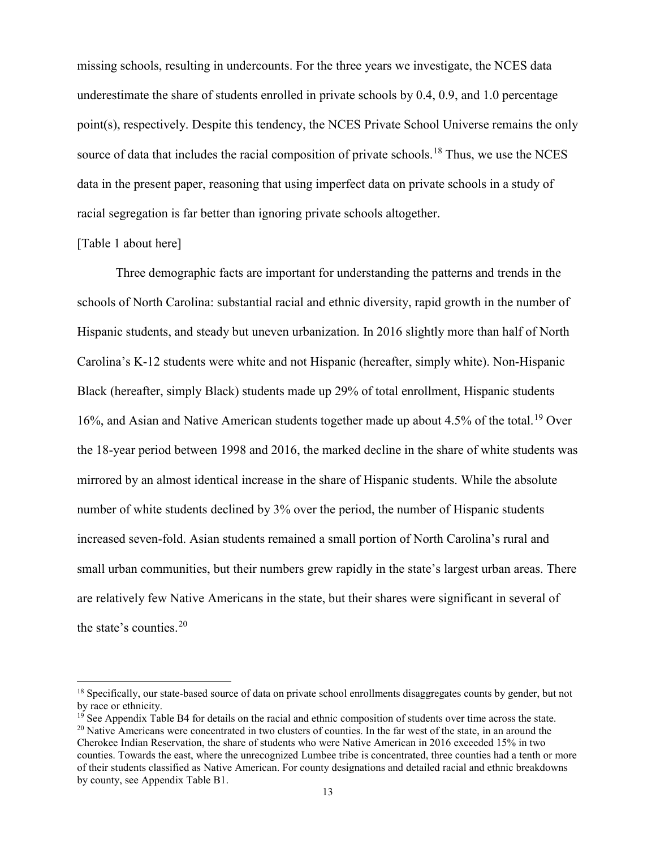missing schools, resulting in undercounts. For the three years we investigate, the NCES data underestimate the share of students enrolled in private schools by 0.4, 0.9, and 1.0 percentage point(s), respectively. Despite this tendency, the NCES Private School Universe remains the only source of data that includes the racial composition of private schools.<sup>[18](#page-13-0)</sup> Thus, we use the NCES data in the present paper, reasoning that using imperfect data on private schools in a study of racial segregation is far better than ignoring private schools altogether.

#### [Table 1 about here]

 $\overline{a}$ 

Three demographic facts are important for understanding the patterns and trends in the schools of North Carolina: substantial racial and ethnic diversity, rapid growth in the number of Hispanic students, and steady but uneven urbanization. In 2016 slightly more than half of North Carolina's K-12 students were white and not Hispanic (hereafter, simply white). Non-Hispanic Black (hereafter, simply Black) students made up 29% of total enrollment, Hispanic students 16%, and Asian and Native American students together made up about 4.5% of the total.<sup>[19](#page-13-1)</sup> Over the 18-year period between 1998 and 2016, the marked decline in the share of white students was mirrored by an almost identical increase in the share of Hispanic students. While the absolute number of white students declined by 3% over the period, the number of Hispanic students increased seven-fold. Asian students remained a small portion of North Carolina's rural and small urban communities, but their numbers grew rapidly in the state's largest urban areas. There are relatively few Native Americans in the state, but their shares were significant in several of the state's counties.[20](#page-13-2)

<span id="page-13-0"></span><sup>&</sup>lt;sup>18</sup> Specifically, our state-based source of data on private school enrollments disaggregates counts by gender, but not by race or ethnicity.

<span id="page-13-1"></span> $<sup>19</sup>$  See Appendix Table B4 for details on the racial and ethnic composition of students over time across the state.</sup>  $20$  Native Americans were concentrated in two clusters of counties. In the far west of the state, in an around the

<span id="page-13-2"></span>Cherokee Indian Reservation, the share of students who were Native American in 2016 exceeded 15% in two counties. Towards the east, where the unrecognized Lumbee tribe is concentrated, three counties had a tenth or more of their students classified as Native American. For county designations and detailed racial and ethnic breakdowns by county, see Appendix Table B1.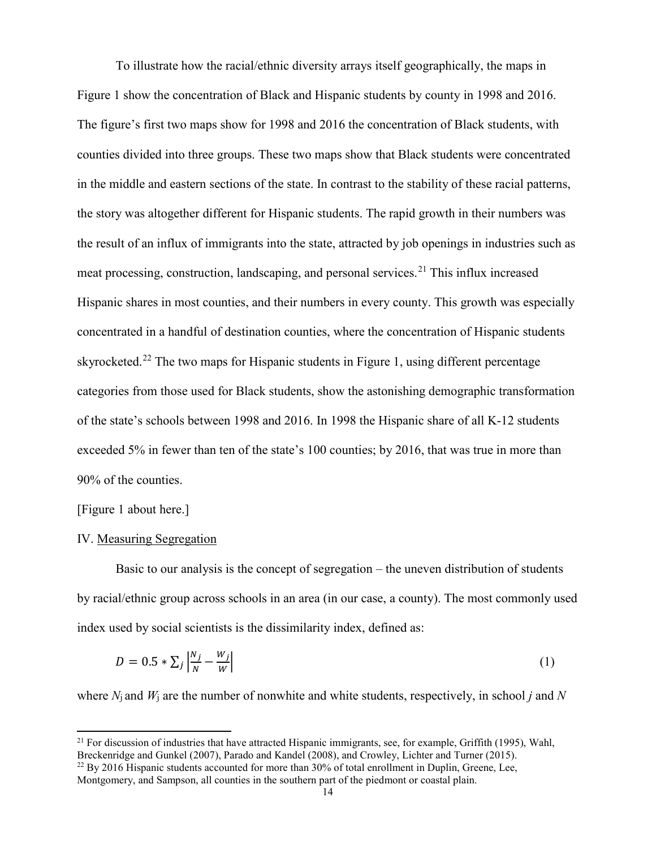To illustrate how the racial/ethnic diversity arrays itself geographically, the maps in Figure 1 show the concentration of Black and Hispanic students by county in 1998 and 2016. The figure's first two maps show for 1998 and 2016 the concentration of Black students, with counties divided into three groups. These two maps show that Black students were concentrated in the middle and eastern sections of the state. In contrast to the stability of these racial patterns, the story was altogether different for Hispanic students. The rapid growth in their numbers was the result of an influx of immigrants into the state, attracted by job openings in industries such as meat processing, construction, landscaping, and personal services.<sup>[21](#page-14-0)</sup> This influx increased Hispanic shares in most counties, and their numbers in every county. This growth was especially concentrated in a handful of destination counties, where the concentration of Hispanic students skyrocketed.<sup>[22](#page-14-1)</sup> The two maps for Hispanic students in Figure 1, using different percentage categories from those used for Black students, show the astonishing demographic transformation of the state's schools between 1998 and 2016. In 1998 the Hispanic share of all K-12 students exceeded 5% in fewer than ten of the state's 100 counties; by 2016, that was true in more than 90% of the counties.

[Figure 1 about here.]

 $\overline{a}$ 

#### IV. Measuring Segregation

Basic to our analysis is the concept of segregation – the uneven distribution of students by racial/ethnic group across schools in an area (in our case, a county). The most commonly used index used by social scientists is the dissimilarity index, defined as:

$$
D = 0.5 * \sum_{j} \left| \frac{N_j}{N} - \frac{W_j}{W} \right| \tag{1}
$$

where *N*j and *W*<sup>j</sup> are the number of nonwhite and white students, respectively, in school *j* and *N*

<span id="page-14-0"></span><sup>&</sup>lt;sup>21</sup> For discussion of industries that have attracted Hispanic immigrants, see, for example, Griffith (1995), Wahl, Breckenridge and Gunkel (2007), Parado and Kandel (2008), and Crowley, Lichter and Turner (2015).  $^{22}$  By 2016 Hispanic students accounted for more than 30% of total enrollment in Duplin, Greene, Lee,

<span id="page-14-1"></span>Montgomery, and Sampson, all counties in the southern part of the piedmont or coastal plain.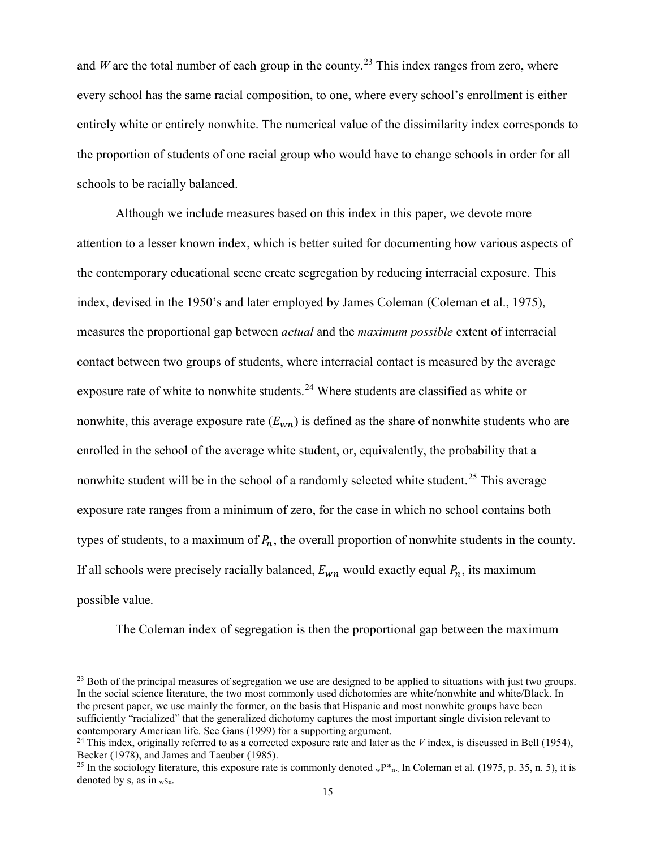and *W* are the total number of each group in the county.<sup>[23](#page-15-0)</sup> This index ranges from zero, where every school has the same racial composition, to one, where every school's enrollment is either entirely white or entirely nonwhite. The numerical value of the dissimilarity index corresponds to the proportion of students of one racial group who would have to change schools in order for all schools to be racially balanced.

Although we include measures based on this index in this paper, we devote more attention to a lesser known index, which is better suited for documenting how various aspects of the contemporary educational scene create segregation by reducing interracial exposure. This index, devised in the 1950's and later employed by James Coleman (Coleman et al., 1975), measures the proportional gap between *actual* and the *maximum possible* extent of interracial contact between two groups of students, where interracial contact is measured by the average exposure rate of white to nonwhite students.<sup>[24](#page-15-1)</sup> Where students are classified as white or nonwhite, this average exposure rate  $(E_{wn})$  is defined as the share of nonwhite students who are enrolled in the school of the average white student, or, equivalently, the probability that a nonwhite student will be in the school of a randomly selected white student.<sup>[25](#page-15-2)</sup> This average exposure rate ranges from a minimum of zero, for the case in which no school contains both types of students, to a maximum of  $P_n$ , the overall proportion of nonwhite students in the county. If all schools were precisely racially balanced,  $E_{wn}$  would exactly equal  $P_n$ , its maximum possible value.

The Coleman index of segregation is then the proportional gap between the maximum

<span id="page-15-0"></span> $^{23}$  Both of the principal measures of segregation we use are designed to be applied to situations with just two groups. In the social science literature, the two most commonly used dichotomies are white/nonwhite and white/Black. In the present paper, we use mainly the former, on the basis that Hispanic and most nonwhite groups have been sufficiently "racialized" that the generalized dichotomy captures the most important single division relevant to contemporary American life. See Gans (1999) for a supporting argument.

<span id="page-15-1"></span> $24$  This index, originally referred to as a corrected exposure rate and later as the *V* index, is discussed in Bell (1954), Becker (1978), and James and Taeuber (1985).

<span id="page-15-2"></span><sup>&</sup>lt;sup>25</sup> In the sociology literature, this exposure rate is commonly denoted  ${}_{w}P_{n}^{*}$ . In Coleman et al. (1975, p. 35, n. 5), it is denoted by s, as in  $_{\rm wSn}$ .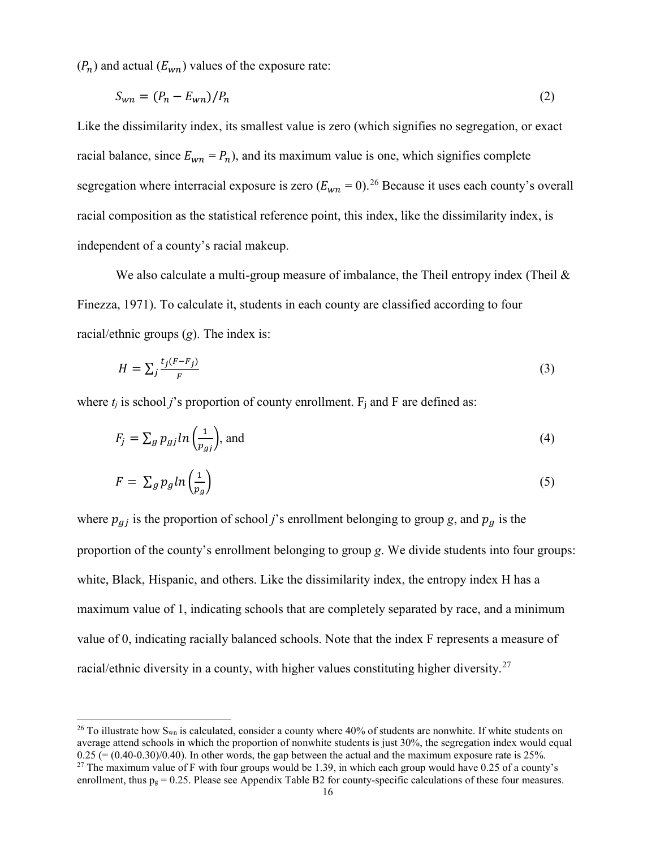$(P_n)$  and actual  $(E_{wn})$  values of the exposure rate:

$$
S_{wn} = (P_n - E_{wn})/P_n \tag{2}
$$

Like the dissimilarity index, its smallest value is zero (which signifies no segregation, or exact racial balance, since  $E_{wn} = P_n$ ), and its maximum value is one, which signifies complete segregation where interracial exposure is zero  $(E_{wn} = 0)$ .<sup>[26](#page-16-0)</sup> Because it uses each county's overall racial composition as the statistical reference point, this index, like the dissimilarity index, is independent of a county's racial makeup.

We also calculate a multi-group measure of imbalance, the Theil entropy index (Theil  $\&$ Finezza, 1971). To calculate it, students in each county are classified according to four racial/ethnic groups (*g*). The index is:

$$
H = \sum_{j} \frac{t_j (F - F_j)}{F} \tag{3}
$$

where  $t_i$  is school *j*'s proportion of county enrollment.  $F_i$  and F are defined as:

$$
F_j = \sum_g p_{gj} ln\left(\frac{1}{p_{gj}}\right), \text{ and } \tag{4}
$$

$$
F = \sum_{g} p_g \ln \left( \frac{1}{p_g} \right) \tag{5}
$$

where  $p_{gj}$  is the proportion of school *j*'s enrollment belonging to group *g*, and  $p_g$  is the proportion of the county's enrollment belonging to group *g*. We divide students into four groups: white, Black, Hispanic, and others. Like the dissimilarity index, the entropy index H has a maximum value of 1, indicating schools that are completely separated by race, and a minimum value of 0, indicating racially balanced schools. Note that the index F represents a measure of racial/ethnic diversity in a county, with higher values constituting higher diversity.<sup>[27](#page-16-1)</sup>

<span id="page-16-1"></span><span id="page-16-0"></span><sup>&</sup>lt;sup>26</sup> To illustrate how S<sub>wn</sub> is calculated, consider a county where 40% of students are nonwhite. If white students on average attend schools in which the proportion of nonwhite students is just 30%, the segregation index would equal  $0.25$  (= (0.40-0.30)/0.40). In other words, the gap between the actual and the maximum exposure rate is 25%.<br><sup>27</sup> The maximum value of F with four groups would be 1.39, in which each group would have 0.25 of a county's enrollment, thus  $p_g = 0.25$ . Please see Appendix Table B2 for county-specific calculations of these four measures.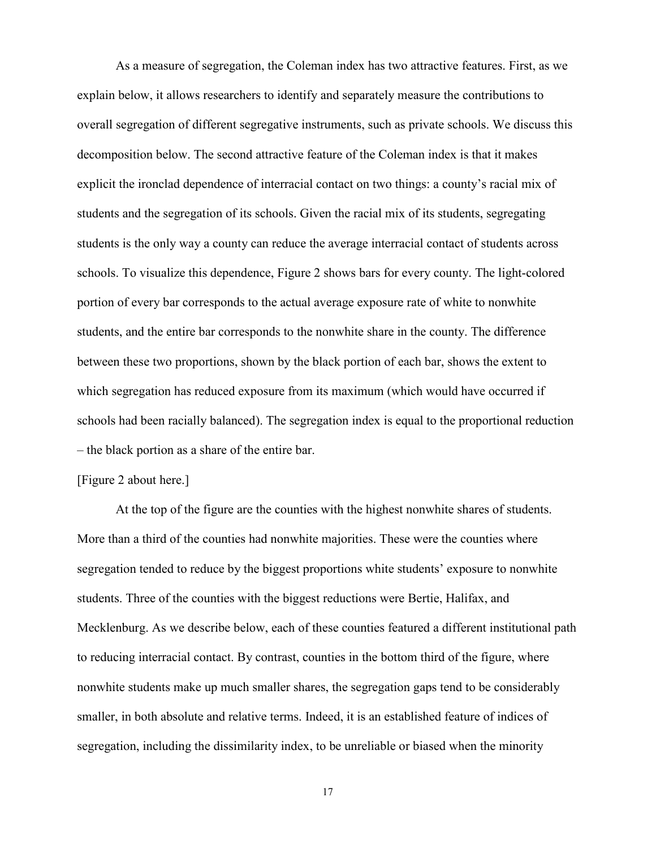As a measure of segregation, the Coleman index has two attractive features. First, as we explain below, it allows researchers to identify and separately measure the contributions to overall segregation of different segregative instruments, such as private schools. We discuss this decomposition below. The second attractive feature of the Coleman index is that it makes explicit the ironclad dependence of interracial contact on two things: a county's racial mix of students and the segregation of its schools. Given the racial mix of its students, segregating students is the only way a county can reduce the average interracial contact of students across schools. To visualize this dependence, Figure 2 shows bars for every county. The light-colored portion of every bar corresponds to the actual average exposure rate of white to nonwhite students, and the entire bar corresponds to the nonwhite share in the county. The difference between these two proportions, shown by the black portion of each bar, shows the extent to which segregation has reduced exposure from its maximum (which would have occurred if schools had been racially balanced). The segregation index is equal to the proportional reduction – the black portion as a share of the entire bar.

#### [Figure 2 about here.]

At the top of the figure are the counties with the highest nonwhite shares of students. More than a third of the counties had nonwhite majorities. These were the counties where segregation tended to reduce by the biggest proportions white students' exposure to nonwhite students. Three of the counties with the biggest reductions were Bertie, Halifax, and Mecklenburg. As we describe below, each of these counties featured a different institutional path to reducing interracial contact. By contrast, counties in the bottom third of the figure, where nonwhite students make up much smaller shares, the segregation gaps tend to be considerably smaller, in both absolute and relative terms. Indeed, it is an established feature of indices of segregation, including the dissimilarity index, to be unreliable or biased when the minority

17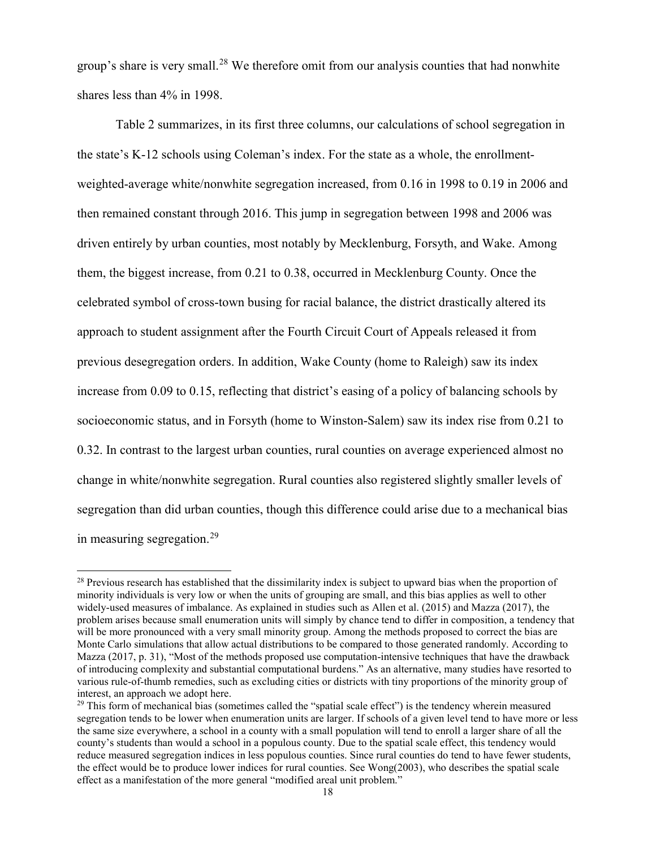group's share is very small.<sup>[28](#page-18-0)</sup> We therefore omit from our analysis counties that had nonwhite shares less than 4% in 1998.

Table 2 summarizes, in its first three columns, our calculations of school segregation in the state's K-12 schools using Coleman's index. For the state as a whole, the enrollmentweighted-average white/nonwhite segregation increased, from 0.16 in 1998 to 0.19 in 2006 and then remained constant through 2016. This jump in segregation between 1998 and 2006 was driven entirely by urban counties, most notably by Mecklenburg, Forsyth, and Wake. Among them, the biggest increase, from 0.21 to 0.38, occurred in Mecklenburg County. Once the celebrated symbol of cross-town busing for racial balance, the district drastically altered its approach to student assignment after the Fourth Circuit Court of Appeals released it from previous desegregation orders. In addition, Wake County (home to Raleigh) saw its index increase from 0.09 to 0.15, reflecting that district's easing of a policy of balancing schools by socioeconomic status, and in Forsyth (home to Winston-Salem) saw its index rise from 0.21 to 0.32. In contrast to the largest urban counties, rural counties on average experienced almost no change in white/nonwhite segregation. Rural counties also registered slightly smaller levels of segregation than did urban counties, though this difference could arise due to a mechanical bias in measuring segregation.<sup>[29](#page-18-1)</sup>

<span id="page-18-0"></span><sup>&</sup>lt;sup>28</sup> Previous research has established that the dissimilarity index is subject to upward bias when the proportion of minority individuals is very low or when the units of grouping are small, and this bias applies as well to other widely-used measures of imbalance. As explained in studies such as Allen et al. (2015) and Mazza (2017), the problem arises because small enumeration units will simply by chance tend to differ in composition, a tendency that will be more pronounced with a very small minority group. Among the methods proposed to correct the bias are Monte Carlo simulations that allow actual distributions to be compared to those generated randomly. According to Mazza (2017, p. 31), "Most of the methods proposed use computation-intensive techniques that have the drawback of introducing complexity and substantial computational burdens." As an alternative, many studies have resorted to various rule-of-thumb remedies, such as excluding cities or districts with tiny proportions of the minority group of interest, an approach we adopt here.

<span id="page-18-1"></span><sup>&</sup>lt;sup>29</sup> This form of mechanical bias (sometimes called the "spatial scale effect") is the tendency wherein measured segregation tends to be lower when enumeration units are larger. If schools of a given level tend to have more or less the same size everywhere, a school in a county with a small population will tend to enroll a larger share of all the county's students than would a school in a populous county. Due to the spatial scale effect, this tendency would reduce measured segregation indices in less populous counties. Since rural counties do tend to have fewer students, the effect would be to produce lower indices for rural counties. See Wong(2003), who describes the spatial scale effect as a manifestation of the more general "modified areal unit problem."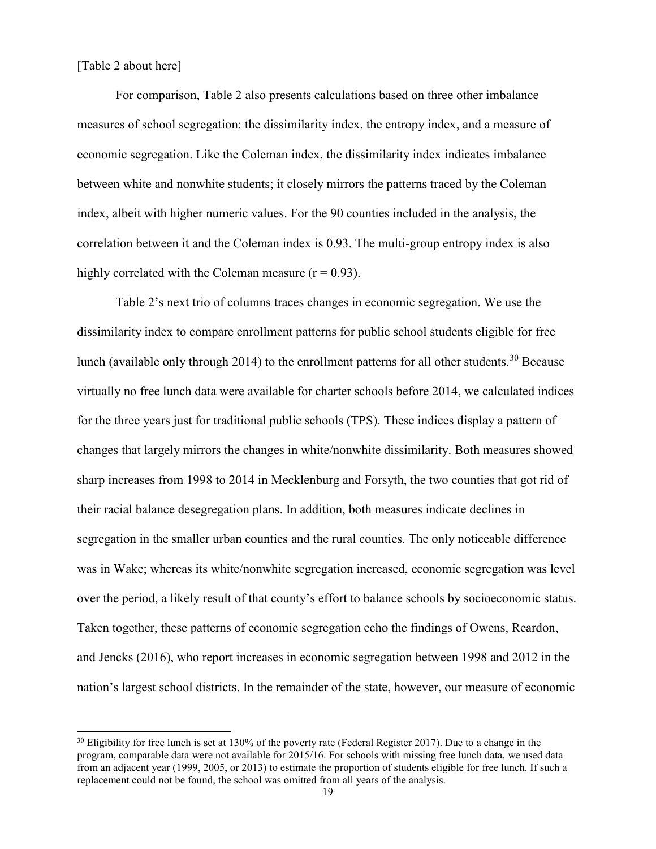[Table 2 about here]

 $\overline{a}$ 

For comparison, Table 2 also presents calculations based on three other imbalance measures of school segregation: the dissimilarity index, the entropy index, and a measure of economic segregation. Like the Coleman index, the dissimilarity index indicates imbalance between white and nonwhite students; it closely mirrors the patterns traced by the Coleman index, albeit with higher numeric values. For the 90 counties included in the analysis, the correlation between it and the Coleman index is 0.93. The multi-group entropy index is also highly correlated with the Coleman measure  $(r = 0.93)$ .

Table 2's next trio of columns traces changes in economic segregation. We use the dissimilarity index to compare enrollment patterns for public school students eligible for free lunch (available only through 2014) to the enrollment patterns for all other students.<sup>[30](#page-19-0)</sup> Because virtually no free lunch data were available for charter schools before 2014, we calculated indices for the three years just for traditional public schools (TPS). These indices display a pattern of changes that largely mirrors the changes in white/nonwhite dissimilarity. Both measures showed sharp increases from 1998 to 2014 in Mecklenburg and Forsyth, the two counties that got rid of their racial balance desegregation plans. In addition, both measures indicate declines in segregation in the smaller urban counties and the rural counties. The only noticeable difference was in Wake; whereas its white/nonwhite segregation increased, economic segregation was level over the period, a likely result of that county's effort to balance schools by socioeconomic status. Taken together, these patterns of economic segregation echo the findings of Owens, Reardon, and Jencks (2016), who report increases in economic segregation between 1998 and 2012 in the nation's largest school districts. In the remainder of the state, however, our measure of economic

<span id="page-19-0"></span><sup>&</sup>lt;sup>30</sup> Eligibility for free lunch is set at 130% of the poverty rate (Federal Register 2017). Due to a change in the program, comparable data were not available for 2015/16. For schools with missing free lunch data, we used data from an adjacent year (1999, 2005, or 2013) to estimate the proportion of students eligible for free lunch. If such a replacement could not be found, the school was omitted from all years of the analysis.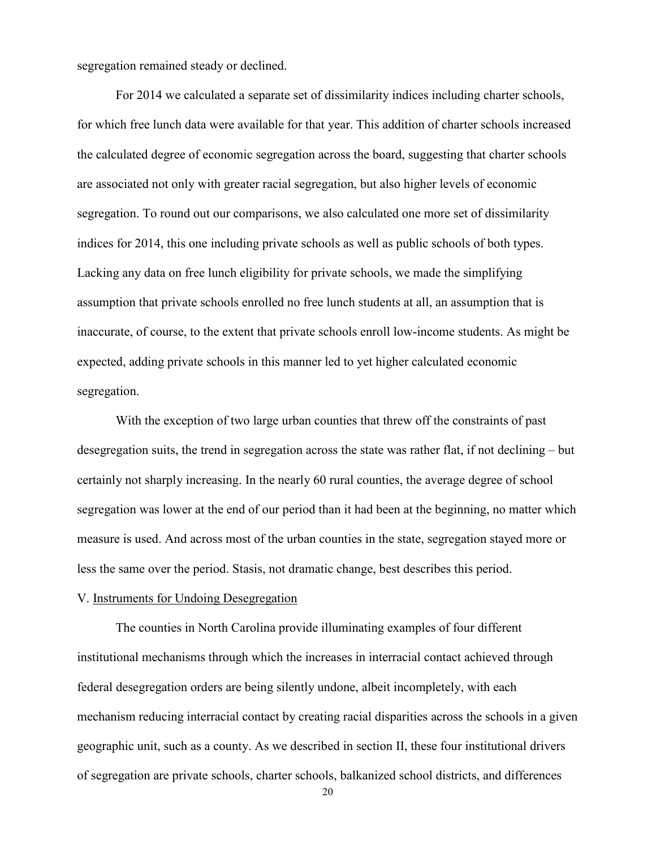segregation remained steady or declined.

For 2014 we calculated a separate set of dissimilarity indices including charter schools, for which free lunch data were available for that year. This addition of charter schools increased the calculated degree of economic segregation across the board, suggesting that charter schools are associated not only with greater racial segregation, but also higher levels of economic segregation. To round out our comparisons, we also calculated one more set of dissimilarity indices for 2014, this one including private schools as well as public schools of both types. Lacking any data on free lunch eligibility for private schools, we made the simplifying assumption that private schools enrolled no free lunch students at all, an assumption that is inaccurate, of course, to the extent that private schools enroll low-income students. As might be expected, adding private schools in this manner led to yet higher calculated economic segregation.

With the exception of two large urban counties that threw off the constraints of past desegregation suits, the trend in segregation across the state was rather flat, if not declining – but certainly not sharply increasing. In the nearly 60 rural counties, the average degree of school segregation was lower at the end of our period than it had been at the beginning, no matter which measure is used. And across most of the urban counties in the state, segregation stayed more or less the same over the period. Stasis, not dramatic change, best describes this period.

#### V. Instruments for Undoing Desegregation

The counties in North Carolina provide illuminating examples of four different institutional mechanisms through which the increases in interracial contact achieved through federal desegregation orders are being silently undone, albeit incompletely, with each mechanism reducing interracial contact by creating racial disparities across the schools in a given geographic unit, such as a county. As we described in section II, these four institutional drivers of segregation are private schools, charter schools, balkanized school districts, and differences

20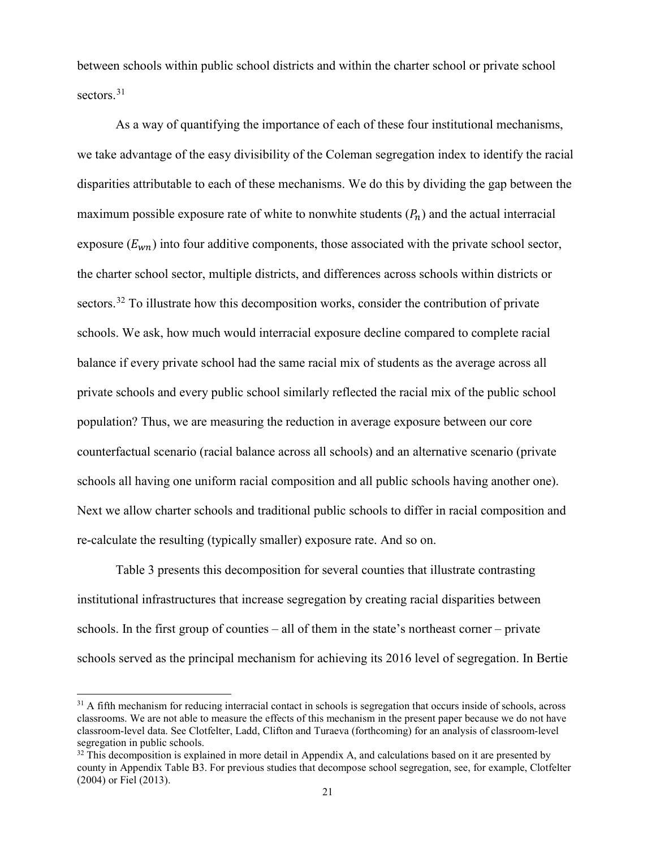between schools within public school districts and within the charter school or private school sectors. [31](#page-21-0)

As a way of quantifying the importance of each of these four institutional mechanisms, we take advantage of the easy divisibility of the Coleman segregation index to identify the racial disparities attributable to each of these mechanisms. We do this by dividing the gap between the maximum possible exposure rate of white to nonwhite students  $(P_n)$  and the actual interracial exposure  $(E_{wn})$  into four additive components, those associated with the private school sector, the charter school sector, multiple districts, and differences across schools within districts or sectors.<sup>[32](#page-21-1)</sup> To illustrate how this decomposition works, consider the contribution of private schools. We ask, how much would interracial exposure decline compared to complete racial balance if every private school had the same racial mix of students as the average across all private schools and every public school similarly reflected the racial mix of the public school population? Thus, we are measuring the reduction in average exposure between our core counterfactual scenario (racial balance across all schools) and an alternative scenario (private schools all having one uniform racial composition and all public schools having another one). Next we allow charter schools and traditional public schools to differ in racial composition and re-calculate the resulting (typically smaller) exposure rate. And so on.

Table 3 presents this decomposition for several counties that illustrate contrasting institutional infrastructures that increase segregation by creating racial disparities between schools. In the first group of counties – all of them in the state's northeast corner – private schools served as the principal mechanism for achieving its 2016 level of segregation. In Bertie

<span id="page-21-0"></span> $31$  A fifth mechanism for reducing interracial contact in schools is segregation that occurs inside of schools, across classrooms. We are not able to measure the effects of this mechanism in the present paper because we do not have classroom-level data. See Clotfelter, Ladd, Clifton and Turaeva (forthcoming) for an analysis of classroom-level segregation in public schools.

<span id="page-21-1"></span> $32$  This decomposition is explained in more detail in Appendix A, and calculations based on it are presented by county in Appendix Table B3. For previous studies that decompose school segregation, see, for example, Clotfelter (2004) or Fiel (2013).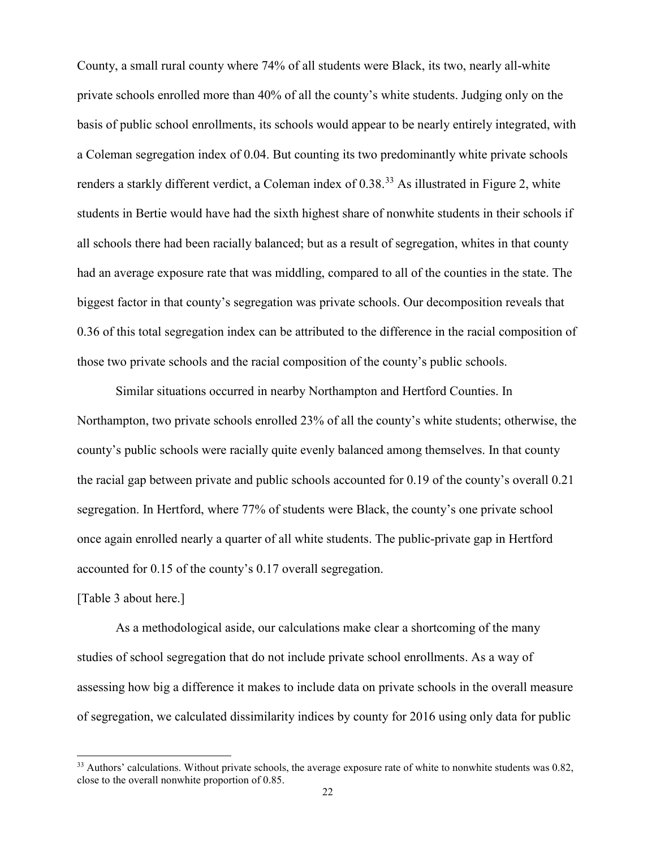County, a small rural county where 74% of all students were Black, its two, nearly all-white private schools enrolled more than 40% of all the county's white students. Judging only on the basis of public school enrollments, its schools would appear to be nearly entirely integrated, with a Coleman segregation index of 0.04. But counting its two predominantly white private schools renders a starkly different verdict, a Coleman index of 0.38.<sup>[33](#page-22-0)</sup> As illustrated in Figure 2, white students in Bertie would have had the sixth highest share of nonwhite students in their schools if all schools there had been racially balanced; but as a result of segregation, whites in that county had an average exposure rate that was middling, compared to all of the counties in the state. The biggest factor in that county's segregation was private schools. Our decomposition reveals that 0.36 of this total segregation index can be attributed to the difference in the racial composition of those two private schools and the racial composition of the county's public schools.

Similar situations occurred in nearby Northampton and Hertford Counties. In Northampton, two private schools enrolled 23% of all the county's white students; otherwise, the county's public schools were racially quite evenly balanced among themselves. In that county the racial gap between private and public schools accounted for 0.19 of the county's overall 0.21 segregation. In Hertford, where 77% of students were Black, the county's one private school once again enrolled nearly a quarter of all white students. The public-private gap in Hertford accounted for 0.15 of the county's 0.17 overall segregation.

#### [Table 3 about here.]

 $\overline{a}$ 

As a methodological aside, our calculations make clear a shortcoming of the many studies of school segregation that do not include private school enrollments. As a way of assessing how big a difference it makes to include data on private schools in the overall measure of segregation, we calculated dissimilarity indices by county for 2016 using only data for public

<span id="page-22-0"></span> $33$  Authors' calculations. Without private schools, the average exposure rate of white to nonwhite students was  $0.82$ , close to the overall nonwhite proportion of 0.85.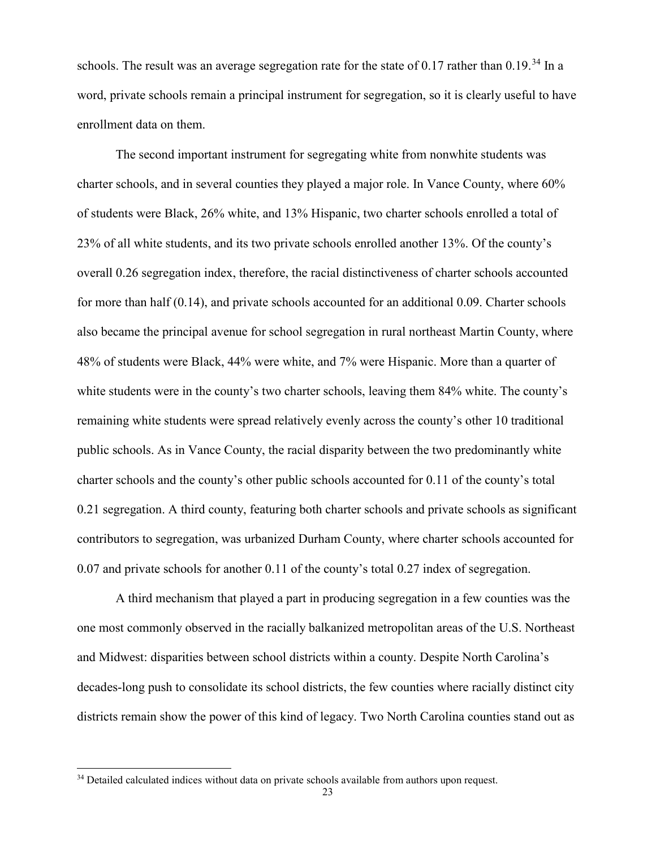schools. The result was an average segregation rate for the state of 0.17 rather than  $0.19$ .<sup>[34](#page-23-0)</sup> In a word, private schools remain a principal instrument for segregation, so it is clearly useful to have enrollment data on them.

The second important instrument for segregating white from nonwhite students was charter schools, and in several counties they played a major role. In Vance County, where 60% of students were Black, 26% white, and 13% Hispanic, two charter schools enrolled a total of 23% of all white students, and its two private schools enrolled another 13%. Of the county's overall 0.26 segregation index, therefore, the racial distinctiveness of charter schools accounted for more than half (0.14), and private schools accounted for an additional 0.09. Charter schools also became the principal avenue for school segregation in rural northeast Martin County, where 48% of students were Black, 44% were white, and 7% were Hispanic. More than a quarter of white students were in the county's two charter schools, leaving them 84% white. The county's remaining white students were spread relatively evenly across the county's other 10 traditional public schools. As in Vance County, the racial disparity between the two predominantly white charter schools and the county's other public schools accounted for 0.11 of the county's total 0.21 segregation. A third county, featuring both charter schools and private schools as significant contributors to segregation, was urbanized Durham County, where charter schools accounted for 0.07 and private schools for another 0.11 of the county's total 0.27 index of segregation.

A third mechanism that played a part in producing segregation in a few counties was the one most commonly observed in the racially balkanized metropolitan areas of the U.S. Northeast and Midwest: disparities between school districts within a county. Despite North Carolina's decades-long push to consolidate its school districts, the few counties where racially distinct city districts remain show the power of this kind of legacy. Two North Carolina counties stand out as

<span id="page-23-0"></span><sup>&</sup>lt;sup>34</sup> Detailed calculated indices without data on private schools available from authors upon request.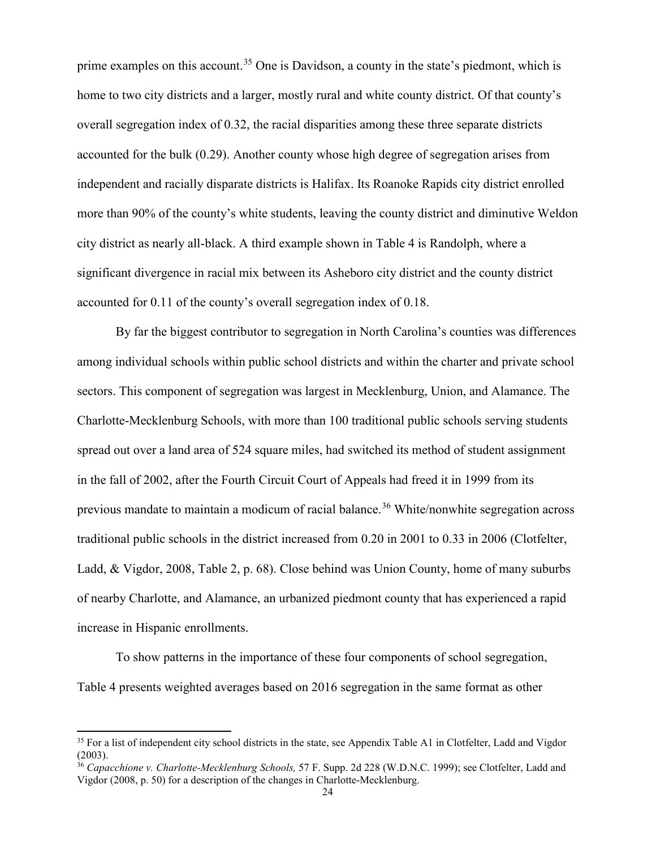prime examples on this account.<sup>[35](#page-24-0)</sup> One is Davidson, a county in the state's piedmont, which is home to two city districts and a larger, mostly rural and white county district. Of that county's overall segregation index of 0.32, the racial disparities among these three separate districts accounted for the bulk (0.29). Another county whose high degree of segregation arises from independent and racially disparate districts is Halifax. Its Roanoke Rapids city district enrolled more than 90% of the county's white students, leaving the county district and diminutive Weldon city district as nearly all-black. A third example shown in Table 4 is Randolph, where a significant divergence in racial mix between its Asheboro city district and the county district accounted for 0.11 of the county's overall segregation index of 0.18.

By far the biggest contributor to segregation in North Carolina's counties was differences among individual schools within public school districts and within the charter and private school sectors. This component of segregation was largest in Mecklenburg, Union, and Alamance. The Charlotte-Mecklenburg Schools, with more than 100 traditional public schools serving students spread out over a land area of 524 square miles, had switched its method of student assignment in the fall of 2002, after the Fourth Circuit Court of Appeals had freed it in 1999 from its previous mandate to maintain a modicum of racial balance.<sup>[36](#page-24-1)</sup> White/nonwhite segregation across traditional public schools in the district increased from 0.20 in 2001 to 0.33 in 2006 (Clotfelter, Ladd, & Vigdor, 2008, Table 2, p. 68). Close behind was Union County, home of many suburbs of nearby Charlotte, and Alamance, an urbanized piedmont county that has experienced a rapid increase in Hispanic enrollments.

To show patterns in the importance of these four components of school segregation, Table 4 presents weighted averages based on 2016 segregation in the same format as other

<span id="page-24-0"></span><sup>&</sup>lt;sup>35</sup> For a list of independent city school districts in the state, see Appendix Table A1 in Clotfelter, Ladd and Vigdor (2003).

<span id="page-24-1"></span><sup>36</sup> *Capacchione v. Charlotte-Mecklenburg Schools,* 57 F. Supp. 2d 228 (W.D.N.C. 1999); see Clotfelter, Ladd and Vigdor (2008, p. 50) for a description of the changes in Charlotte-Mecklenburg.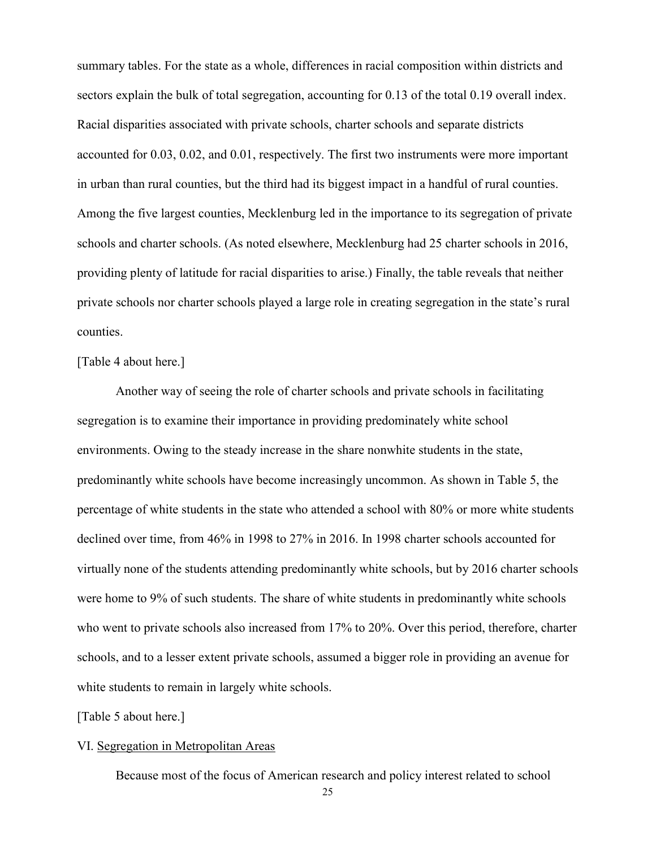summary tables. For the state as a whole, differences in racial composition within districts and sectors explain the bulk of total segregation, accounting for 0.13 of the total 0.19 overall index. Racial disparities associated with private schools, charter schools and separate districts accounted for 0.03, 0.02, and 0.01, respectively. The first two instruments were more important in urban than rural counties, but the third had its biggest impact in a handful of rural counties. Among the five largest counties, Mecklenburg led in the importance to its segregation of private schools and charter schools. (As noted elsewhere, Mecklenburg had 25 charter schools in 2016, providing plenty of latitude for racial disparities to arise.) Finally, the table reveals that neither private schools nor charter schools played a large role in creating segregation in the state's rural counties.

#### [Table 4 about here.]

Another way of seeing the role of charter schools and private schools in facilitating segregation is to examine their importance in providing predominately white school environments. Owing to the steady increase in the share nonwhite students in the state, predominantly white schools have become increasingly uncommon. As shown in Table 5, the percentage of white students in the state who attended a school with 80% or more white students declined over time, from 46% in 1998 to 27% in 2016. In 1998 charter schools accounted for virtually none of the students attending predominantly white schools, but by 2016 charter schools were home to 9% of such students. The share of white students in predominantly white schools who went to private schools also increased from 17% to 20%. Over this period, therefore, charter schools, and to a lesser extent private schools, assumed a bigger role in providing an avenue for white students to remain in largely white schools.

[Table 5 about here.]

#### VI. Segregation in Metropolitan Areas

Because most of the focus of American research and policy interest related to school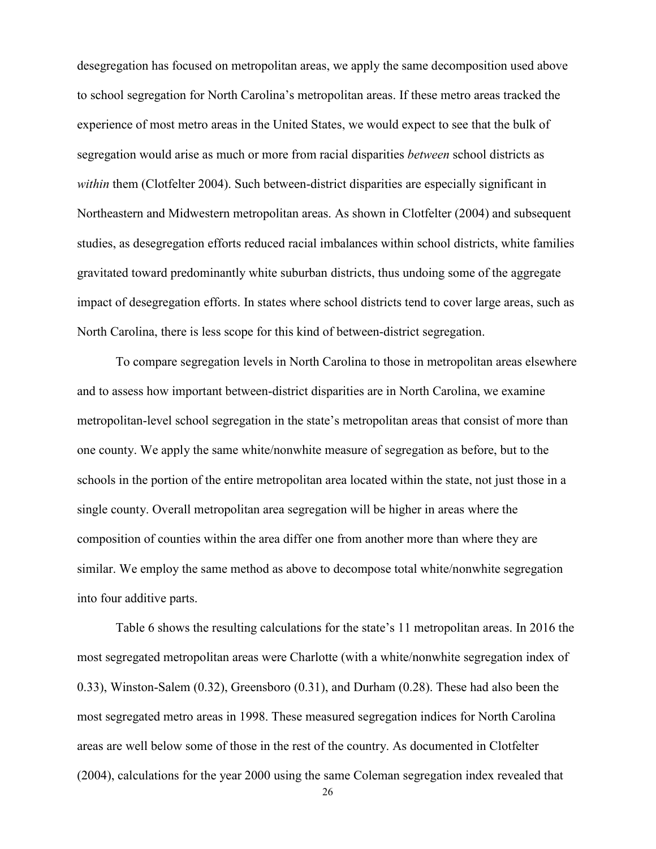desegregation has focused on metropolitan areas, we apply the same decomposition used above to school segregation for North Carolina's metropolitan areas. If these metro areas tracked the experience of most metro areas in the United States, we would expect to see that the bulk of segregation would arise as much or more from racial disparities *between* school districts as *within* them (Clotfelter 2004). Such between-district disparities are especially significant in Northeastern and Midwestern metropolitan areas. As shown in Clotfelter (2004) and subsequent studies, as desegregation efforts reduced racial imbalances within school districts, white families gravitated toward predominantly white suburban districts, thus undoing some of the aggregate impact of desegregation efforts. In states where school districts tend to cover large areas, such as North Carolina, there is less scope for this kind of between-district segregation.

To compare segregation levels in North Carolina to those in metropolitan areas elsewhere and to assess how important between-district disparities are in North Carolina, we examine metropolitan-level school segregation in the state's metropolitan areas that consist of more than one county. We apply the same white/nonwhite measure of segregation as before, but to the schools in the portion of the entire metropolitan area located within the state, not just those in a single county. Overall metropolitan area segregation will be higher in areas where the composition of counties within the area differ one from another more than where they are similar. We employ the same method as above to decompose total white/nonwhite segregation into four additive parts.

Table 6 shows the resulting calculations for the state's 11 metropolitan areas. In 2016 the most segregated metropolitan areas were Charlotte (with a white/nonwhite segregation index of 0.33), Winston-Salem (0.32), Greensboro (0.31), and Durham (0.28). These had also been the most segregated metro areas in 1998. These measured segregation indices for North Carolina areas are well below some of those in the rest of the country. As documented in Clotfelter (2004), calculations for the year 2000 using the same Coleman segregation index revealed that

26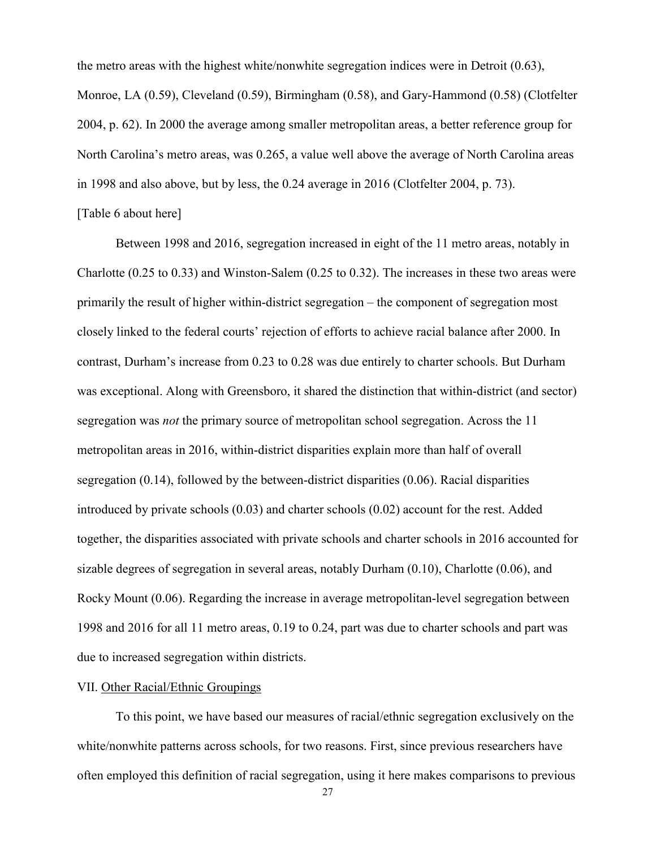the metro areas with the highest white/nonwhite segregation indices were in Detroit (0.63), Monroe, LA (0.59), Cleveland (0.59), Birmingham (0.58), and Gary-Hammond (0.58) (Clotfelter 2004, p. 62). In 2000 the average among smaller metropolitan areas, a better reference group for North Carolina's metro areas, was 0.265, a value well above the average of North Carolina areas in 1998 and also above, but by less, the 0.24 average in 2016 (Clotfelter 2004, p. 73). [Table 6 about here]

# Between 1998 and 2016, segregation increased in eight of the 11 metro areas, notably in Charlotte (0.25 to 0.33) and Winston-Salem (0.25 to 0.32). The increases in these two areas were primarily the result of higher within-district segregation – the component of segregation most closely linked to the federal courts' rejection of efforts to achieve racial balance after 2000. In contrast, Durham's increase from 0.23 to 0.28 was due entirely to charter schools. But Durham was exceptional. Along with Greensboro, it shared the distinction that within-district (and sector) segregation was *not* the primary source of metropolitan school segregation. Across the 11 metropolitan areas in 2016, within-district disparities explain more than half of overall segregation (0.14), followed by the between-district disparities (0.06). Racial disparities introduced by private schools (0.03) and charter schools (0.02) account for the rest. Added together, the disparities associated with private schools and charter schools in 2016 accounted for sizable degrees of segregation in several areas, notably Durham  $(0.10)$ , Charlotte  $(0.06)$ , and Rocky Mount (0.06). Regarding the increase in average metropolitan-level segregation between 1998 and 2016 for all 11 metro areas, 0.19 to 0.24, part was due to charter schools and part was due to increased segregation within districts.

#### VII. Other Racial/Ethnic Groupings

To this point, we have based our measures of racial/ethnic segregation exclusively on the white/nonwhite patterns across schools, for two reasons. First, since previous researchers have often employed this definition of racial segregation, using it here makes comparisons to previous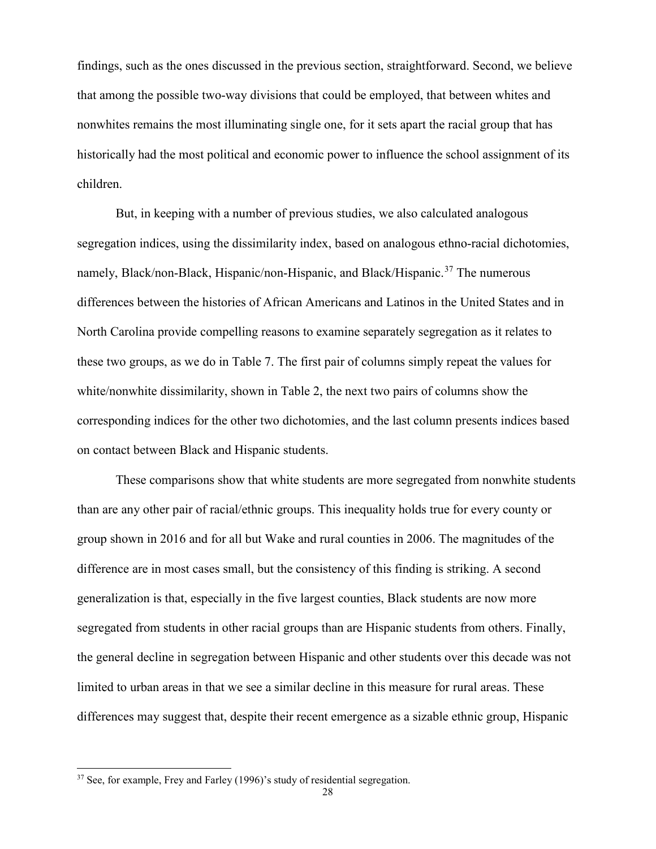findings, such as the ones discussed in the previous section, straightforward. Second, we believe that among the possible two-way divisions that could be employed, that between whites and nonwhites remains the most illuminating single one, for it sets apart the racial group that has historically had the most political and economic power to influence the school assignment of its children.

But, in keeping with a number of previous studies, we also calculated analogous segregation indices, using the dissimilarity index, based on analogous ethno-racial dichotomies, namely, Black/non-Black, Hispanic/non-Hispanic, and Black/Hispanic.<sup>[37](#page-28-0)</sup> The numerous differences between the histories of African Americans and Latinos in the United States and in North Carolina provide compelling reasons to examine separately segregation as it relates to these two groups, as we do in Table 7. The first pair of columns simply repeat the values for white/nonwhite dissimilarity, shown in Table 2, the next two pairs of columns show the corresponding indices for the other two dichotomies, and the last column presents indices based on contact between Black and Hispanic students.

These comparisons show that white students are more segregated from nonwhite students than are any other pair of racial/ethnic groups. This inequality holds true for every county or group shown in 2016 and for all but Wake and rural counties in 2006. The magnitudes of the difference are in most cases small, but the consistency of this finding is striking. A second generalization is that, especially in the five largest counties, Black students are now more segregated from students in other racial groups than are Hispanic students from others. Finally, the general decline in segregation between Hispanic and other students over this decade was not limited to urban areas in that we see a similar decline in this measure for rural areas. These differences may suggest that, despite their recent emergence as a sizable ethnic group, Hispanic

<span id="page-28-0"></span> $37$  See, for example, Frey and Farley (1996)'s study of residential segregation.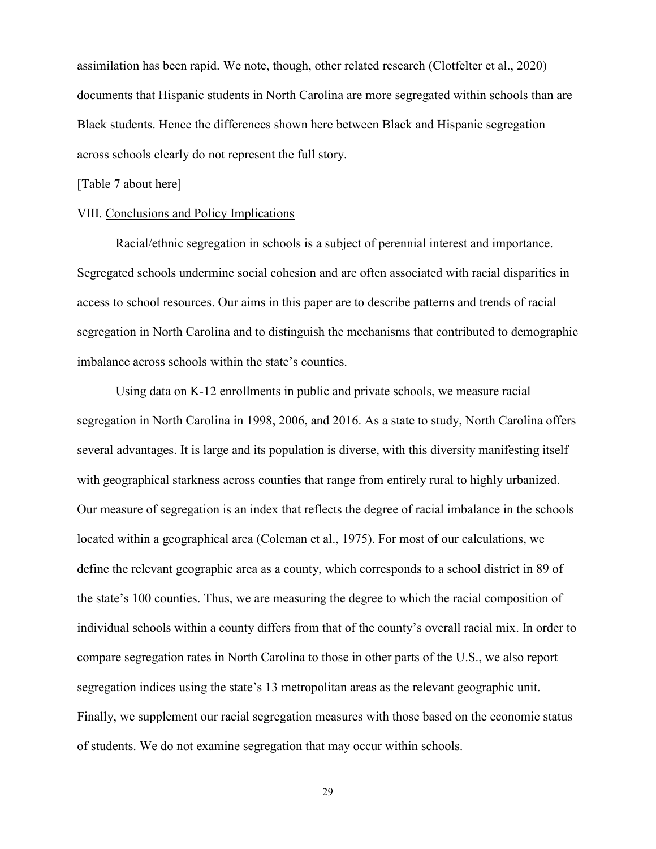assimilation has been rapid. We note, though, other related research (Clotfelter et al., 2020) documents that Hispanic students in North Carolina are more segregated within schools than are Black students. Hence the differences shown here between Black and Hispanic segregation across schools clearly do not represent the full story.

[Table 7 about here]

#### VIII. Conclusions and Policy Implications

Racial/ethnic segregation in schools is a subject of perennial interest and importance. Segregated schools undermine social cohesion and are often associated with racial disparities in access to school resources. Our aims in this paper are to describe patterns and trends of racial segregation in North Carolina and to distinguish the mechanisms that contributed to demographic imbalance across schools within the state's counties.

Using data on K-12 enrollments in public and private schools, we measure racial segregation in North Carolina in 1998, 2006, and 2016. As a state to study, North Carolina offers several advantages. It is large and its population is diverse, with this diversity manifesting itself with geographical starkness across counties that range from entirely rural to highly urbanized. Our measure of segregation is an index that reflects the degree of racial imbalance in the schools located within a geographical area (Coleman et al., 1975). For most of our calculations, we define the relevant geographic area as a county, which corresponds to a school district in 89 of the state's 100 counties. Thus, we are measuring the degree to which the racial composition of individual schools within a county differs from that of the county's overall racial mix. In order to compare segregation rates in North Carolina to those in other parts of the U.S., we also report segregation indices using the state's 13 metropolitan areas as the relevant geographic unit. Finally, we supplement our racial segregation measures with those based on the economic status of students. We do not examine segregation that may occur within schools.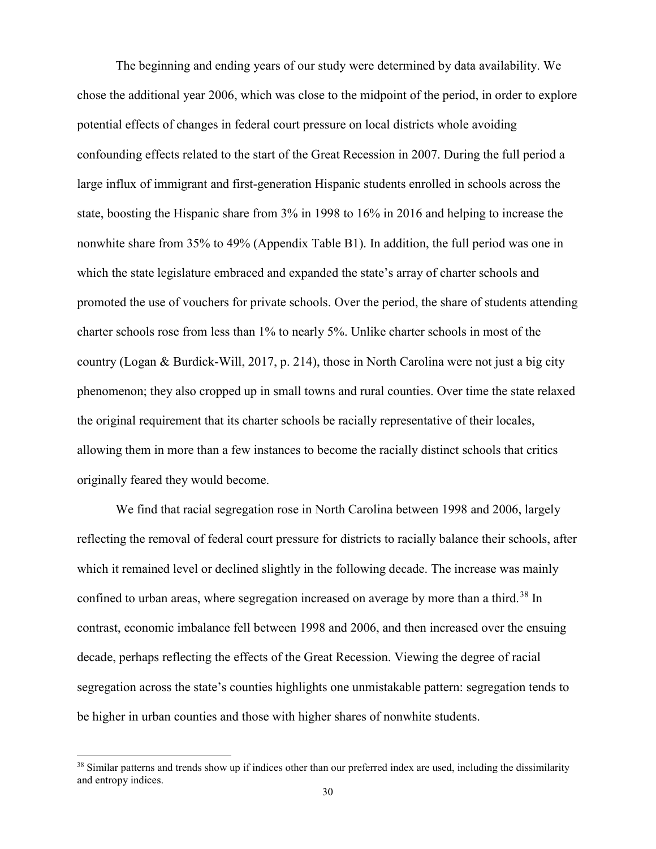The beginning and ending years of our study were determined by data availability. We chose the additional year 2006, which was close to the midpoint of the period, in order to explore potential effects of changes in federal court pressure on local districts whole avoiding confounding effects related to the start of the Great Recession in 2007. During the full period a large influx of immigrant and first-generation Hispanic students enrolled in schools across the state, boosting the Hispanic share from 3% in 1998 to 16% in 2016 and helping to increase the nonwhite share from 35% to 49% (Appendix Table B1). In addition, the full period was one in which the state legislature embraced and expanded the state's array of charter schools and promoted the use of vouchers for private schools. Over the period, the share of students attending charter schools rose from less than 1% to nearly 5%. Unlike charter schools in most of the country (Logan & Burdick-Will, 2017, p. 214), those in North Carolina were not just a big city phenomenon; they also cropped up in small towns and rural counties. Over time the state relaxed the original requirement that its charter schools be racially representative of their locales, allowing them in more than a few instances to become the racially distinct schools that critics originally feared they would become.

We find that racial segregation rose in North Carolina between 1998 and 2006, largely reflecting the removal of federal court pressure for districts to racially balance their schools, after which it remained level or declined slightly in the following decade. The increase was mainly confined to urban areas, where segregation increased on average by more than a third.<sup>[38](#page-30-0)</sup> In contrast, economic imbalance fell between 1998 and 2006, and then increased over the ensuing decade, perhaps reflecting the effects of the Great Recession. Viewing the degree of racial segregation across the state's counties highlights one unmistakable pattern: segregation tends to be higher in urban counties and those with higher shares of nonwhite students.

<span id="page-30-0"></span> $38$  Similar patterns and trends show up if indices other than our preferred index are used, including the dissimilarity and entropy indices.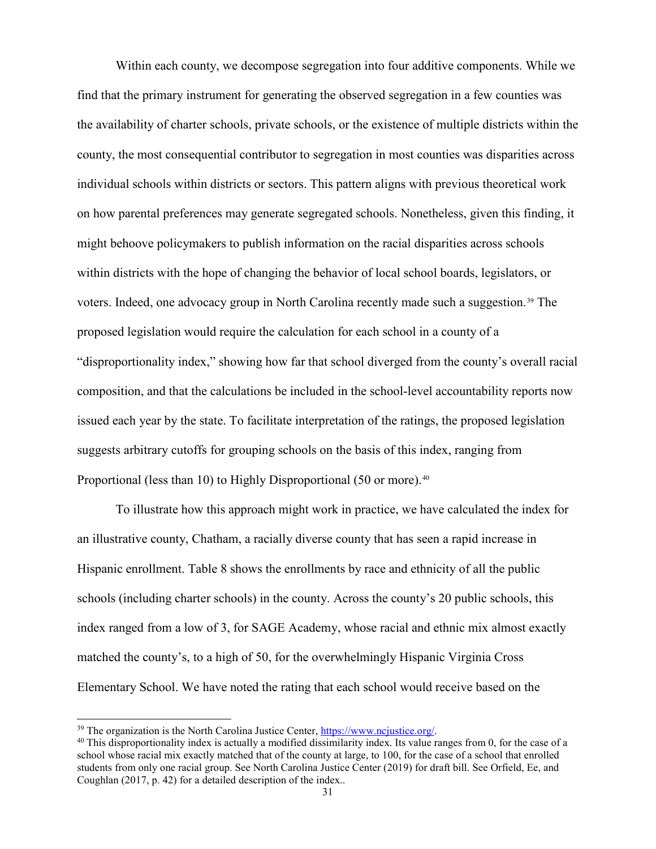Within each county, we decompose segregation into four additive components. While we find that the primary instrument for generating the observed segregation in a few counties was the availability of charter schools, private schools, or the existence of multiple districts within the county, the most consequential contributor to segregation in most counties was disparities across individual schools within districts or sectors. This pattern aligns with previous theoretical work on how parental preferences may generate segregated schools. Nonetheless, given this finding, it might behoove policymakers to publish information on the racial disparities across schools within districts with the hope of changing the behavior of local school boards, legislators, or voters. Indeed, one advocacy group in North Carolina recently made such a suggestion.[39](#page-31-0) The proposed legislation would require the calculation for each school in a county of a "disproportionality index," showing how far that school diverged from the county's overall racial composition, and that the calculations be included in the school-level accountability reports now issued each year by the state. To facilitate interpretation of the ratings, the proposed legislation suggests arbitrary cutoffs for grouping schools on the basis of this index, ranging from Proportional (less than 10) to Highly Disproportional (50 or more).<sup>[40](#page-31-1)</sup>

To illustrate how this approach might work in practice, we have calculated the index for an illustrative county, Chatham, a racially diverse county that has seen a rapid increase in Hispanic enrollment. Table 8 shows the enrollments by race and ethnicity of all the public schools (including charter schools) in the county. Across the county's 20 public schools, this index ranged from a low of 3, for SAGE Academy, whose racial and ethnic mix almost exactly matched the county's, to a high of 50, for the overwhelmingly Hispanic Virginia Cross Elementary School. We have noted the rating that each school would receive based on the

<span id="page-31-1"></span><span id="page-31-0"></span><sup>&</sup>lt;sup>39</sup> The organization is the North Carolina Justice Center,  $\frac{https://www.ncjustice.org/}{https://www.ncjustice.org/})$ <br><sup>40</sup> This disproportionality index is actually a modified dissimilarity index. Its value ranges from 0, for the case of a school whose racial mix exactly matched that of the county at large, to 100, for the case of a school that enrolled students from only one racial group. See North Carolina Justice Center (2019) for draft bill. See Orfield, Ee, and Coughlan (2017, p. 42) for a detailed description of the index..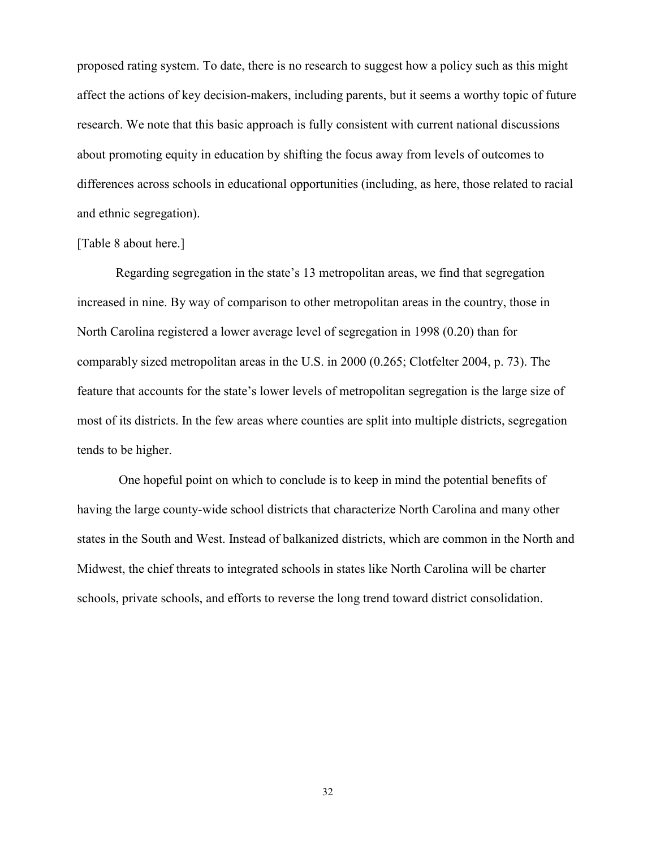proposed rating system. To date, there is no research to suggest how a policy such as this might affect the actions of key decision-makers, including parents, but it seems a worthy topic of future research. We note that this basic approach is fully consistent with current national discussions about promoting equity in education by shifting the focus away from levels of outcomes to differences across schools in educational opportunities (including, as here, those related to racial and ethnic segregation).

#### [Table 8 about here.]

Regarding segregation in the state's 13 metropolitan areas, we find that segregation increased in nine. By way of comparison to other metropolitan areas in the country, those in North Carolina registered a lower average level of segregation in 1998 (0.20) than for comparably sized metropolitan areas in the U.S. in 2000 (0.265; Clotfelter 2004, p. 73). The feature that accounts for the state's lower levels of metropolitan segregation is the large size of most of its districts. In the few areas where counties are split into multiple districts, segregation tends to be higher.

One hopeful point on which to conclude is to keep in mind the potential benefits of having the large county-wide school districts that characterize North Carolina and many other states in the South and West. Instead of balkanized districts, which are common in the North and Midwest, the chief threats to integrated schools in states like North Carolina will be charter schools, private schools, and efforts to reverse the long trend toward district consolidation.

32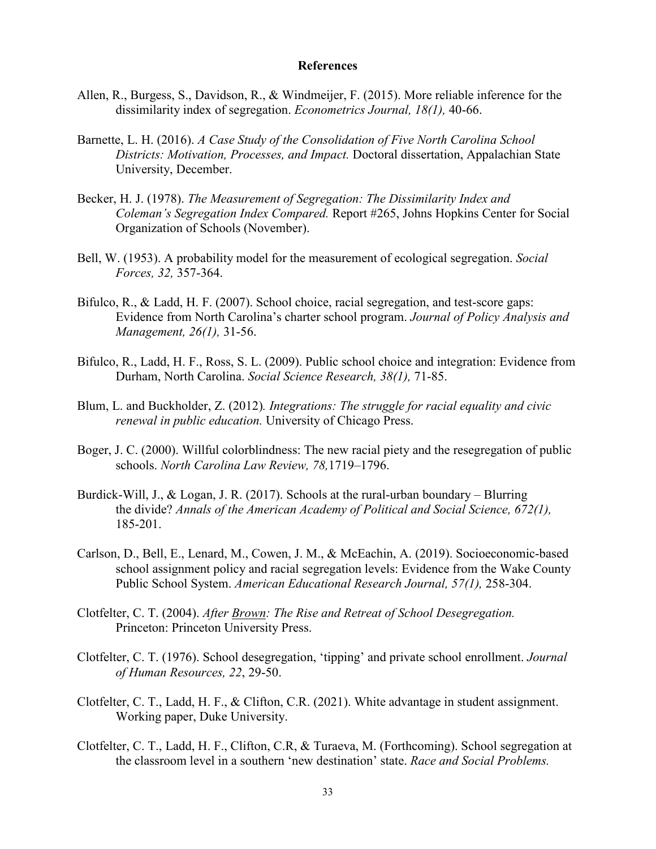#### **References**

- Allen, R., Burgess, S., Davidson, R., & Windmeijer, F. (2015). More reliable inference for the dissimilarity index of segregation. *Econometrics Journal, 18(1),* 40-66.
- Barnette, L. H. (2016). *A Case Study of the Consolidation of Five North Carolina School Districts: Motivation, Processes, and Impact.* Doctoral dissertation, Appalachian State University, December.
- Becker, H. J. (1978). *The Measurement of Segregation: The Dissimilarity Index and Coleman's Segregation Index Compared.* Report #265, Johns Hopkins Center for Social Organization of Schools (November).
- Bell, W. (1953). A probability model for the measurement of ecological segregation. *Social Forces, 32,* 357-364.
- Bifulco, R., & Ladd, H. F. (2007). School choice, racial segregation, and test-score gaps: Evidence from North Carolina's charter school program. *Journal of Policy Analysis and Management, 26(1),* 31-56.
- Bifulco, R., Ladd, H. F., Ross, S. L. (2009). Public school choice and integration: Evidence from Durham, North Carolina. *Social Science Research, 38(1),* 71-85.
- Blum, L. and Buckholder, Z. (2012)*. Integrations: The struggle for racial equality and civic renewal in public education.* University of Chicago Press.
- Boger, J. C. (2000). Willful colorblindness: The new racial piety and the resegregation of public schools. *North Carolina Law Review, 78,*1719–1796.
- Burdick-Will, J., & Logan, J. R. (2017). Schools at the rural-urban boundary Blurring the divide? *Annals of the American Academy of Political and Social Science, 672(1),* 185-201.
- Carlson, D., Bell, E., Lenard, M., Cowen, J. M., & McEachin, A. (2019). Socioeconomic-based school assignment policy and racial segregation levels: Evidence from the Wake County Public School System. *American Educational Research Journal, 57(1),* 258-304.
- Clotfelter, C. T. (2004). *After Brown: The Rise and Retreat of School Desegregation.*  Princeton: Princeton University Press.
- Clotfelter, C. T. (1976). School desegregation, 'tipping' and private school enrollment. *Journal of Human Resources, 22*, 29-50.
- Clotfelter, C. T., Ladd, H. F., & Clifton, C.R. (2021). White advantage in student assignment. Working paper, Duke University.
- Clotfelter, C. T., Ladd, H. F., Clifton, C.R, & Turaeva, M. (Forthcoming). School segregation at the classroom level in a southern 'new destination' state. *Race and Social Problems.*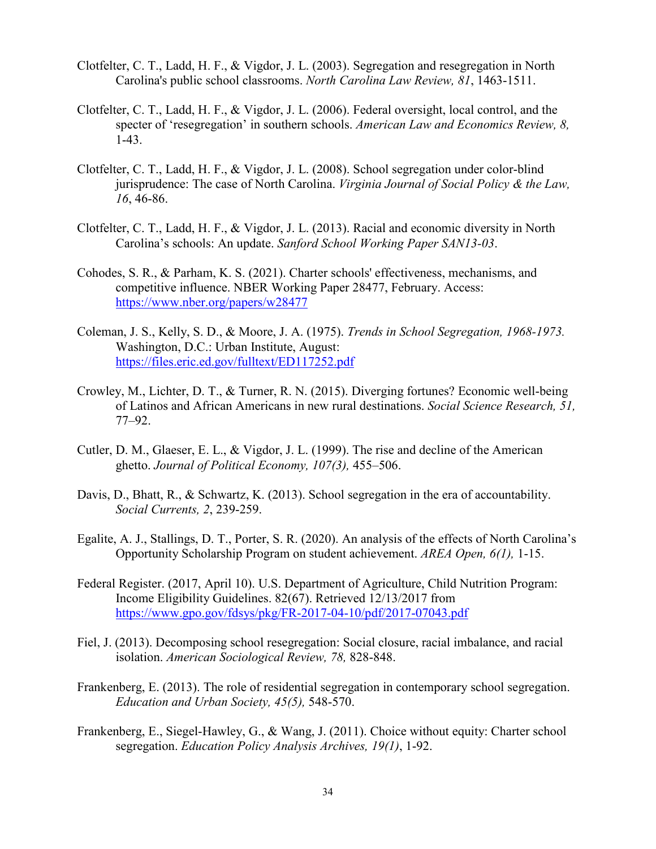- Clotfelter, C. T., Ladd, H. F., & Vigdor, J. L. (2003). Segregation and resegregation in North Carolina's public school classrooms. *North Carolina Law Review, 81*, 1463-1511.
- Clotfelter, C. T., Ladd, H. F., & Vigdor, J. L. (2006). Federal oversight, local control, and the specter of 'resegregation' in southern schools. *American Law and Economics Review, 8,* 1-43.
- Clotfelter, C. T., Ladd, H. F., & Vigdor, J. L. (2008). School segregation under color-blind jurisprudence: The case of North Carolina. *Virginia Journal of Social Policy & the Law, 16*, 46-86.
- Clotfelter, C. T., Ladd, H. F., & Vigdor, J. L. (2013). Racial and economic diversity in North Carolina's schools: An update. *Sanford School Working Paper SAN13-03*.
- Cohodes, S. R., & Parham, K. S. (2021). Charter schools' effectiveness, mechanisms, and competitive influence. NBER Working Paper 28477, February. Access: <https://www.nber.org/papers/w28477>
- Coleman, J. S., Kelly, S. D., & Moore, J. A. (1975). *Trends in School Segregation, 1968-1973.*  Washington, D.C.: Urban Institute, August: <https://files.eric.ed.gov/fulltext/ED117252.pdf>
- Crowley, M., Lichter, D. T., & Turner, R. N. (2015). Diverging fortunes? Economic well-being of Latinos and African Americans in new rural destinations. *Social Science Research, 51,* 77–92.
- Cutler, D. M., Glaeser, E. L., & Vigdor, J. L. (1999). The rise and decline of the American ghetto. *Journal of Political Economy, 107(3),* 455–506.
- Davis, D., Bhatt, R., & Schwartz, K. (2013). School segregation in the era of accountability. *Social Currents, 2*, 239-259.
- Egalite, A. J., Stallings, D. T., Porter, S. R. (2020). An analysis of the effects of North Carolina's Opportunity Scholarship Program on student achievement. *AREA Open, 6(1),* 1-15.
- Federal Register. (2017, April 10). U.S. Department of Agriculture, Child Nutrition Program: Income Eligibility Guidelines. 82(67). Retrieved 12/13/2017 from <https://www.gpo.gov/fdsys/pkg/FR-2017-04-10/pdf/2017-07043.pdf>
- Fiel, J. (2013). Decomposing school resegregation: Social closure, racial imbalance, and racial isolation. *American Sociological Review, 78,* 828-848.
- Frankenberg, E. (2013). The role of residential segregation in contemporary school segregation. *Education and Urban Society, 45(5),* 548-570.
- Frankenberg, E., Siegel-Hawley, G., & Wang, J. (2011). Choice without equity: Charter school segregation. *Education Policy Analysis Archives, 19(1)*, 1-92.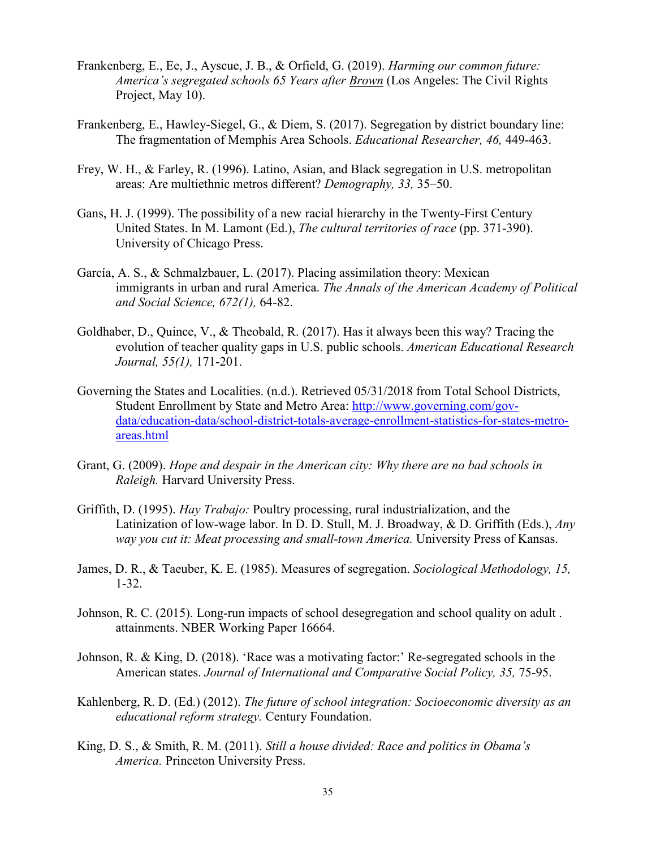- Frankenberg, E., Ee, J., Ayscue, J. B., & Orfield, G. (2019). *Harming our common future: America's segregated schools 65 Years after Brown* (Los Angeles: The Civil Rights Project, May 10).
- Frankenberg, E., Hawley-Siegel, G., & Diem, S. (2017). Segregation by district boundary line: The fragmentation of Memphis Area Schools. *Educational Researcher, 46,* 449-463.
- Frey, W. H., & Farley, R. (1996). Latino, Asian, and Black segregation in U.S. metropolitan areas: Are multiethnic metros different? *Demography, 33,* 35–50.
- Gans, H. J. (1999). The possibility of a new racial hierarchy in the Twenty-First Century United States. In M. Lamont (Ed.), *The cultural territories of race* (pp. 371-390). University of Chicago Press.
- García, A. S., & Schmalzbauer, L. (2017). Placing assimilation theory: Mexican immigrants in urban and rural America. *The Annals of the American Academy of Political and Social Science, 672(1),* 64-82.
- Goldhaber, D., Quince, V., & Theobald, R. (2017). Has it always been this way? Tracing the evolution of teacher quality gaps in U.S. public schools. *American Educational Research Journal, 55(1),* 171-201.
- Governing the States and Localities. (n.d.). Retrieved 05/31/2018 from Total School Districts, Student Enrollment by State and Metro Area: [http://www.governing.com/gov](http://www.governing.com/gov-data/education-data/school-district-totals-average-enrollment-statistics-for-states-metro-areas.html)[data/education-data/school-district-totals-average-enrollment-statistics-for-states-metro](http://www.governing.com/gov-data/education-data/school-district-totals-average-enrollment-statistics-for-states-metro-areas.html)[areas.html](http://www.governing.com/gov-data/education-data/school-district-totals-average-enrollment-statistics-for-states-metro-areas.html)
- Grant, G. (2009). *Hope and despair in the American city: Why there are no bad schools in Raleigh.* Harvard University Press.
- Griffith, D. (1995). *Hay Trabajo:* Poultry processing, rural industrialization, and the Latinization of low-wage labor. In D. D. Stull, M. J. Broadway, & D. Griffith (Eds.), *Any way you cut it: Meat processing and small-town America.* University Press of Kansas.
- James, D. R., & Taeuber, K. E. (1985). Measures of segregation. *Sociological Methodology, 15,*  1-32.
- Johnson, R. C. (2015). Long-run impacts of school desegregation and school quality on adult . attainments. NBER Working Paper 16664.
- Johnson, R. & King, D. (2018). 'Race was a motivating factor:' Re-segregated schools in the American states. *Journal of International and Comparative Social Policy, 35,* 75-95.
- Kahlenberg, R. D. (Ed.) (2012). *The future of school integration: Socioeconomic diversity as an educational reform strategy.* Century Foundation.
- King, D. S., & Smith, R. M. (2011). *Still a house divided: Race and politics in Obama's America.* Princeton University Press.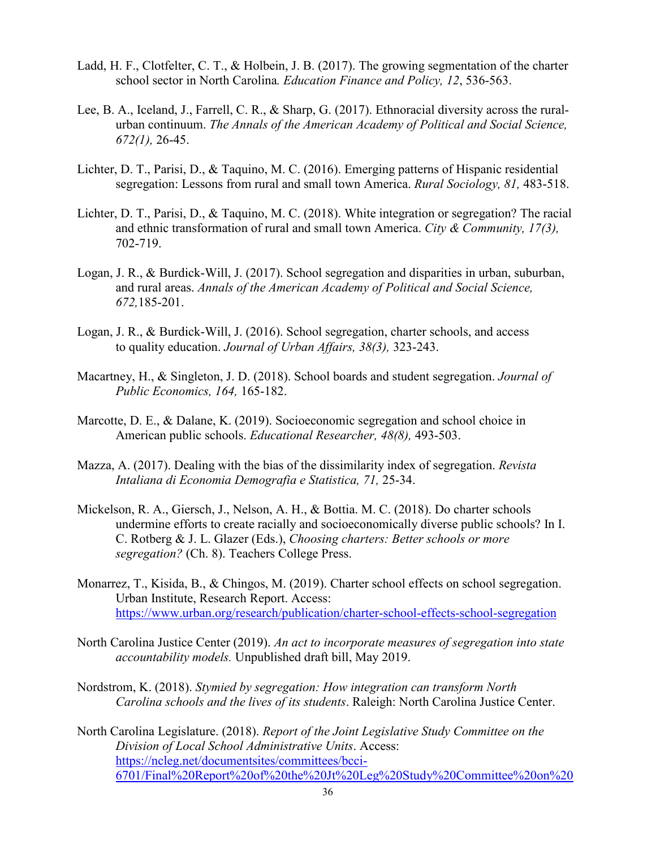- Ladd, H. F., Clotfelter, C. T., & Holbein, J. B. (2017). The growing segmentation of the charter school sector in North Carolina*. Education Finance and Policy, 12*, 536-563.
- Lee, B. A., Iceland, J., Farrell, C. R., & Sharp, G. (2017). Ethnoracial diversity across the ruralurban continuum. *The Annals of the American Academy of Political and Social Science, 672(1),* 26-45.
- Lichter, D. T., Parisi, D., & Taquino, M. C. (2016). Emerging patterns of Hispanic residential segregation: Lessons from rural and small town America. *Rural Sociology, 81,* 483-518.
- Lichter, D. T., Parisi, D., & Taquino, M. C. (2018). White integration or segregation? The racial and ethnic transformation of rural and small town America. *City & Community, 17(3),* 702-719.
- Logan, J. R., & Burdick-Will, J. (2017). School segregation and disparities in urban, suburban, and rural areas. *Annals of the American Academy of Political and Social Science, 672,*185-201.
- Logan, J. R., & Burdick-Will, J. (2016). School segregation, charter schools, and access to quality education. *Journal of Urban Affairs, 38(3),* 323-243.
- Macartney, H., & Singleton, J. D. (2018). School boards and student segregation. *Journal of Public Economics, 164,* 165-182.
- Marcotte, D. E., & Dalane, K. (2019). Socioeconomic segregation and school choice in American public schools. *Educational Researcher, 48(8),* 493-503.
- Mazza, A. (2017). Dealing with the bias of the dissimilarity index of segregation. *Revista Intaliana di Economia Demografia e Statistica, 71,* 25-34.
- Mickelson, R. A., Giersch, J., Nelson, A. H., & Bottia. M. C. (2018). Do charter schools undermine efforts to create racially and socioeconomically diverse public schools? In I. C. Rotberg & J. L. Glazer (Eds.), *Choosing charters: Better schools or more segregation?* (Ch. 8). Teachers College Press.
- Monarrez, T., Kisida, B., & Chingos, M. (2019). Charter school effects on school segregation. Urban Institute, Research Report. Access: <https://www.urban.org/research/publication/charter-school-effects-school-segregation>
- North Carolina Justice Center (2019). *An act to incorporate measures of segregation into state accountability models.* Unpublished draft bill, May 2019.
- Nordstrom, K. (2018). *Stymied by segregation: How integration can transform North Carolina schools and the lives of its students*. Raleigh: North Carolina Justice Center.
- North Carolina Legislature. (2018). *Report of the Joint Legislative Study Committee on the Division of Local School Administrative Units*. Access: [https://ncleg.net/documentsites/committees/bcci-](https://ncleg.net/documentsites/committees/bcci-6701/Final%20Report%20of%20the%20Jt%20Leg%20Study%20Committee%20on%20Division%20of%20Local%20School%20Admin%20Units.pdf)[6701/Final%20Report%20of%20the%20Jt%20Leg%20Study%20Committee%20on%20](https://ncleg.net/documentsites/committees/bcci-6701/Final%20Report%20of%20the%20Jt%20Leg%20Study%20Committee%20on%20Division%20of%20Local%20School%20Admin%20Units.pdf)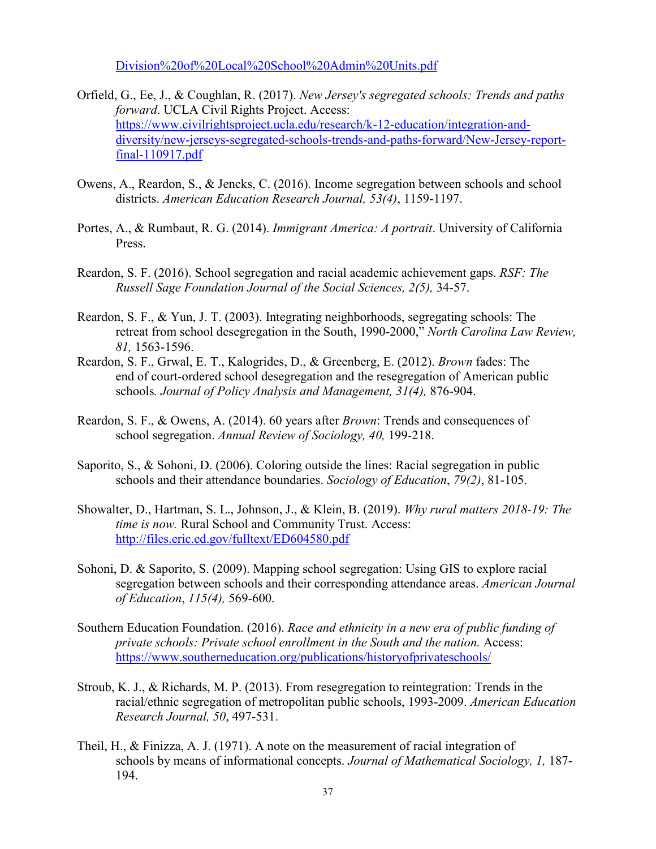[Division%20of%20Local%20School%20Admin%20Units.pdf](https://ncleg.net/documentsites/committees/bcci-6701/Final%20Report%20of%20the%20Jt%20Leg%20Study%20Committee%20on%20Division%20of%20Local%20School%20Admin%20Units.pdf)

- Orfield, G., Ee, J., & Coughlan, R. (2017). *New Jersey's segregated schools: Trends and paths forward*. UCLA Civil Rights Project. Access: [https://www.civilrightsproject.ucla.edu/research/k-12-education/integration-and](https://www.civilrightsproject.ucla.edu/research/k-12-education/integration-and-diversity/new-jerseys-segregated-schools-trends-and-paths-forward/New-Jersey-report-final-110917.pdf)[diversity/new-jerseys-segregated-schools-trends-and-paths-forward/New-Jersey-report](https://www.civilrightsproject.ucla.edu/research/k-12-education/integration-and-diversity/new-jerseys-segregated-schools-trends-and-paths-forward/New-Jersey-report-final-110917.pdf)[final-110917.pdf](https://www.civilrightsproject.ucla.edu/research/k-12-education/integration-and-diversity/new-jerseys-segregated-schools-trends-and-paths-forward/New-Jersey-report-final-110917.pdf)
- Owens, A., Reardon, S., & Jencks, C. (2016). Income segregation between schools and school districts. *American Education Research Journal, 53(4)*, 1159-1197.
- Portes, A., & Rumbaut, R. G. (2014). *Immigrant America: A portrait*. University of California Press.
- Reardon, S. F. (2016). School segregation and racial academic achievement gaps. *RSF: The Russell Sage Foundation Journal of the Social Sciences, 2(5),* 34-57.
- Reardon, S. F., & Yun, J. T. (2003). Integrating neighborhoods, segregating schools: The retreat from school desegregation in the South, 1990-2000," *North Carolina Law Review, 81,* 1563-1596.
- Reardon, S. F., Grwal, E. T., Kalogrides, D., & Greenberg, E. (2012). *Brown* fades: The end of court-ordered school desegregation and the resegregation of American public schools*. Journal of Policy Analysis and Management, 31(4),* 876-904.
- Reardon, S. F., & Owens, A. (2014). 60 years after *Brown*: Trends and consequences of school segregation. *Annual Review of Sociology, 40,* 199-218.
- Saporito, S., & Sohoni, D. (2006). Coloring outside the lines: Racial segregation in public schools and their attendance boundaries. *Sociology of Education*, *79(2)*, 81-105.
- Showalter, D., Hartman, S. L., Johnson, J., & Klein, B. (2019). *Why rural matters 2018-19: The time is now.* Rural School and Community Trust. Access: <http://files.eric.ed.gov/fulltext/ED604580.pdf>
- Sohoni, D. & Saporito, S. (2009). Mapping school segregation: Using GIS to explore racial segregation between schools and their corresponding attendance areas. *American Journal of Education*, *115(4),* 569-600.
- Southern Education Foundation. (2016). *Race and ethnicity in a new era of public funding of private schools: Private school enrollment in the South and the nation.* Access: <https://www.southerneducation.org/publications/historyofprivateschools/>
- Stroub, K. J., & Richards, M. P. (2013). From resegregation to reintegration: Trends in the racial/ethnic segregation of metropolitan public schools, 1993-2009. *American Education Research Journal, 50*, 497-531.
- Theil, H., & Finizza, A. J. (1971). A note on the measurement of racial integration of schools by means of informational concepts. *Journal of Mathematical Sociology, 1,* 187- 194.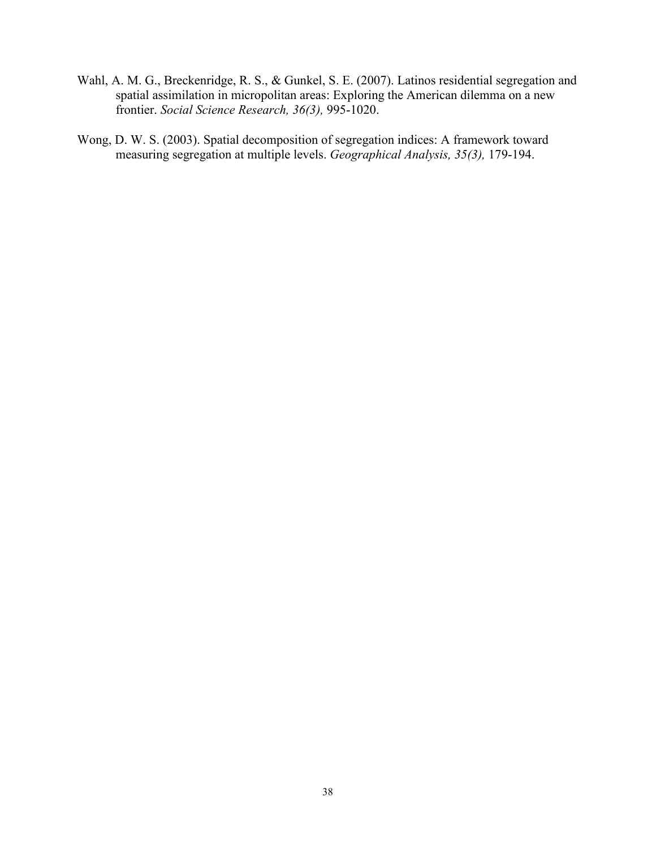- Wahl, A. M. G., Breckenridge, R. S., & Gunkel, S. E. (2007). Latinos residential segregation and spatial assimilation in micropolitan areas: Exploring the American dilemma on a new frontier. *Social Science Research, 36(3),* 995-1020.
- Wong, D. W. S. (2003). Spatial decomposition of segregation indices: A framework toward measuring segregation at multiple levels. *Geographical Analysis, 35(3),* 179-194.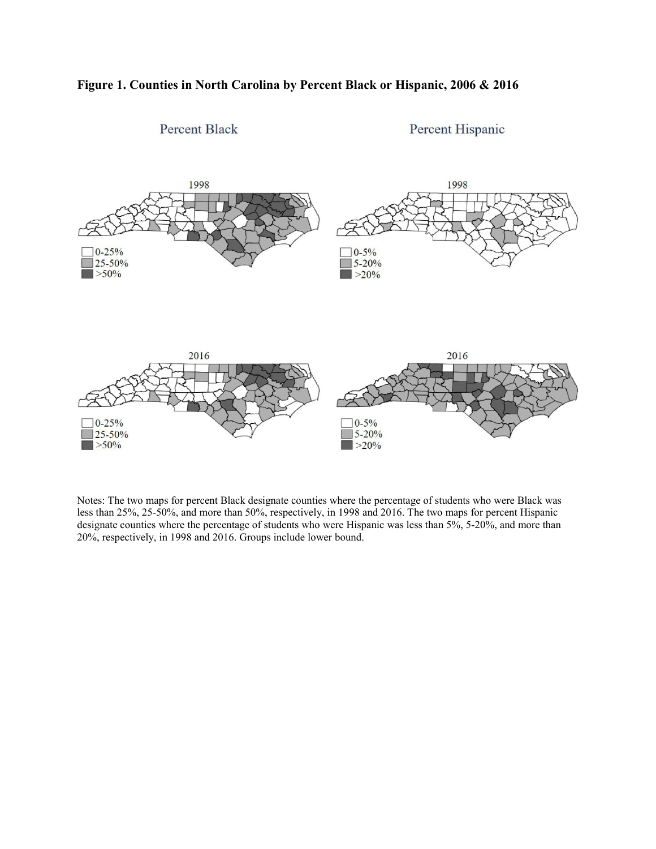



Notes: The two maps for percent Black designate counties where the percentage of students who were Black was less than 25%, 25-50%, and more than 50%, respectively, in 1998 and 2016. The two maps for percent Hispanic designate counties where the percentage of students who were Hispanic was less than 5%, 5-20%, and more than 20%, respectively, in 1998 and 2016. Groups include lower bound.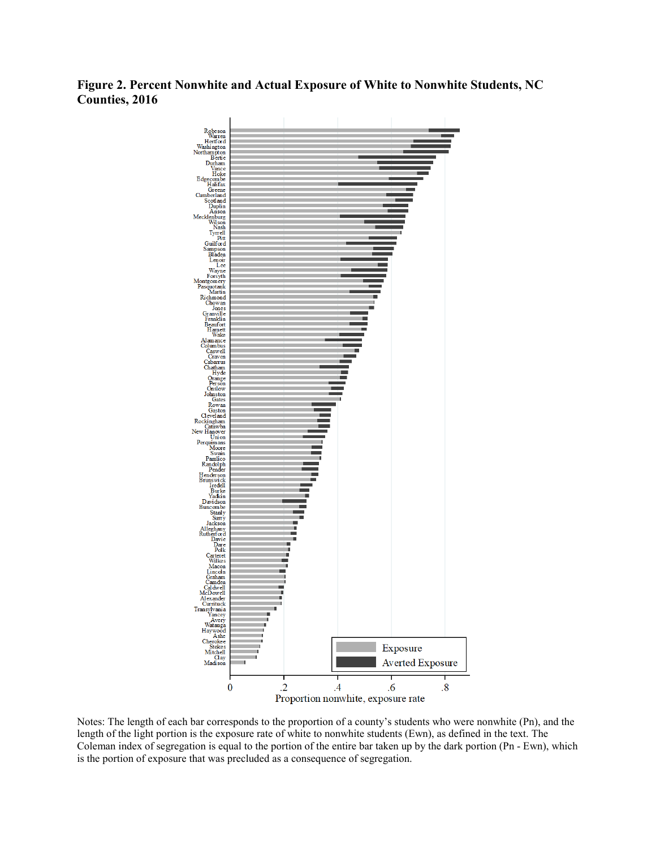**Figure 2. Percent Nonwhite and Actual Exposure of White to Nonwhite Students, NC Counties, 2016**



Notes: The length of each bar corresponds to the proportion of a county's students who were nonwhite (Pn), and the length of the light portion is the exposure rate of white to nonwhite students (Ewn), as defined in the text. The Coleman index of segregation is equal to the portion of the entire bar taken up by the dark portion (Pn - Ewn), which is the portion of exposure that was precluded as a consequence of segregation.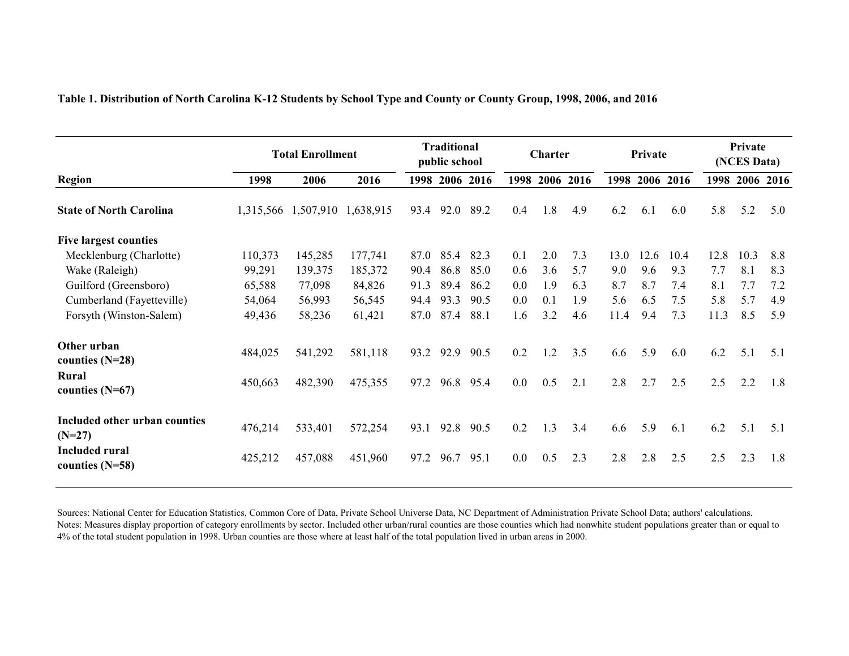|                                            |           | <b>Total Enrollment</b> |           |      | <b>Traditional</b><br>public school |                | Private<br><b>Charter</b> |     |           | Private<br>(NCES Data) |      |           |      |                |     |
|--------------------------------------------|-----------|-------------------------|-----------|------|-------------------------------------|----------------|---------------------------|-----|-----------|------------------------|------|-----------|------|----------------|-----|
| <b>Region</b>                              | 1998      | 2006                    | 2016      |      |                                     | 1998 2006 2016 | 1998                      |     | 2006 2016 | 1998                   |      | 2006 2016 |      | 1998 2006 2016 |     |
| <b>State of North Carolina</b>             | 1,315,566 | 1,507,910               | 1,638,915 | 93.4 | 92.0                                | 89.2           | 0.4                       | 1.8 | 4.9       | 6.2                    | 6.1  | 6.0       | 5.8  | 5.2            | 5.0 |
| <b>Five largest counties</b>               |           |                         |           |      |                                     |                |                           |     |           |                        |      |           |      |                |     |
| Mecklenburg (Charlotte)                    | 110,373   | 145,285                 | 177,741   | 87.0 | 85.4                                | 82.3           | 0.1                       | 2.0 | 7.3       | 13.0                   | 12.6 | 10.4      | 12.8 | 10.3           | 8.8 |
| Wake (Raleigh)                             | 99,291    | 139,375                 | 185,372   | 90.4 | 86.8                                | 85.0           | 0.6                       | 3.6 | 5.7       | 9.0                    | 9.6  | 9.3       | 7.7  | 8.1            | 8.3 |
| Guilford (Greensboro)                      | 65,588    | 77,098                  | 84,826    | 91.3 | 89.4                                | 86.2           | 0.0                       | 1.9 | 6.3       | 8.7                    | 8.7  | 7.4       | 8.1  | 7.7            | 7.2 |
| Cumberland (Fayetteville)                  | 54,064    | 56,993                  | 56,545    | 94.4 | 93.3                                | 90.5           | 0.0                       | 0.1 | 1.9       | 5.6                    | 6.5  | 7.5       | 5.8  | 5.7            | 4.9 |
| Forsyth (Winston-Salem)                    | 49,436    | 58,236                  | 61,421    | 87.0 | 87.4                                | 88.1           | 1.6                       | 3.2 | 4.6       | 11.4                   | 9.4  | 7.3       | 11.3 | 8.5            | 5.9 |
| Other urban<br>counties $(N=28)$           | 484,025   | 541,292                 | 581,118   | 93.2 | 92.9                                | 90.5           | 0.2                       | 1.2 | 3.5       | 6.6                    | 5.9  | 6.0       | 6.2  | 5.1            | 5.1 |
| <b>Rural</b><br>counties $(N=67)$          | 450,663   | 482,390                 | 475,355   | 97.2 | 96.8                                | 95.4           | $0.0\,$                   | 0.5 | 2.1       | 2.8                    | 2.7  | 2.5       | 2.5  | 2.2            | 1.8 |
| Included other urban counties<br>$(N=27)$  | 476,214   | 533,401                 | 572,254   | 93.1 | 92.8                                | 90.5           | 0.2                       | 1.3 | 3.4       | 6.6                    | 5.9  | 6.1       | 6.2  | 5.1            | 5.1 |
| <b>Included rural</b><br>counties $(N=58)$ | 425,212   | 457,088                 | 451,960   | 97.2 | 96.7                                | 95.1           | 0.0                       | 0.5 | 2.3       | 2.8                    | 2.8  | 2.5       | 2.5  | 2.3            | 1.8 |

#### **Table 1. Distribution of North Carolina K-12 Students by School Type and County or County Group, 1998, 2006, and 2016**

Sources: National Center for Education Statistics, Common Core of Data, Private School Universe Data, NC Department of Administration Private School Data; authors' calculations. Notes: Measures display proportion of category enrollments by sector. Included other urban/rural counties are those counties which had nonwhite student populations greater than or equal to 4% of the total student population in 1998. Urban counties are those where at least half of the total population lived in urban areas in 2000.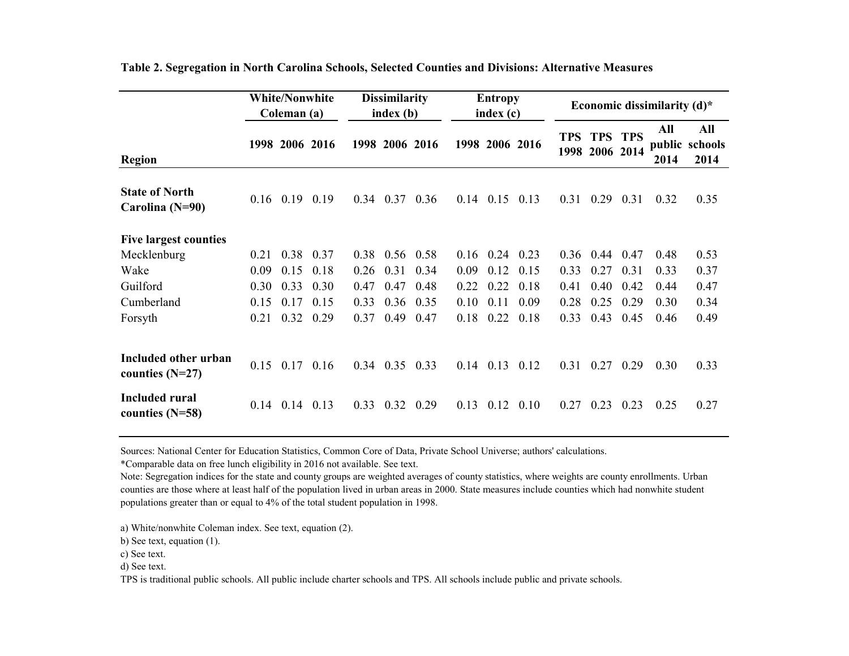|                                           |      | <b>White/Nonwhite</b><br>Coleman (a) |      |      | <b>Dissimilarity</b><br>index (b) |             |      | <b>Entropy</b><br>index(c) |      |            | Economic dissimilarity $(d)^*$   |      |             |                               |
|-------------------------------------------|------|--------------------------------------|------|------|-----------------------------------|-------------|------|----------------------------|------|------------|----------------------------------|------|-------------|-------------------------------|
| <b>Region</b>                             |      | 1998 2006 2016                       |      |      | 1998 2006 2016                    |             |      | 1998 2006 2016             |      | <b>TPS</b> | <b>TPS TPS</b><br>1998 2006 2014 |      | All<br>2014 | All<br>public schools<br>2014 |
| <b>State of North</b><br>Carolina (N=90)  |      | $0.16$ 0.19                          | 0.19 | 0.34 | 0.37                              | 0.36        | 0.14 | $0.15$ 0.13                |      |            | $0.31 \quad 0.29$                | 0.31 | 0.32        | 0.35                          |
| <b>Five largest counties</b>              |      |                                      |      |      |                                   |             |      |                            |      |            |                                  |      |             |                               |
| Mecklenburg                               | 0.21 | 0.38                                 | 0.37 | 0.38 |                                   | $0.56$ 0.58 | 0.16 | 0.24                       | 0.23 | 0.36       | 0.44                             | 0.47 | 0.48        | 0.53                          |
| Wake                                      | 0.09 | 0.15                                 | 0.18 | 0.26 | 0.31                              | 0.34        | 0.09 | 0.12                       | 0.15 | 0.33       | 0.27                             | 0.31 | 0.33        | 0.37                          |
| Guilford                                  | 0.30 | 0.33                                 | 0.30 | 0.47 | 0.47                              | 0.48        | 0.22 | 0.22                       | 0.18 | 0.41       | 0.40                             | 0.42 | 0.44        | 0.47                          |
| Cumberland                                | 0.15 | 0.17                                 | 0.15 | 0.33 | 0.36                              | 0.35        | 0.10 | 0.11                       | 0.09 | 0.28       | 0.25                             | 0.29 | 0.30        | 0.34                          |
| Forsyth                                   | 0.21 | 0.32                                 | 0.29 | 0.37 | 0.49                              | 0.47        | 0.18 | 0.22                       | 0.18 | 0.33       | 0.43                             | 0.45 | 0.46        | 0.49                          |
| Included other urban<br>counties $(N=27)$ |      | $0.15$ 0.17                          | 0.16 | 0.34 | $0.35$ 0.33                       |             | 0.14 | $0.13$ $0.12$              |      | 0.31       | 0.27                             | 0.29 | 0.30        | 0.33                          |
| Included rural<br>counties $(N=58)$       | 0.14 | 0.14                                 | 0.13 | 0.33 | 0.32                              | 0.29        | 0.13 | 0.12                       | 0.10 | 0.27       | 0.23                             | 0.23 | 0.25        | 0.27                          |

**Table 2. Segregation in North Carolina Schools, Selected Counties and Divisions: Alternative Measures**

Sources: National Center for Education Statistics, Common Core of Data, Private School Universe; authors' calculations.

\*Comparable data on free lunch eligibility in 2016 not available. See text.

Note: Segregation indices for the state and county groups are weighted averages of county statistics, where weights are county enrollments. Urban counties are those where at least half of the population lived in urban areas in 2000. State measures include counties which had nonwhite student populations greater than or equal to 4% of the total student population in 1998.

a) White/nonwhite Coleman index. See text, equation (2).

b) See text, equation (1).

c) See text.

d) See text.

TPS is traditional public schools. All public include charter schools and TPS. All schools include public and private schools.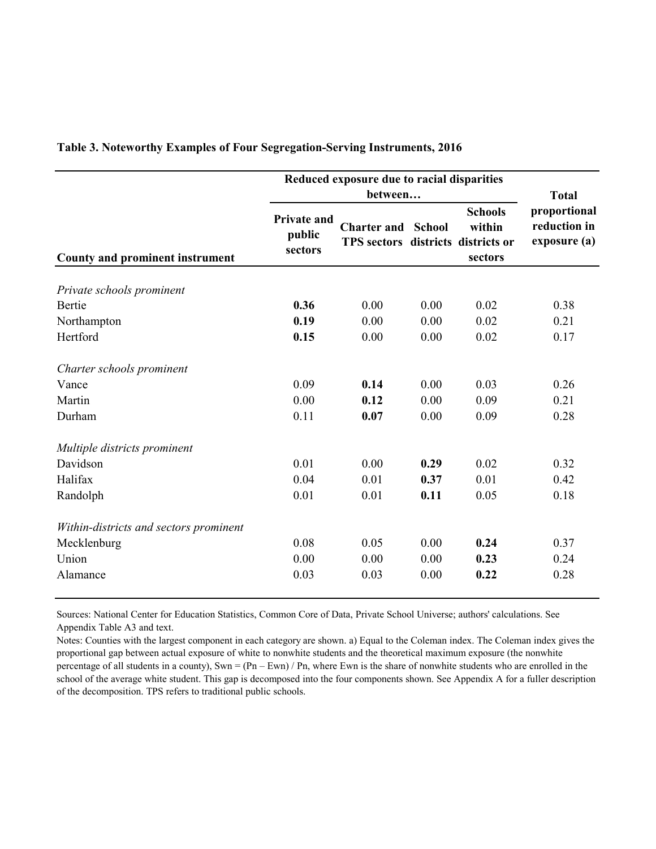|                                        | Reduced exposure due to racial disparities |                                                          | <b>Total</b>  |                                     |                                              |
|----------------------------------------|--------------------------------------------|----------------------------------------------------------|---------------|-------------------------------------|----------------------------------------------|
| <b>County and prominent instrument</b> | <b>Private and</b><br>public<br>sectors    | <b>Charter and</b><br>TPS sectors districts districts or | <b>School</b> | <b>Schools</b><br>within<br>sectors | proportional<br>reduction in<br>exposure (a) |
| Private schools prominent              |                                            |                                                          |               |                                     |                                              |
| Bertie                                 | 0.36                                       | 0.00                                                     | 0.00          | 0.02                                | 0.38                                         |
| Northampton                            | 0.19                                       | 0.00                                                     | 0.00          | 0.02                                | 0.21                                         |
| Hertford                               | 0.15                                       | 0.00                                                     | 0.00          | 0.02                                | 0.17                                         |
| Charter schools prominent              |                                            |                                                          |               |                                     |                                              |
| Vance                                  | 0.09                                       | 0.14                                                     | 0.00          | 0.03                                | 0.26                                         |
| Martin                                 | 0.00                                       | 0.12                                                     | 0.00          | 0.09                                | 0.21                                         |
| Durham                                 | 0.11                                       | 0.07                                                     | 0.00          | 0.09                                | 0.28                                         |
| Multiple districts prominent           |                                            |                                                          |               |                                     |                                              |
| Davidson                               | 0.01                                       | 0.00                                                     | 0.29          | 0.02                                | 0.32                                         |
| Halifax                                | 0.04                                       | 0.01                                                     | 0.37          | 0.01                                | 0.42                                         |
| Randolph                               | 0.01                                       | 0.01                                                     | 0.11          | 0.05                                | 0.18                                         |
| Within-districts and sectors prominent |                                            |                                                          |               |                                     |                                              |
| Mecklenburg                            | 0.08                                       | 0.05                                                     | 0.00          | 0.24                                | 0.37                                         |
| Union                                  | 0.00                                       | 0.00                                                     | 0.00          | 0.23                                | 0.24                                         |
| Alamance                               | 0.03                                       | 0.03                                                     | 0.00          | 0.22                                | 0.28                                         |

**Table 3. Noteworthy Examples of Four Segregation-Serving Instruments, 2016**

Sources: National Center for Education Statistics, Common Core of Data, Private School Universe; authors' calculations. See Appendix Table A3 and text.

Notes: Counties with the largest component in each category are shown. a) Equal to the Coleman index. The Coleman index gives the proportional gap between actual exposure of white to nonwhite students and the theoretical maximum exposure (the nonwhite percentage of all students in a county), Swn =  $(Pn - Ewn) / Pn$ , where Ewn is the share of nonwhite students who are enrolled in the school of the average white student. This gap is decomposed into the four components shown. See Appendix A for a fuller description of the decomposition. TPS refers to traditional public schools.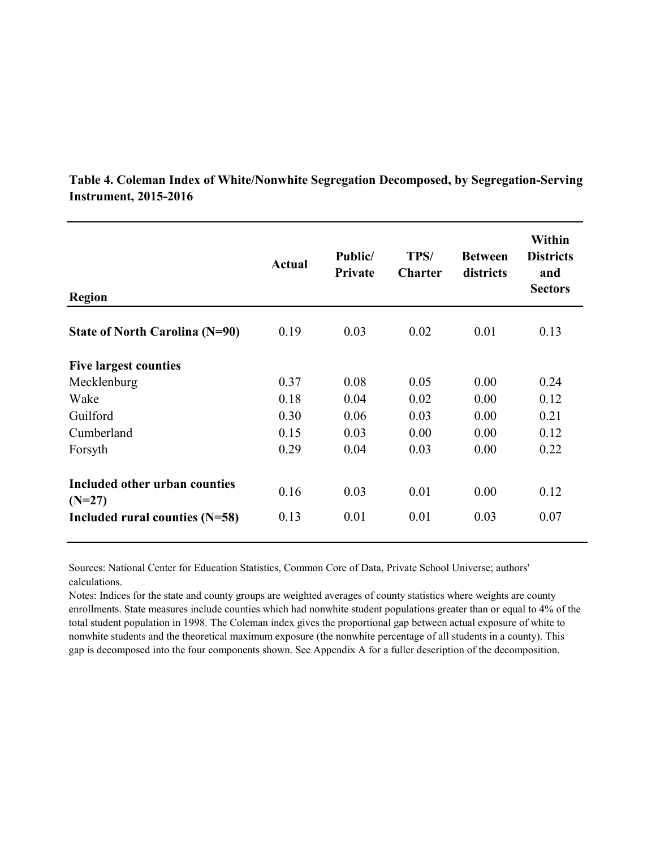| <b>Region</b>                             | <b>Actual</b> | Public/<br>Private | TPS/<br><b>Charter</b> | <b>Between</b><br>districts | Within<br><b>Districts</b><br>and<br><b>Sectors</b> |
|-------------------------------------------|---------------|--------------------|------------------------|-----------------------------|-----------------------------------------------------|
| State of North Carolina (N=90)            | 0.19          | 0.03               | 0.02                   | 0.01                        | 0.13                                                |
| <b>Five largest counties</b>              |               |                    |                        |                             |                                                     |
| Mecklenburg                               | 0.37          | 0.08               | 0.05                   | 0.00                        | 0.24                                                |
| Wake                                      | 0.18          | 0.04               | 0.02                   | 0.00                        | 0.12                                                |
| Guilford                                  | 0.30          | 0.06               | 0.03                   | 0.00                        | 0.21                                                |
| Cumberland                                | 0.15          | 0.03               | 0.00                   | 0.00                        | 0.12                                                |
| Forsyth                                   | 0.29          | 0.04               | 0.03                   | 0.00                        | 0.22                                                |
| Included other urban counties<br>$(N=27)$ | 0.16          | 0.03               | 0.01                   | 0.00                        | 0.12                                                |
| Included rural counties (N=58)            | 0.13          | 0.01               | 0.01                   | 0.03                        | 0.07                                                |

**Table 4. Coleman Index of White/Nonwhite Segregation Decomposed, by Segregation-Serving Instrument, 2015-2016**

Sources: National Center for Education Statistics, Common Core of Data, Private School Universe; authors' calculations.

Notes: Indices for the state and county groups are weighted averages of county statistics where weights are county enrollments. State measures include counties which had nonwhite student populations greater than or equal to 4% of the total student population in 1998. The Coleman index gives the proportional gap between actual exposure of white to nonwhite students and the theoretical maximum exposure (the nonwhite percentage of all students in a county). This gap is decomposed into the four components shown. See Appendix A for a fuller description of the decomposition.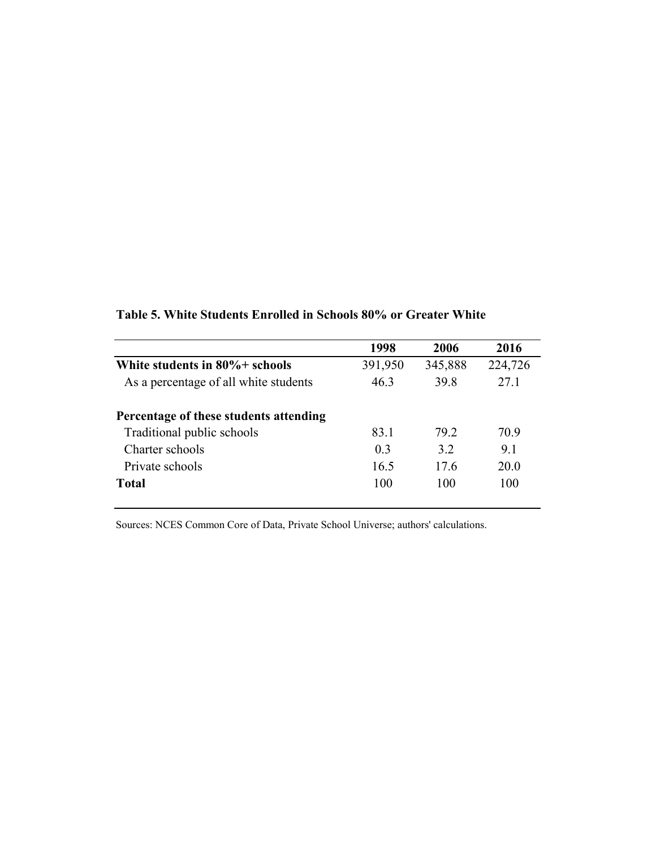|                                        | 1998    | 2006    | 2016    |
|----------------------------------------|---------|---------|---------|
| White students in $80\%$ + schools     | 391,950 | 345,888 | 224,726 |
| As a percentage of all white students  | 46.3    | 39.8    | 27.1    |
| Percentage of these students attending |         |         |         |
| Traditional public schools             | 83.1    | 79.2    | 70.9    |
| Charter schools                        | 0.3     | 3.2     | 9.1     |
| Private schools                        | 16.5    | 17.6    | 20.0    |
| <b>Total</b>                           | 100     | 100     | 100     |

### **Table 5. White Students Enrolled in Schools 80% or Greater White**

Sources: NCES Common Core of Data, Private School Universe; authors' calculations.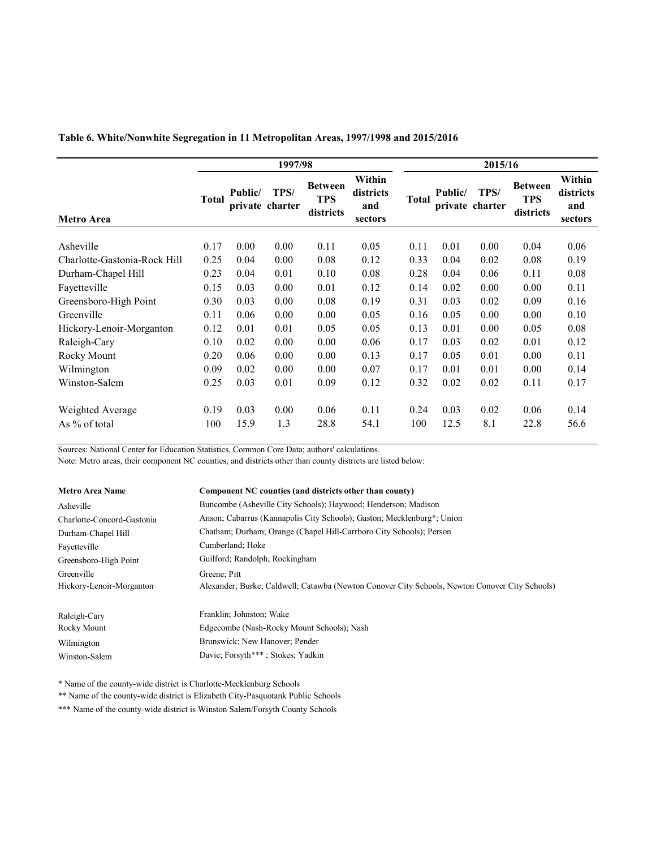### **Table 6. White/Nonwhite Segregation in 11 Metropolitan Areas, 1997/1998 and 2015/2016**

|                              |              |         | 1997/98                 |                                           |                                       |       |         | 2015/16                 |                                           |                                       |
|------------------------------|--------------|---------|-------------------------|-------------------------------------------|---------------------------------------|-------|---------|-------------------------|-------------------------------------------|---------------------------------------|
| Metro Area                   | <b>Total</b> | Public/ | TPS/<br>private charter | <b>Between</b><br><b>TPS</b><br>districts | Within<br>districts<br>and<br>sectors | Total | Public/ | TPS/<br>private charter | <b>Between</b><br><b>TPS</b><br>districts | Within<br>districts<br>and<br>sectors |
|                              | 0.17         | 0.00    | 0.00                    | 0.11                                      |                                       |       | 0.01    | 0.00                    | 0.04                                      | 0.06                                  |
| Asheville                    |              |         |                         |                                           | 0.05                                  | 0.11  |         |                         |                                           |                                       |
| Charlotte-Gastonia-Rock Hill | 0.25         | 0.04    | 0.00                    | 0.08                                      | 0.12                                  | 0.33  | 0.04    | 0.02                    | 0.08                                      | 0.19                                  |
| Durham-Chapel Hill           | 0.23         | 0.04    | 0.01                    | 0.10                                      | 0.08                                  | 0.28  | 0.04    | 0.06                    | 0.11                                      | 0.08                                  |
| Fayetteville                 | 0.15         | 0.03    | 0.00                    | 0.01                                      | 0.12                                  | 0.14  | 0.02    | 0.00                    | 0.00                                      | 0.11                                  |
| Greensboro-High Point        | 0.30         | 0.03    | 0.00                    | 0.08                                      | 0.19                                  | 0.31  | 0.03    | 0.02                    | 0.09                                      | 0.16                                  |
| Greenville                   | 0.11         | 0.06    | 0.00                    | 0.00                                      | 0.05                                  | 0.16  | 0.05    | 0.00                    | 0.00                                      | 0.10                                  |
| Hickory-Lenoir-Morganton     | 0.12         | 0.01    | 0.01                    | 0.05                                      | 0.05                                  | 0.13  | 0.01    | 0.00                    | 0.05                                      | 0.08                                  |
| Raleigh-Cary                 | 0.10         | 0.02    | 0.00                    | 0.00                                      | 0.06                                  | 0.17  | 0.03    | 0.02                    | 0.01                                      | 0.12                                  |
| Rocky Mount                  | 0.20         | 0.06    | 0.00                    | 0.00                                      | 0.13                                  | 0.17  | 0.05    | 0.01                    | 0.00                                      | 0.11                                  |
| Wilmington                   | 0.09         | 0.02    | 0.00                    | 0.00                                      | 0.07                                  | 0.17  | 0.01    | 0.01                    | 0.00                                      | 0.14                                  |
| Winston-Salem                | 0.25         | 0.03    | 0.01                    | 0.09                                      | 0.12                                  | 0.32  | 0.02    | 0.02                    | 0.11                                      | 0.17                                  |
| Weighted Average             | 0.19         | 0.03    | 0.00                    | 0.06                                      | 0.11                                  | 0.24  | 0.03    | 0.02                    | 0.06                                      | 0.14                                  |
| As $%$ of total              | 100          | 15.9    | 1.3                     | 28.8                                      | 54.1                                  | 100   | 12.5    | 8.1                     | 22.8                                      | 56.6                                  |

Sources: National Center for Education Statistics, Common Core Data; authors' calculations.

Note: Metro areas, their component NC counties, and districts other than county districts are listed below:

| <b>Metro Area Name</b>     | Component NC counties (and districts other than county)                                        |
|----------------------------|------------------------------------------------------------------------------------------------|
| Asheville                  | Buncombe (Asheville City Schools); Haywood; Henderson; Madison                                 |
| Charlotte-Concord-Gastonia | Anson; Cabarrus (Kannapolis City Schools); Gaston; Mecklenburg*; Union                         |
| Durham-Chapel Hill         | Chatham; Durham; Orange (Chapel Hill-Carrboro City Schools); Person                            |
| Fayetteville               | Cumberland; Hoke                                                                               |
| Greensboro-High Point      | Guilford; Randolph; Rockingham                                                                 |
| Greenville                 | Greene; Pitt                                                                                   |
| Hickory-Lenoir-Morganton   | Alexander; Burke; Caldwell; Catawba (Newton Conover City Schools, Newton Conover City Schools) |
| Raleigh-Cary               | Franklin; Johnston; Wake                                                                       |
| Rocky Mount                | Edgecombe (Nash-Rocky Mount Schools); Nash                                                     |
| Wilmington                 | Brunswick; New Hanover; Pender                                                                 |
| Winston-Salem              | Davie; Forsyth***; Stokes; Yadkin                                                              |

\* Name of the county-wide district is Charlotte-Mecklenburg Schools

\*\* Name of the county-wide district is Elizabeth City-Pasquotank Public Schools

\*\*\* Name of the county-wide district is Winston Salem/Forsyth County Schools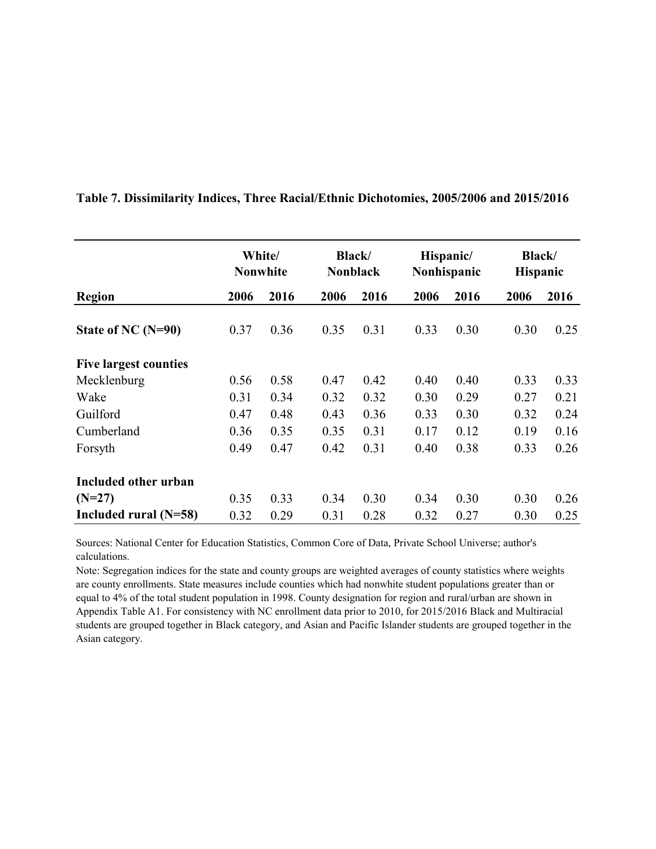|                              |      | White/<br><b>Nonwhite</b> | <b>Black</b><br><b>Nonblack</b> |      |      | Hispanic/<br>Nonhispanic | <b>Black</b> /<br>Hispanic |      |
|------------------------------|------|---------------------------|---------------------------------|------|------|--------------------------|----------------------------|------|
| <b>Region</b>                | 2006 | 2016                      | 2006                            | 2016 | 2006 | 2016                     | 2006                       | 2016 |
| State of NC $(N=90)$         | 0.37 | 0.36                      | 0.35                            | 0.31 | 0.33 | 0.30                     | 0.30                       | 0.25 |
| <b>Five largest counties</b> |      |                           |                                 |      |      |                          |                            |      |
| Mecklenburg                  | 0.56 | 0.58                      | 0.47                            | 0.42 | 0.40 | 0.40                     | 0.33                       | 0.33 |
| Wake                         | 0.31 | 0.34                      | 0.32                            | 0.32 | 0.30 | 0.29                     | 0.27                       | 0.21 |
| Guilford                     | 0.47 | 0.48                      | 0.43                            | 0.36 | 0.33 | 0.30                     | 0.32                       | 0.24 |
| Cumberland                   | 0.36 | 0.35                      | 0.35                            | 0.31 | 0.17 | 0.12                     | 0.19                       | 0.16 |
| Forsyth                      | 0.49 | 0.47                      | 0.42                            | 0.31 | 0.40 | 0.38                     | 0.33                       | 0.26 |
| Included other urban         |      |                           |                                 |      |      |                          |                            |      |
| $(N=27)$                     | 0.35 | 0.33                      | 0.34                            | 0.30 | 0.34 | 0.30                     | 0.30                       | 0.26 |
| Included rural $(N=58)$      | 0.32 | 0.29                      | 0.31                            | 0.28 | 0.32 | 0.27                     | 0.30                       | 0.25 |

**Table 7. Dissimilarity Indices, Three Racial/Ethnic Dichotomies, 2005/2006 and 2015/2016**

Sources: National Center for Education Statistics, Common Core of Data, Private School Universe; author's calculations.

Note: Segregation indices for the state and county groups are weighted averages of county statistics where weights are county enrollments. State measures include counties which had nonwhite student populations greater than or equal to 4% of the total student population in 1998. County designation for region and rural/urban are shown in Appendix Table A1. For consistency with NC enrollment data prior to 2010, for 2015/2016 Black and Multiracial students are grouped together in Black category, and Asian and Pacific Islander students are grouped together in the Asian category.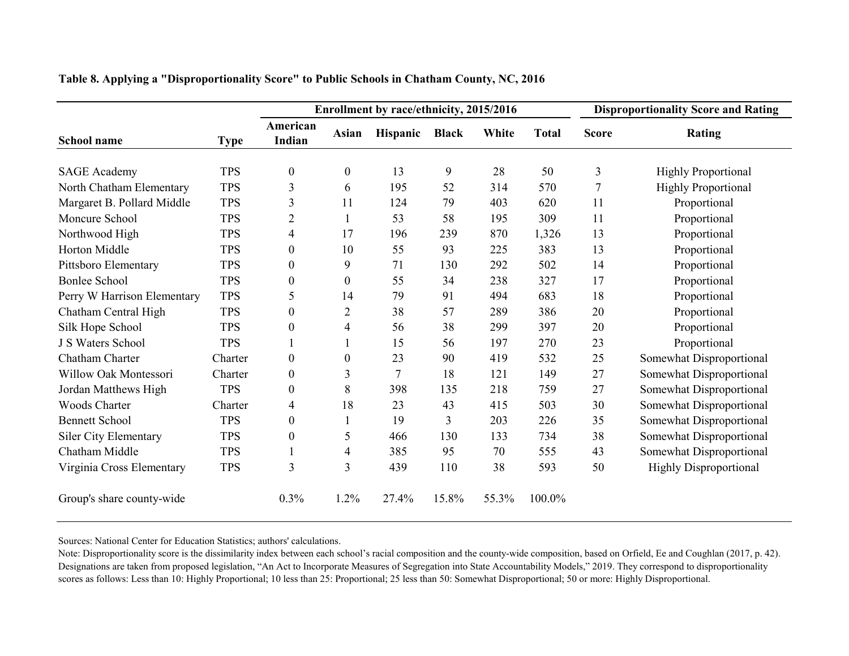|                              |             |                    |                  | Enrollment by race/ethnicity, 2015/2016 |              |       |              |                | <b>Disproportionality Score and Rating</b> |
|------------------------------|-------------|--------------------|------------------|-----------------------------------------|--------------|-------|--------------|----------------|--------------------------------------------|
| School name                  | <b>Type</b> | American<br>Indian | Asian            | Hispanic                                | <b>Black</b> | White | <b>Total</b> | <b>Score</b>   | Rating                                     |
| <b>SAGE Academy</b>          | <b>TPS</b>  | $\boldsymbol{0}$   | $\boldsymbol{0}$ | 13                                      | 9            | 28    | 50           | 3              | <b>Highly Proportional</b>                 |
| North Chatham Elementary     | <b>TPS</b>  | 3                  | 6                | 195                                     | 52           | 314   | 570          | $\overline{7}$ | <b>Highly Proportional</b>                 |
| Margaret B. Pollard Middle   | <b>TPS</b>  | 3                  | 11               | 124                                     | 79           | 403   | 620          | 11             | Proportional                               |
| Moncure School               | <b>TPS</b>  | $\overline{c}$     |                  | 53                                      | 58           | 195   | 309          | 11             | Proportional                               |
| Northwood High               | <b>TPS</b>  | 4                  | 17               | 196                                     | 239          | 870   | 1,326        | 13             | Proportional                               |
| Horton Middle                | <b>TPS</b>  | 0                  | 10               | 55                                      | 93           | 225   | 383          | 13             | Proportional                               |
| Pittsboro Elementary         | <b>TPS</b>  | $\theta$           | 9                | 71                                      | 130          | 292   | 502          | 14             | Proportional                               |
| <b>Bonlee School</b>         | <b>TPS</b>  | $\theta$           | $\boldsymbol{0}$ | 55                                      | 34           | 238   | 327          | 17             | Proportional                               |
| Perry W Harrison Elementary  | <b>TPS</b>  | 5                  | 14               | 79                                      | 91           | 494   | 683          | 18             | Proportional                               |
| Chatham Central High         | <b>TPS</b>  | $\theta$           | $\overline{c}$   | 38                                      | 57           | 289   | 386          | 20             | Proportional                               |
| Silk Hope School             | <b>TPS</b>  | 0                  | 4                | 56                                      | 38           | 299   | 397          | 20             | Proportional                               |
| J S Waters School            | <b>TPS</b>  |                    |                  | 15                                      | 56           | 197   | 270          | 23             | Proportional                               |
| Chatham Charter              | Charter     | $\theta$           | 0                | 23                                      | 90           | 419   | 532          | 25             | Somewhat Disproportional                   |
| Willow Oak Montessori        | Charter     | $\boldsymbol{0}$   | 3                | $\overline{7}$                          | 18           | 121   | 149          | 27             | Somewhat Disproportional                   |
| Jordan Matthews High         | <b>TPS</b>  | $\theta$           | 8                | 398                                     | 135          | 218   | 759          | 27             | Somewhat Disproportional                   |
| <b>Woods Charter</b>         | Charter     | 4                  | 18               | 23                                      | 43           | 415   | 503          | 30             | Somewhat Disproportional                   |
| <b>Bennett School</b>        | <b>TPS</b>  | $\overline{0}$     |                  | 19                                      | 3            | 203   | 226          | 35             | Somewhat Disproportional                   |
| <b>Siler City Elementary</b> | <b>TPS</b>  | $\boldsymbol{0}$   | 5                | 466                                     | 130          | 133   | 734          | 38             | Somewhat Disproportional                   |
| Chatham Middle               | <b>TPS</b>  |                    | 4                | 385                                     | 95           | 70    | 555          | 43             | Somewhat Disproportional                   |
| Virginia Cross Elementary    | <b>TPS</b>  | 3                  | 3                | 439                                     | 110          | 38    | 593          | 50             | <b>Highly Disproportional</b>              |
| Group's share county-wide    |             | 0.3%               | 1.2%             | 27.4%                                   | 15.8%        | 55.3% | 100.0%       |                |                                            |

**Table 8. Applying a "Disproportionality Score" to Public Schools in Chatham County, NC, 2016**

Sources: National Center for Education Statistics; authors' calculations.

Note: Disproportionality score is the dissimilarity index between each school's racial composition and the county-wide composition, based on Orfield, Ee and Coughlan (2017, p. 42). Designations are taken from proposed legislation, "An Act to Incorporate Measures of Segregation into State Accountability Models," 2019. They correspond to disproportionality scores as follows: Less than 10: Highly Proportional; 10 less than 25: Proportional; 25 less than 50: Somewhat Disproportional; 50 or more: Highly Disproportional.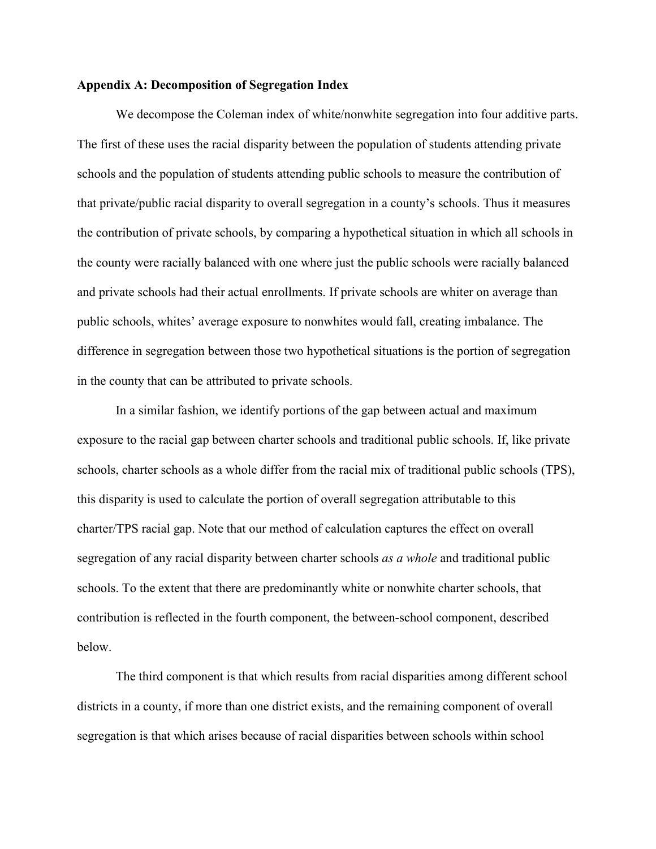#### **Appendix A: Decomposition of Segregation Index**

We decompose the Coleman index of white/nonwhite segregation into four additive parts. The first of these uses the racial disparity between the population of students attending private schools and the population of students attending public schools to measure the contribution of that private/public racial disparity to overall segregation in a county's schools. Thus it measures the contribution of private schools, by comparing a hypothetical situation in which all schools in the county were racially balanced with one where just the public schools were racially balanced and private schools had their actual enrollments. If private schools are whiter on average than public schools, whites' average exposure to nonwhites would fall, creating imbalance. The difference in segregation between those two hypothetical situations is the portion of segregation in the county that can be attributed to private schools.

In a similar fashion, we identify portions of the gap between actual and maximum exposure to the racial gap between charter schools and traditional public schools. If, like private schools, charter schools as a whole differ from the racial mix of traditional public schools (TPS), this disparity is used to calculate the portion of overall segregation attributable to this charter/TPS racial gap. Note that our method of calculation captures the effect on overall segregation of any racial disparity between charter schools *as a whole* and traditional public schools. To the extent that there are predominantly white or nonwhite charter schools, that contribution is reflected in the fourth component, the between-school component, described below.

The third component is that which results from racial disparities among different school districts in a county, if more than one district exists, and the remaining component of overall segregation is that which arises because of racial disparities between schools within school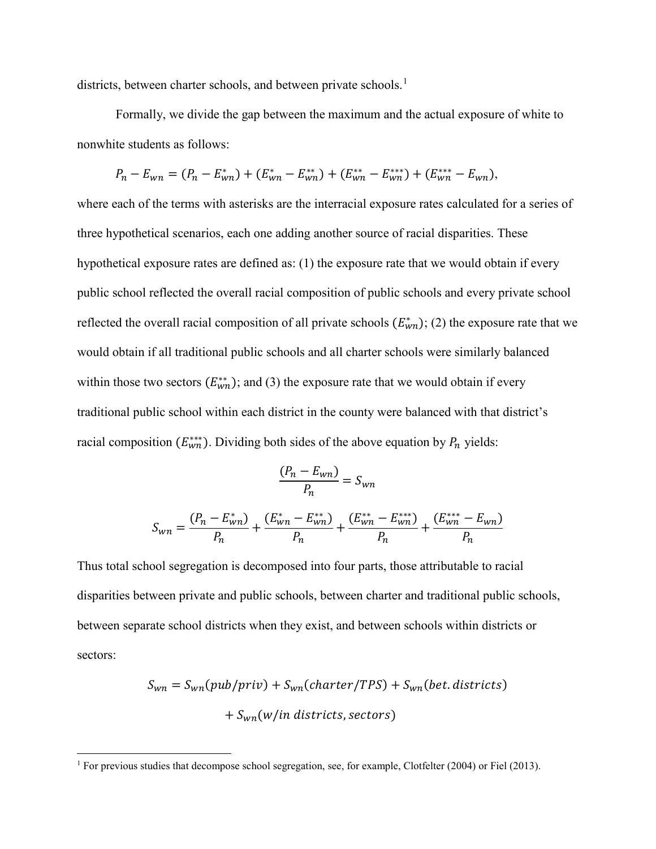districts, between charter schools, and between private schools.<sup>[1](#page-50-0)</sup>

Formally, we divide the gap between the maximum and the actual exposure of white to nonwhite students as follows:

$$
P_n - E_{wn} = (P_n - E_{wn}^*) + (E_{wn}^* - E_{wn}^{**}) + (E_{wn}^{**} - E_{wn}^{***}) + (E_{wn}^{***} - E_{wn}),
$$

where each of the terms with asterisks are the interracial exposure rates calculated for a series of three hypothetical scenarios, each one adding another source of racial disparities. These hypothetical exposure rates are defined as: (1) the exposure rate that we would obtain if every public school reflected the overall racial composition of public schools and every private school reflected the overall racial composition of all private schools  $(E_{wn}^*);$  (2) the exposure rate that we would obtain if all traditional public schools and all charter schools were similarly balanced within those two sectors  $(E_{wn}^{**})$ ; and (3) the exposure rate that we would obtain if every traditional public school within each district in the county were balanced with that district's racial composition  $(E_{wn}^{***})$ . Dividing both sides of the above equation by  $P_n$  yields:

$$
\frac{(P_n - E_{wn})}{P_n} = S_{wn}
$$

$$
S_{wn} = \frac{(P_n - E_{wn}^*)}{P_n} + \frac{(E_{wn}^* - E_{wn}^{**})}{P_n} + \frac{(E_{wn}^{**} - E_{wn}^{**})}{P_n} + \frac{(E_{wn}^{***} - E_{wn})}{P_n}
$$

Thus total school segregation is decomposed into four parts, those attributable to racial disparities between private and public schools, between charter and traditional public schools, between separate school districts when they exist, and between schools within districts or sectors:

$$
S_{wn} = S_{wn}(pub/priv) + S_{wn}(charter/TPS) + S_{wn}(bet. districts)
$$

$$
+ S_{wn}(w/in districts, sectors)
$$

<span id="page-50-0"></span> <sup>1</sup> For previous studies that decompose school segregation, see, for example, Clotfelter (2004) or Fiel (2013).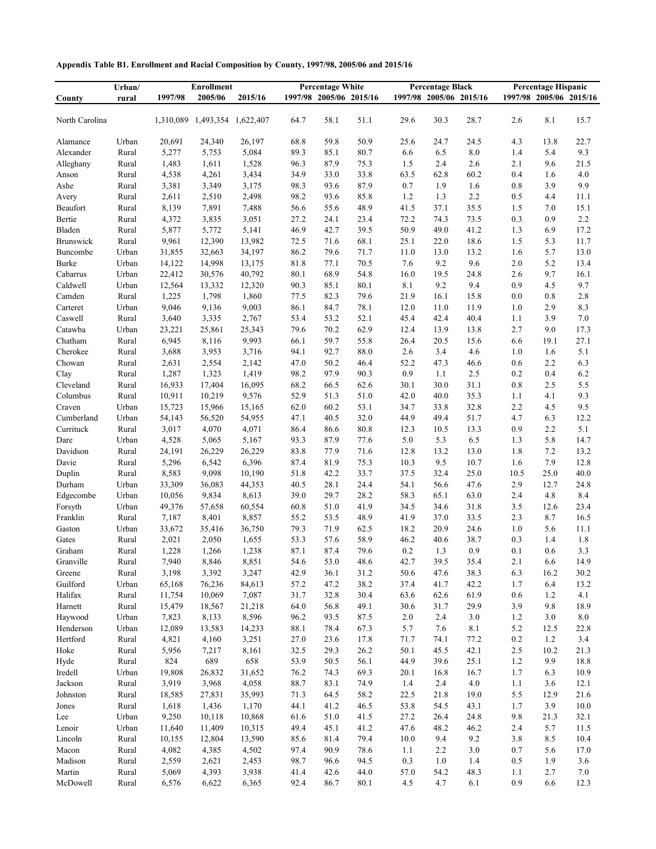|  | Appendix Table B1. Enrollment and Racial Composition by County, 1997/98, 2005/06 and 2015/16 |  |  |  |
|--|----------------------------------------------------------------------------------------------|--|--|--|
|--|----------------------------------------------------------------------------------------------|--|--|--|

|                | Urban/ |           | <b>Enrollment</b> | <b>Percentage White</b> |      |      | <b>Percentage Black</b> |       |      |                         | <b>Percentage Hispanic</b> |                         |      |  |
|----------------|--------|-----------|-------------------|-------------------------|------|------|-------------------------|-------|------|-------------------------|----------------------------|-------------------------|------|--|
| County         | rural  | 1997/98   | 2005/06           | 2015/16                 |      |      | 1997/98 2005/06 2015/16 |       |      | 1997/98 2005/06 2015/16 |                            | 1997/98 2005/06 2015/16 |      |  |
| North Carolina |        | 1,310,089 | 1,493,354         | 1,622,407               | 64.7 | 58.1 | 51.1                    | 29.6  | 30.3 | 28.7                    | 2.6                        | 8.1                     | 15.7 |  |
| Alamance       | Urban  | 20,691    | 24,340            | 26,197                  | 68.8 | 59.8 | 50.9                    | 25.6  | 24.7 | 24.5                    | 4.3                        | 13.8                    | 22.7 |  |
| Alexander      | Rural  | 5,277     | 5,753             | 5,084                   | 89.3 | 85.1 | 80.7                    | 6.6   | 6.5  | 8.0                     | 1.4                        | 5.4                     | 9.3  |  |
| Alleghany      | Rural  | 1,483     | 1,611             | 1,528                   | 96.3 | 87.9 | 75.3                    | 1.5   | 2.4  | 2.6                     | 2.1                        | 9.6                     | 21.5 |  |
| Anson          | Rural  | 4,538     | 4,261             | 3,434                   | 34.9 | 33.0 | 33.8                    | 63.5  | 62.8 | 60.2                    | 0.4                        | 1.6                     | 4.0  |  |
| Ashe           | Rural  | 3,381     | 3,349             | 3,175                   | 98.3 | 93.6 | 87.9                    | 0.7   | 1.9  | 1.6                     | 0.8                        | 3.9                     | 9.9  |  |
| Avery          | Rural  | 2,611     | 2,510             | 2,498                   | 98.2 | 93.6 | 85.8                    | 1.2   | 1.3  | 2.2                     | 0.5                        | 4.4                     | 11.1 |  |
| Beaufort       | Rural  | 8,139     | 7,891             | 7,488                   | 56.6 | 55.6 | 48.9                    | 41.5  | 37.1 | 35.5                    | 1.5                        | 7.0                     | 15.1 |  |
| Bertie         | Rural  | 4,372     | 3,835             | 3,051                   | 27.2 | 24.1 | 23.4                    | 72.2  | 74.3 | 73.5                    | 0.3                        | 0.9                     | 2.2  |  |
| Bladen         | Rural  | 5,877     | 5,772             | 5,141                   | 46.9 | 42.7 | 39.5                    | 50.9  | 49.0 | 41.2                    | 1.3                        | 6.9                     | 17.2 |  |
| Brunswick      | Rural  | 9,961     | 12,390            | 13,982                  | 72.5 | 71.6 | 68.1                    | 25.1  | 22.0 | 18.6                    | 1.5                        | 5.3                     | 11.7 |  |
| Buncombe       | Urban  | 31,855    | 32,663            | 34,197                  | 86.2 | 79.6 | 71.7                    | 11.0  | 13.0 | 13.2                    | 1.6                        | 5.7                     | 13.0 |  |
| Burke          | Urban  | 14,122    | 14,998            | 13,175                  | 81.8 | 77.1 | 70.5                    | 7.6   | 9.2  | 9.6                     | 2.0                        | 5.2                     | 13.4 |  |
| Cabarrus       | Urban  | 22,412    | 30,576            | 40,792                  | 80.1 | 68.9 | 54.8                    | 16.0  | 19.5 | 24.8                    | 2.6                        | 9.7                     | 16.1 |  |
| Caldwell       | Urban  | 12,564    | 13,332            | 12,320                  | 90.3 | 85.1 | 80.1                    | 8.1   | 9.2  | 9.4                     | 0.9                        | 4.5                     | 9.7  |  |
| Camden         | Rural  | 1,225     | 1,798             | 1,860                   | 77.5 | 82.3 | 79.6                    | 21.9  | 16.1 | 15.8                    | 0.0                        | 0.8                     | 2.8  |  |
| Carteret       | Urban  | 9,046     | 9,136             | 9,003                   | 86.1 | 84.7 | 78.1                    | 12.0  | 11.0 | 11.9                    | 1.0                        | 2.9                     | 8.3  |  |
| Caswell        | Rural  | 3,640     | 3,335             | 2,767                   | 53.4 | 53.2 | 52.1                    | 45.4  | 42.4 | 40.4                    | 1.1                        | 3.9                     | 7.0  |  |
| Catawba        | Urban  | 23,221    | 25,861            | 25,343                  | 79.6 | 70.2 | 62.9                    | 12.4  | 13.9 | 13.8                    | 2.7                        | 9.0                     | 17.3 |  |
| Chatham        | Rural  | 6,945     | 8,116             | 9,993                   | 66.1 | 59.7 | 55.8                    | 26.4  | 20.5 | 15.6                    | 6.6                        | 19.1                    | 27.1 |  |
| Cherokee       | Rural  | 3,688     | 3,953             | 3,716                   | 94.1 | 92.7 | 88.0                    | 2.6   | 3.4  | 4.6                     | 1.0                        | 1.6                     | 5.1  |  |
| Chowan         | Rural  | 2,631     | 2,554             | 2,142                   | 47.0 | 50.2 | 46.4                    | 52.2  | 47.3 | 46.6                    | 0.6                        | 2.2                     | 6.3  |  |
| Clay           | Rural  | 1,287     | 1,323             | 1,419                   | 98.2 | 97.9 | 90.3                    | 0.9   | 1.1  | 2.5                     | 0.2                        | 0.4                     | 6.2  |  |
| Cleveland      | Rural  | 16,933    | 17,404            | 16,095                  | 68.2 | 66.5 | 62.6                    | 30.1  | 30.0 | 31.1                    | 0.8                        | 2.5                     | 5.5  |  |
| Columbus       | Rural  | 10,911    | 10,219            | 9,576                   | 52.9 | 51.3 | 51.0                    | 42.0  | 40.0 | 35.3                    | 1.1                        | 4.1                     | 9.3  |  |
| Craven         | Urban  | 15,723    | 15,966            | 15,165                  | 62.0 | 60.2 | 53.1                    | 34.7  | 33.8 | 32.8                    | 2.2                        | 4.5                     | 9.5  |  |
| Cumberland     | Urban  | 54,143    | 56,520            | 54,955                  | 47.1 | 40.5 | 32.0                    | 44.9  | 49.4 | 51.7                    | 4.7                        | 6.3                     | 12.2 |  |
| Currituck      | Rural  | 3,017     | 4,070             | 4,071                   | 86.4 | 86.6 | 80.8                    | 12.3  | 10.5 | 13.3                    | 0.9                        | 2.2                     | 5.1  |  |
| Dare           | Urban  | 4,528     | 5,065             | 5,167                   | 93.3 | 87.9 | 77.6                    | 5.0   | 5.3  | 6.5                     | 1.3                        | 5.8                     | 14.7 |  |
| Davidson       | Rural  | 24,191    | 26,229            | 26,229                  | 83.8 | 77.9 | 71.6                    | 12.8  | 13.2 | 13.0                    | 1.8                        | 7.2                     | 13.2 |  |
| Davie          | Rural  | 5,296     | 6,542             | 6,396                   | 87.4 | 81.9 | 75.3                    | 10.3  | 9.5  | 10.7                    | 1.6                        | 7.9                     | 12.8 |  |
| Duplin         | Rural  | 8,583     | 9,098             | 10,190                  | 51.8 | 42.2 | 33.7                    | 37.5  | 32.4 | 25.0                    | 10.5                       | 25.0                    | 40.0 |  |
| Durham         | Urban  | 33,309    | 36,083            | 44,353                  | 40.5 | 28.1 | 24.4                    | 54.1  | 56.6 | 47.6                    | 2.9                        | 12.7                    | 24.8 |  |
| Edgecombe      | Urban  | 10,056    | 9,834             | 8,613                   | 39.0 | 29.7 | 28.2                    | 58.3  | 65.1 | 63.0                    | 2.4                        | 4.8                     | 8.4  |  |
| Forsyth        | Urban  | 49,376    | 57,658            | 60,554                  | 60.8 | 51.0 | 41.9                    | 34.5  | 34.6 | 31.8                    | 3.5                        | 12.6                    | 23.4 |  |
| Franklin       | Rural  | 7,187     | 8,401             | 8,857                   | 55.2 | 53.5 | 48.9                    | 41.9  | 37.0 | 33.5                    | 2.3                        | 8.7                     | 16.5 |  |
| Gaston         | Urban  | 33,672    | 35,416            | 36,750                  | 79.3 | 71.9 | 62.5                    | 18.2  | 20.9 | 24.6                    | 1.0                        | 5.6                     | 11.1 |  |
| Gates          | Rural  | 2,021     | 2,050             | 1,655                   | 53.3 | 57.6 | 58.9                    | 46.2  | 40.6 | 38.7                    | 0.3                        | 1.4                     | 1.8  |  |
| Graham         | Rural  | 1,228     | 1,266             | 1,238                   | 87.1 | 87.4 | 79.6                    | 0.2   | 1.3  | 0.9                     | 0.1                        | 0.6                     | 3.3  |  |
| Granville      | Rural  | 7,940     | 8,846             | 8,851                   | 54.6 | 53.0 | 48.6                    | 42.7  | 39.5 | 35.4                    | 2.1                        | 6.6                     | 14.9 |  |
| Greene         | Rural  | 3,198     | 3,392             | 3,247                   | 42.9 | 36.1 | 31.2                    | 50.6  | 47.6 | 38.3                    | 6.3                        | 16.2                    | 30.2 |  |
| Guilford       | Urban  | 65,168    | 76,236            | 84,613                  | 57.2 | 47.2 | 38.2                    | 37.4  | 41.7 | 42.2                    | 1.7                        | 6.4                     | 13.2 |  |
| Halifax        | Rural  | 11,754    | 10,069            | 7,087                   | 31.7 | 32.8 | 30.4                    | 63.6  | 62.6 | 61.9                    | 0.6                        | 1.2                     | 4.1  |  |
| Harnett        | Rural  | 15,479    | 18,567            | 21,218                  | 64.0 | 56.8 | 49.1                    | 30.6  | 31.7 | 29.9                    | 3.9                        | 9.8                     | 18.9 |  |
| Haywood        | Urban  | 7,823     | 8,133             | 8,596                   | 96.2 | 93.5 | 87.5                    | $2.0$ | 2.4  | 3.0                     | 1.2                        | 3.0                     | 8.0  |  |
| Henderson      | Urban  | 12,089    | 13,583            | 14,233                  | 88.1 | 78.4 | 67.3                    | 5.7   | 7.6  | 8.1                     | 5.2                        | 12.5                    | 22.8 |  |
| Hertford       | Rural  | 4,821     | 4,160             | 3,251                   | 27.0 | 23.6 | 17.8                    | 71.7  | 74.1 | 77.2                    | 0.2                        | 1.2                     | 3.4  |  |
| Hoke           | Rural  | 5,956     | 7,217             | 8,161                   | 32.5 | 29.3 | 26.2                    | 50.1  | 45.5 | 42.1                    | 2.5                        | 10.2                    | 21.3 |  |
| Hyde           | Rural  | 824       | 689               | 658                     | 53.9 | 50.5 | 56.1                    | 44.9  | 39.6 | 25.1                    | 1.2                        | 9.9                     | 18.8 |  |
| Iredell        | Urban  | 19,808    | 26,832            | 31,652                  | 76.2 | 74.3 | 69.3                    | 20.1  | 16.8 | 16.7                    | 1.7                        | 6.3                     | 10.9 |  |
| Jackson        | Rural  | 3,919     | 3,968             | 4,058                   | 88.7 | 83.1 | 74.9                    | 1.4   | 2.4  | 4.0                     | 1.1                        | 3.6                     | 12.1 |  |
| Johnston       | Rural  | 18,585    | 27,831            | 35,993                  | 71.3 | 64.5 | 58.2                    | 22.5  | 21.8 | 19.0                    | 5.5                        | 12.9                    | 21.6 |  |
| Jones          | Rural  | 1,618     | 1,436             | 1,170                   | 44.1 | 41.2 | 46.5                    | 53.8  | 54.5 | 43.1                    | 1.7                        | 3.9                     | 10.0 |  |
| Lee            | Urban  | 9,250     | 10,118            | 10,868                  | 61.6 | 51.0 | 41.5                    | 27.2  | 26.4 | 24.8                    | 9.8                        | 21.3                    | 32.1 |  |
| Lenoir         | Urban  | 11,640    | 11,409            | 10,315                  | 49.4 | 45.1 | 41.2                    | 47.6  | 48.2 | 46.2                    | 2.4                        | 5.7                     | 11.5 |  |
| Lincoln        | Rural  | 10,155    | 12,804            | 13,590                  | 85.6 | 81.4 | 79.4                    | 10.0  | 9.4  | 9.2                     | 3.8                        | 8.5                     | 10.4 |  |
| Macon          | Rural  | 4,082     | 4,385             | 4,502                   | 97.4 | 90.9 | 78.6                    | 1.1   | 2.2  | 3.0                     | 0.7                        | 5.6                     | 17.0 |  |
| Madison        | Rural  | 2,559     | 2,621             | 2,453                   | 98.7 | 96.6 | 94.5                    | 0.3   | 1.0  | 1.4                     | 0.5                        | 1.9                     | 3.6  |  |
| Martin         | Rural  | 5,069     | 4,393             | 3,938                   | 41.4 | 42.6 | 44.0                    | 57.0  | 54.2 | 48.3                    | 1.1                        | 2.7                     | 7.0  |  |
| McDowell       | Rural  | 6,576     | 6,622             | 6,365                   | 92.4 | 86.7 | 80.1                    | 4.5   | 4.7  | 6.1                     | 0.9                        | 6.6                     | 12.3 |  |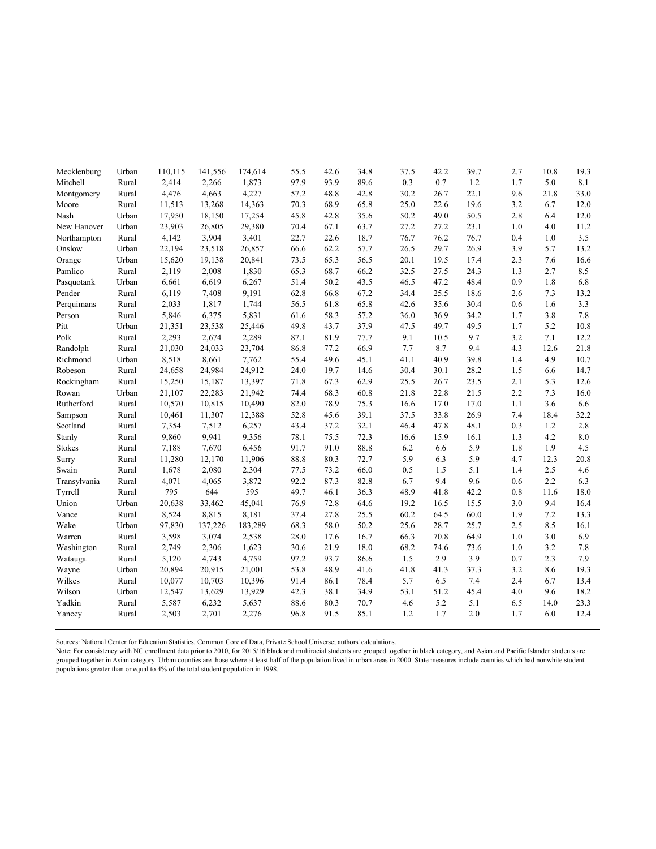| Mecklenburg  | Urban | 110,115 | 141,556 | 174,614 | 55.5 | 42.6 | 34.8 | 37.5 | 42.2 | 39.7 | 2.7 | 10.8 | 19.3      |
|--------------|-------|---------|---------|---------|------|------|------|------|------|------|-----|------|-----------|
| Mitchell     | Rural | 2,414   | 2,266   | 1,873   | 97.9 | 93.9 | 89.6 | 0.3  | 0.7  | 1.2  | 1.7 | 5.0  | 8.1       |
| Montgomery   | Rural | 4,476   | 4,663   | 4,227   | 57.2 | 48.8 | 42.8 | 30.2 | 26.7 | 22.1 | 9.6 | 21.8 | 33.0      |
| Moore        | Rural | 11,513  | 13,268  | 14,363  | 70.3 | 68.9 | 65.8 | 25.0 | 22.6 | 19.6 | 3.2 | 6.7  | 12.0      |
| Nash         | Urban | 17,950  | 18,150  | 17,254  | 45.8 | 42.8 | 35.6 | 50.2 | 49.0 | 50.5 | 2.8 | 6.4  | 12.0      |
| New Hanover  | Urban | 23,903  | 26,805  | 29,380  | 70.4 | 67.1 | 63.7 | 27.2 | 27.2 | 23.1 | 1.0 | 4.0  | 11.2      |
| Northampton  | Rural | 4,142   | 3,904   | 3,401   | 22.7 | 22.6 | 18.7 | 76.7 | 76.2 | 76.7 | 0.4 | 1.0  | 3.5       |
| Onslow       | Urban | 22,194  | 23,518  | 26,857  | 66.6 | 62.2 | 57.7 | 26.5 | 29.7 | 26.9 | 3.9 | 5.7  | 13.2      |
| Orange       | Urban | 15,620  | 19,138  | 20,841  | 73.5 | 65.3 | 56.5 | 20.1 | 19.5 | 17.4 | 2.3 | 7.6  | 16.6      |
| Pamlico      | Rural | 2,119   | 2,008   | 1,830   | 65.3 | 68.7 | 66.2 | 32.5 | 27.5 | 24.3 | 1.3 | 2.7  | 8.5       |
| Pasquotank   | Urban | 6,661   | 6,619   | 6,267   | 51.4 | 50.2 | 43.5 | 46.5 | 47.2 | 48.4 | 0.9 | 1.8  | 6.8       |
| Pender       | Rural | 6,119   | 7,408   | 9,191   | 62.8 | 66.8 | 67.2 | 34.4 | 25.5 | 18.6 | 2.6 | 7.3  | 13.2      |
| Perquimans   | Rural | 2,033   | 1,817   | 1,744   | 56.5 | 61.8 | 65.8 | 42.6 | 35.6 | 30.4 | 0.6 | 1.6  | 3.3       |
| Person       | Rural | 5,846   | 6,375   | 5,831   | 61.6 | 58.3 | 57.2 | 36.0 | 36.9 | 34.2 | 1.7 | 3.8  | 7.8       |
| Pitt         | Urban | 21,351  | 23,538  | 25,446  | 49.8 | 43.7 | 37.9 | 47.5 | 49.7 | 49.5 | 1.7 | 5.2  | 10.8      |
| Polk         | Rural | 2,293   | 2,674   | 2,289   | 87.1 | 81.9 | 77.7 | 9.1  | 10.5 | 9.7  | 3.2 | 7.1  | 12.2      |
| Randolph     | Rural | 21,030  | 24,033  | 23,704  | 86.8 | 77.2 | 66.9 | 7.7  | 8.7  | 9.4  | 4.3 | 12.6 | 21.8      |
| Richmond     | Urban | 8,518   | 8,661   | 7,762   | 55.4 | 49.6 | 45.1 | 41.1 | 40.9 | 39.8 | 1.4 | 4.9  | 10.7      |
| Robeson      | Rural | 24,658  | 24,984  | 24,912  | 24.0 | 19.7 | 14.6 | 30.4 | 30.1 | 28.2 | 1.5 | 6.6  | 14.7      |
| Rockingham   | Rural | 15,250  | 15,187  | 13,397  | 71.8 | 67.3 | 62.9 | 25.5 | 26.7 | 23.5 | 2.1 | 5.3  | 12.6      |
| Rowan        | Urban | 21,107  | 22,283  | 21,942  | 74.4 | 68.3 | 60.8 | 21.8 | 22.8 | 21.5 | 2.2 | 7.3  | 16.0      |
| Rutherford   | Rural | 10,570  | 10,815  | 10,490  | 82.0 | 78.9 | 75.3 | 16.6 | 17.0 | 17.0 | 1.1 | 3.6  | 6.6       |
| Sampson      | Rural | 10,461  | 11,307  | 12,388  | 52.8 | 45.6 | 39.1 | 37.5 | 33.8 | 26.9 | 7.4 | 18.4 | 32.2      |
| Scotland     | Rural | 7,354   | 7,512   | 6,257   | 43.4 | 37.2 | 32.1 | 46.4 | 47.8 | 48.1 | 0.3 | 1.2  | 2.8       |
| Stanly       | Rural | 9,860   | 9,941   | 9,356   | 78.1 | 75.5 | 72.3 | 16.6 | 15.9 | 16.1 | 1.3 | 4.2  | $\ \ 8.0$ |
| Stokes       | Rural | 7,188   | 7,670   | 6,456   | 91.7 | 91.0 | 88.8 | 6.2  | 6.6  | 5.9  | 1.8 | 1.9  | 4.5       |
| Surry        | Rural | 11,280  | 12,170  | 11,906  | 88.8 | 80.3 | 72.7 | 5.9  | 6.3  | 5.9  | 4.7 | 12.3 | 20.8      |
| Swain        | Rural | 1,678   | 2,080   | 2,304   | 77.5 | 73.2 | 66.0 | 0.5  | 1.5  | 5.1  | 1.4 | 2.5  | 4.6       |
| Transylvania | Rural | 4,071   | 4,065   | 3,872   | 92.2 | 87.3 | 82.8 | 6.7  | 9.4  | 9.6  | 0.6 | 2.2  | 6.3       |
| Tyrrell      | Rural | 795     | 644     | 595     | 49.7 | 46.1 | 36.3 | 48.9 | 41.8 | 42.2 | 0.8 | 11.6 | 18.0      |
| Union        | Urban | 20,638  | 33,462  | 45,041  | 76.9 | 72.8 | 64.6 | 19.2 | 16.5 | 15.5 | 3.0 | 9.4  | 16.4      |
| Vance        | Rural | 8,524   | 8,815   | 8,181   | 37.4 | 27.8 | 25.5 | 60.2 | 64.5 | 60.0 | 1.9 | 7.2  | 13.3      |
| Wake         | Urban | 97,830  | 137,226 | 183,289 | 68.3 | 58.0 | 50.2 | 25.6 | 28.7 | 25.7 | 2.5 | 8.5  | 16.1      |
| Warren       | Rural | 3,598   | 3,074   | 2,538   | 28.0 | 17.6 | 16.7 | 66.3 | 70.8 | 64.9 | 1.0 | 3.0  | 6.9       |
| Washington   | Rural | 2,749   | 2,306   | 1,623   | 30.6 | 21.9 | 18.0 | 68.2 | 74.6 | 73.6 | 1.0 | 3.2  | 7.8       |
| Watauga      | Rural | 5,120   | 4,743   | 4,759   | 97.2 | 93.7 | 86.6 | 1.5  | 2.9  | 3.9  | 0.7 | 2.3  | 7.9       |
| Wayne        | Urban | 20,894  | 20,915  | 21,001  | 53.8 | 48.9 | 41.6 | 41.8 | 41.3 | 37.3 | 3.2 | 8.6  | 19.3      |
| Wilkes       | Rural | 10,077  | 10,703  | 10,396  | 91.4 | 86.1 | 78.4 | 5.7  | 6.5  | 7.4  | 2.4 | 6.7  | 13.4      |
| Wilson       | Urban | 12,547  | 13,629  | 13,929  | 42.3 | 38.1 | 34.9 | 53.1 | 51.2 | 45.4 | 4.0 | 9.6  | 18.2      |
| Yadkin       | Rural | 5,587   | 6,232   | 5,637   | 88.6 | 80.3 | 70.7 | 4.6  | 5.2  | 5.1  | 6.5 | 14.0 | 23.3      |
| Yancey       | Rural | 2,503   | 2,701   | 2,276   | 96.8 | 91.5 | 85.1 | 1.2  | 1.7  | 2.0  | 1.7 | 6.0  | 12.4      |

Sources: National Center for Education Statistics, Common Core of Data, Private School Universe; authors' calculations.

Note: For consistency with NC enrollment data prior to 2010, for 2015/16 black and multiracial students are grouped together in black category, and Asian and Pacific Islander students are grouped together in Asian category. Urban counties are those where at least half of the population lived in urban areas in 2000. State measures include counties which had nonwhite student populations greater than or equal to 4% of the total student population in 1998.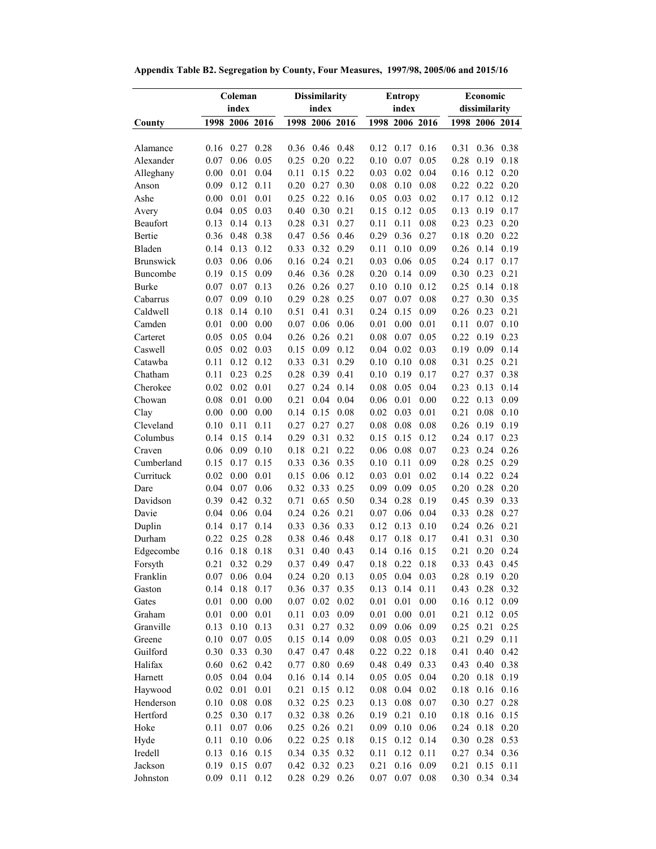|                  |      | Coleman        |       |          | <b>Dissimilarity</b> |          |          | <b>Entropy</b> |          | Economic      |                |      |  |  |
|------------------|------|----------------|-------|----------|----------------------|----------|----------|----------------|----------|---------------|----------------|------|--|--|
|                  |      | index          | index |          |                      |          |          | index          |          | dissimilarity |                |      |  |  |
| County           |      | 1998 2006 2016 |       |          | 1998 2006 2016       |          |          | 1998 2006 2016 |          |               | 1998 2006 2014 |      |  |  |
|                  |      |                |       |          |                      |          |          |                |          |               |                |      |  |  |
| Alamance         | 0.16 | 0.27           | 0.28  | 0.36     | 0.46                 | 0.48     | 0.12     | 0.17           | 0.16     | 0.31          | 0.36           | 0.38 |  |  |
| Alexander        | 0.07 | 0.06           | 0.05  | 0.25     | 0.20                 | 0.22     | 0.10     | 0.07           | 0.05     | 0.28          | 0.19           | 0.18 |  |  |
| Alleghany        | 0.00 | 0.01           | 0.04  | 0.11     | 0.15                 | 0.22     | 0.03     | 0.02           | 0.04     | 0.16          | 0.12           | 0.20 |  |  |
| Anson            | 0.09 | 0.12           | 0.11  | 0.20     | 0.27                 | 0.30     | 0.08     | 0.10           | 0.08     | 0.22          | 0.22           | 0.20 |  |  |
| Ashe             | 0.00 | 0.01           | 0.01  | 0.25     | 0.22                 | 0.16     | 0.05     | 0.03           | 0.02     | 0.17          | 0.12           | 0.12 |  |  |
| Avery            | 0.04 | 0.05           | 0.03  | 0.40     | 0.30                 | 0.21     | 0.15     | 0.12           | 0.05     | 0.13          | 0.19           | 0.17 |  |  |
| Beaufort         | 0.13 | 0.14           | 0.13  | 0.28     | 0.31                 | 0.27     | 0.11     | 0.11           | 0.08     | 0.23          | 0.23           | 0.20 |  |  |
| Bertie           | 0.36 | 0.48           | 0.38  | 0.47     | 0.56                 | 0.46     | 0.29     | 0.36           | 0.27     | 0.18          | 0.20           | 0.22 |  |  |
| Bladen           | 0.14 | 0.13           | 0.12  | 0.33     | 0.32                 | 0.29     | 0.11     | 0.10           | 0.09     | 0.26          | 0.14           | 0.19 |  |  |
| <b>Brunswick</b> | 0.03 | 0.06           | 0.06  | 0.16     | 0.24                 | 0.21     | 0.03     | 0.06           | 0.05     | 0.24          | 0.17           | 0.17 |  |  |
| Buncombe         | 0.19 | 0.15           | 0.09  | 0.46     | 0.36                 | 0.28     | 0.20     | 0.14           | 0.09     | 0.30          | 0.23           | 0.21 |  |  |
| Burke            | 0.07 | 0.07           | 0.13  | 0.26     | 0.26                 | 0.27     | 0.10     | 0.10           | 0.12     | 0.25          | 0.14           | 0.18 |  |  |
| Cabarrus         | 0.07 | 0.09           | 0.10  | 0.29     | 0.28                 | 0.25     | 0.07     | 0.07           | 0.08     | 0.27          | 0.30           | 0.35 |  |  |
| Caldwell         | 0.18 | 0.14           | 0.10  | 0.51     | 0.41                 | 0.31     | 0.24     | 0.15           | 0.09     | 0.26          | 0.23           | 0.21 |  |  |
| Camden           | 0.01 | 0.00           | 0.00  | 0.07     | 0.06                 | 0.06     | 0.01     | 0.00           | 0.01     | 0.11          | 0.07           | 0.10 |  |  |
| Carteret         | 0.05 | 0.05           | 0.04  | 0.26     | 0.26                 | 0.21     | 0.08     | 0.07           | 0.05     | 0.22          | 0.19           | 0.23 |  |  |
| Caswell          | 0.05 | 0.02           | 0.03  | 0.15     | 0.09                 | 0.12     | 0.04     | 0.02           | 0.03     | 0.19          | 0.09           | 0.14 |  |  |
| Catawba          | 0.11 | 0.12           | 0.12  | 0.33     | 0.31                 | 0.29     | 0.10     | 0.10           | 0.08     | 0.31          | 0.25           | 0.21 |  |  |
| Chatham          | 0.11 | 0.23           | 0.25  | 0.28     | 0.39                 | 0.41     | 0.10     | 0.19           | 0.17     | 0.27          | 0.37           | 0.38 |  |  |
| Cherokee         | 0.02 | 0.02           | 0.01  | 0.27     | 0.24                 | 0.14     | 0.08     | 0.05           | 0.04     | 0.23          | 0.13           | 0.14 |  |  |
| Chowan           | 0.08 | 0.01           | 0.00  | 0.21     | 0.04                 | 0.04     | 0.06     | 0.01           | 0.00     | 0.22          | 0.13           | 0.09 |  |  |
| Clay             | 0.00 | 0.00           | 0.00  | 0.14     | 0.15                 | 0.08     | 0.02     | 0.03           | 0.01     | 0.21          | 0.08           | 0.10 |  |  |
| Cleveland        | 0.10 | 0.11           | 0.11  | 0.27     | 0.27                 | 0.27     | 0.08     | 0.08           | 0.08     | 0.26          | 0.19           | 0.19 |  |  |
| Columbus         | 0.14 | 0.15           | 0.14  | 0.29     | 0.31                 | 0.32     | 0.15     | 0.15           | 0.12     | 0.24          | 0.17           | 0.23 |  |  |
| Craven           | 0.06 | 0.09           | 0.10  | 0.18     | 0.21                 | 0.22     | 0.06     | 0.08           | 0.07     | 0.23          | 0.24           | 0.26 |  |  |
| Cumberland       | 0.15 | 0.17           | 0.15  | 0.33     | 0.36                 | 0.35     | 0.10     | 0.11           | 0.09     | 0.28          | 0.25           | 0.29 |  |  |
| Currituck        | 0.02 | 0.00           | 0.01  | 0.15     | 0.06                 | 0.12     | 0.03     | 0.01           | 0.02     | 0.14          | 0.22           | 0.24 |  |  |
| Dare             | 0.04 | 0.07           | 0.06  | 0.32     | 0.33                 | 0.25     | 0.09     | 0.09           | 0.05     | 0.20          | 0.28           | 0.20 |  |  |
| Davidson         | 0.39 | 0.42           | 0.32  | 0.71     | 0.65                 | 0.50     | 0.34     | 0.28           | 0.19     | 0.45          | 0.39           | 0.33 |  |  |
| Davie            | 0.04 | 0.06           | 0.04  | 0.24     | 0.26                 | 0.21     | 0.07     | 0.06           | 0.04     | 0.33          | 0.28           | 0.27 |  |  |
| Duplin           | 0.14 | 0.17           | 0.14  | 0.33     | 0.36                 | 0.33     | 0.12     | 0.13           | 0.10     | 0.24          | 0.26           | 0.21 |  |  |
| Durham           | 0.22 | 0.25           | 0.28  | 0.38     | 0.46                 | 0.48     | 0.17     | 0.18           | 0.17     | 0.41          | 0.31           | 0.30 |  |  |
| Edgecombe        | 0.16 | 0.18           | 0.18  | 0.31     | 0.40                 | 0.43     | 0.14     | 0.16           | 0.15     | 0.21          | 0.20           | 0.24 |  |  |
| Forsyth          | 0.21 | 0.32           | 0.29  | 0.37     | 0.49                 | 0.47     | 0.18     | 0.22           | 0.18     | 0.33          | 0.43           | 0.45 |  |  |
| Franklin         | 0.07 | 0.06           | 0.04  | 0.24     | 0.20                 | 0.13     | 0.05     | 0.04           | 0.03     | 0.28          | 0.19           | 0.20 |  |  |
| Gaston           | 0.14 | 0.18           | 0.17  | 0.36     | 0.37                 | 0.35     | 0.13     | 0.14           | 0.11     | 0.43          | $0.28\,$       | 0.32 |  |  |
| Gates            | 0.01 | 0.00           | 0.00  | $0.07\,$ | 0.02                 | 0.02     | $0.01\,$ | 0.01           | $0.00\,$ | 0.16          | 0.12           | 0.09 |  |  |
| Graham           | 0.01 | 0.00           | 0.01  | 0.11     | 0.03                 | 0.09     | $0.01\,$ | $0.00\,$       | 0.01     | 0.21          | 0.12           | 0.05 |  |  |
| Granville        | 0.13 | $0.10\,$       | 0.13  | 0.31     | 0.27                 | 0.32     | $0.09\,$ | 0.06           | 0.09     | 0.25          | 0.21           | 0.25 |  |  |
| Greene           | 0.10 | 0.07           | 0.05  | 0.15     | 0.14                 | 0.09     | $0.08\,$ | 0.05           | 0.03     | 0.21          | 0.29           | 0.11 |  |  |
| Guilford         | 0.30 | 0.33           | 0.30  | 0.47     | 0.47                 | 0.48     | 0.22     | 0.22           | 0.18     | 0.41          | 0.40           | 0.42 |  |  |
| Halifax          | 0.60 | 0.62           | 0.42  | 0.77     | $0.80\,$             | 0.69     | 0.48     | 0.49           | 0.33     | 0.43          | 0.40           | 0.38 |  |  |
| Harnett          | 0.05 | 0.04           | 0.04  | $0.16\,$ | 0.14                 | 0.14     | 0.05     | 0.05           | 0.04     | 0.20          | 0.18           | 0.19 |  |  |
| Haywood          | 0.02 | 0.01           | 0.01  | 0.21     | 0.15                 | 0.12     | $0.08\,$ | 0.04           | 0.02     | $0.18\,$      | 0.16           | 0.16 |  |  |
| Henderson        | 0.10 | $0.08\,$       | 0.08  | 0.32     | 0.25                 | 0.23     | 0.13     | 0.08           | 0.07     | 0.30          | 0.27           | 0.28 |  |  |
| Hertford         | 0.25 | 0.30           | 0.17  | 0.32     | 0.38                 | 0.26     | 0.19     | 0.21           | 0.10     | 0.18          | $0.16\,$       | 0.15 |  |  |
| Hoke             | 0.11 | 0.07           | 0.06  | 0.25     | 0.26                 | 0.21     | 0.09     | 0.10           | 0.06     | 0.24          | 0.18           | 0.20 |  |  |
| Hyde             | 0.11 | 0.10           | 0.06  | 0.22     | 0.25                 | $0.18\,$ | 0.15     | 0.12           | 0.14     | 0.30          | 0.28           | 0.53 |  |  |
| Iredell          | 0.13 | 0.16           | 0.15  | 0.34     | 0.35                 | 0.32     | 0.11     | 0.12           | 0.11     | 0.27          | 0.34           | 0.36 |  |  |
| Jackson          | 0.19 | 0.15           | 0.07  | 0.42     | 0.32                 | 0.23     | 0.21     | 0.16           | 0.09     | 0.21          | 0.15           | 0.11 |  |  |
| Johnston         | 0.09 | 0.11           | 0.12  | 0.28     | 0.29                 | 0.26     | 0.07     | 0.07           | 0.08     | 0.30          | 0.34           | 0.34 |  |  |

**Appendix Table B2. Segregation by County, Four Measures, 1997/98, 2005/06 and 2015/16**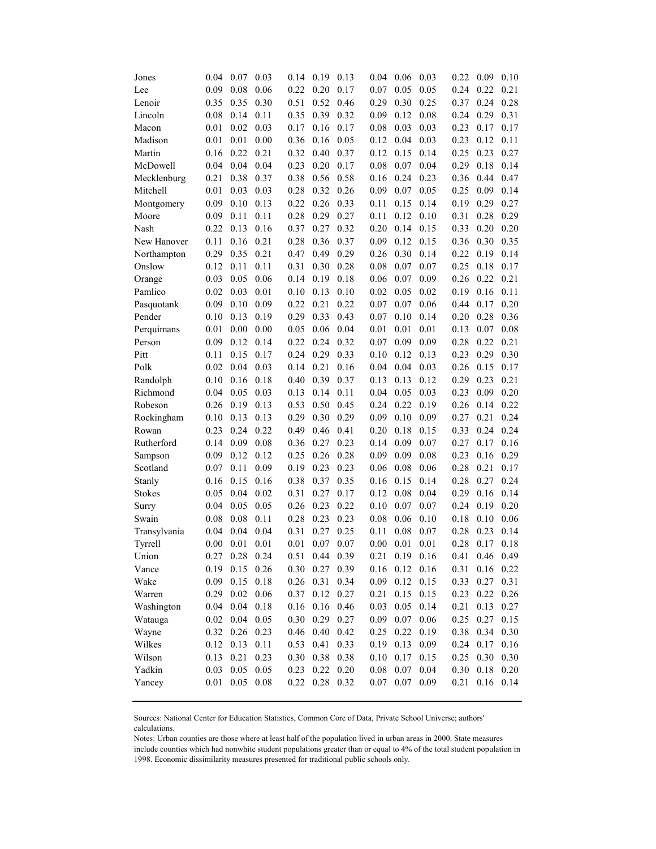| Jones         | 0.04 | 0.07             | 0.03     | 0.14 | 0.19        | 0.13 | 0.04     | 0.06        | 0.03     | 0.22 | 0.09      | 0.10 |
|---------------|------|------------------|----------|------|-------------|------|----------|-------------|----------|------|-----------|------|
| Lee           | 0.09 | 0.08             | 0.06     | 0.22 | 0.20        | 0.17 | 0.07     | 0.05        | 0.05     | 0.24 | 0.22      | 0.21 |
| Lenoir        | 0.35 | 0.35             | 0.30     | 0.51 | 0.52        | 0.46 | 0.29     | 0.30        | 0.25     | 0.37 | 0.24      | 0.28 |
| Lincoln       | 0.08 | 0.14             | 0.11     | 0.35 | 0.39        | 0.32 | 0.09     | 0.12        | 0.08     | 0.24 | 0.29      | 0.31 |
| Macon         | 0.01 | 0.02             | 0.03     | 0.17 | 0.16        | 0.17 | 0.08     | 0.03        | 0.03     | 0.23 | 0.17      | 0.17 |
| Madison       | 0.01 | 0.01             | 0.00     | 0.36 | 0.16        | 0.05 | 0.12     | 0.04        | 0.03     | 0.23 | 0.12      | 0.11 |
| Martin        | 0.16 | 0.22             | 0.21     | 0.32 | 0.40        | 0.37 | 0.12     | 0.15        | 0.14     | 0.25 | 0.23      | 0.27 |
| McDowell      | 0.04 | 0.04             | 0.04     | 0.23 | 0.20        | 0.17 | 0.08     | 0.07        | 0.04     | 0.29 | 0.18      | 0.14 |
| Mecklenburg   | 0.21 | 0.38             | 0.37     | 0.38 | 0.56        | 0.58 | 0.16     | 0.24        | 0.23     | 0.36 | 0.44      | 0.47 |
| Mitchell      | 0.01 | 0.03             | 0.03     | 0.28 | 0.32        | 0.26 | 0.09     | 0.07        | 0.05     | 0.25 | 0.09      | 0.14 |
| Montgomery    | 0.09 | 0.10             | 0.13     | 0.22 | 0.26        | 0.33 | 0.11     | 0.15        | 0.14     | 0.19 | 0.29      | 0.27 |
| Moore         | 0.09 | 0.11             | 0.11     | 0.28 | 0.29        | 0.27 | 0.11     | 0.12        | 0.10     | 0.31 | 0.28      | 0.29 |
| Nash          | 0.22 | 0.13             | 0.16     | 0.37 | 0.27        | 0.32 | 0.20     | 0.14        | 0.15     | 0.33 | 0.20      | 0.20 |
| New Hanover   | 0.11 | 0.16             | 0.21     | 0.28 | 0.36        | 0.37 | 0.09     | 0.12        | 0.15     | 0.36 | 0.30      | 0.35 |
| Northampton   | 0.29 | 0.35             | 0.21     | 0.47 | 0.49        | 0.29 | 0.26     | 0.30        | 0.14     | 0.22 | 0.19      | 0.14 |
| Onslow        | 0.12 | 0.11             | 0.11     | 0.31 | 0.30        | 0.28 | 0.08     | 0.07        | 0.07     | 0.25 | 0.18      | 0.17 |
| Orange        | 0.03 | 0.05             | 0.06     | 0.14 | 0.19        | 0.18 | 0.06     | 0.07        | 0.09     | 0.26 | 0.22      | 0.21 |
| Pamlico       | 0.02 | 0.03             | 0.01     | 0.10 | 0.13        | 0.10 | 0.02     | 0.05        | 0.02     | 0.19 | 0.16      | 0.11 |
| Pasquotank    | 0.09 | 0.10             | 0.09     | 0.22 | 0.21        | 0.22 | 0.07     | 0.07        | 0.06     | 0.44 | 0.17      | 0.20 |
| Pender        | 0.10 | 0.13             | 0.19     | 0.29 | 0.33        | 0.43 | 0.07     | 0.10        | 0.14     | 0.20 | 0.28      | 0.36 |
| Perquimans    | 0.01 | 0.00             | 0.00     | 0.05 | 0.06        | 0.04 | 0.01     | 0.01        | 0.01     | 0.13 | 0.07      | 0.08 |
| Person        | 0.09 | 0.12             | 0.14     | 0.22 | 0.24        | 0.32 | 0.07     | 0.09        | 0.09     | 0.28 | 0.22      | 0.21 |
| Pitt          | 0.11 | 0.15             | 0.17     | 0.24 | 0.29        | 0.33 | 0.10     | 0.12        | 0.13     | 0.23 | 0.29      | 0.30 |
| Polk          | 0.02 | 0.04             | 0.03     | 0.14 | 0.21        | 0.16 | 0.04     | 0.04        | 0.03     | 0.26 | 0.15      | 0.17 |
| Randolph      | 0.10 | 0.16             | 0.18     | 0.40 | 0.39        | 0.37 | 0.13     | 0.13        | 0.12     | 0.29 | 0.23      | 0.21 |
| Richmond      | 0.04 | 0.05             | 0.03     | 0.13 | 0.14        | 0.11 | 0.04     | 0.05        | 0.03     | 0.23 | 0.09      | 0.20 |
| Robeson       | 0.26 | 0.19             | 0.13     | 0.53 | 0.50        | 0.45 | 0.24     | 0.22        | 0.19     | 0.26 | 0.14      | 0.22 |
| Rockingham    | 0.10 | 0.13             | 0.13     | 0.29 | 0.30        | 0.29 | 0.09     | 0.10        | 0.09     | 0.27 | 0.21      | 0.24 |
| Rowan         | 0.23 | 0.24             | 0.22     | 0.49 | 0.46        | 0.41 | 0.20     | 0.18        | 0.15     | 0.33 | 0.24      | 0.24 |
| Rutherford    | 0.14 | 0.09             | 0.08     | 0.36 | 0.27        | 0.23 | 0.14     | 0.09        | 0.07     | 0.27 | 0.17      | 0.16 |
| Sampson       | 0.09 | 0.12             | 0.12     | 0.25 | 0.26        | 0.28 | 0.09     | 0.09        | 0.08     | 0.23 | 0.16      | 0.29 |
| Scotland      | 0.07 | 0.11             | 0.09     | 0.19 | 0.23        | 0.23 | 0.06     | 0.08        | 0.06     | 0.28 | 0.21      | 0.17 |
| Stanly        | 0.16 | 0.15             | 0.16     | 0.38 | 0.37        | 0.35 | 0.16     | 0.15        | 0.14     | 0.28 | 0.27      | 0.24 |
| <b>Stokes</b> | 0.05 | 0.04             | 0.02     | 0.31 | 0.27        | 0.17 | 0.12     | 0.08        | 0.04     | 0.29 | 0.16      | 0.14 |
| Surry         | 0.04 | 0.05             | 0.05     | 0.26 | 0.23        | 0.22 | 0.10     | 0.07        | 0.07     | 0.24 | 0.19      | 0.20 |
| Swain         | 0.08 | 0.08             | 0.11     | 0.28 | 0.23        | 0.23 | 0.08     | 0.06        | 0.10     | 0.18 | 0.10      | 0.06 |
| Transylvania  | 0.04 | 0.04             | 0.04     | 0.31 | 0.27        | 0.25 | 0.11     | 0.08        | 0.07     | 0.28 | 0.23      | 0.14 |
| Tyrrell       | 0.00 | 0.01             | 0.01     | 0.01 | 0.07        | 0.07 | 0.00     | 0.01        | 0.01     | 0.28 | 0.17      | 0.18 |
| Union         |      | $0.27$ 0.28 0.24 |          | 0.51 | 0.44        | 0.39 | 0.21     | $0.19$ 0.16 |          | 0.41 | 0.46 0.49 |      |
| Vance         | 0.19 | $0.15$ 0.26      |          | 0.30 | 0.27        | 0.39 | 0.16     | 0.12        | 0.16     | 0.31 | 0.16      | 0.22 |
| Wake          | 0.09 | 0.15             | 0.18     | 0.26 | 0.31        | 0.34 | 0.09     | 0.12        | 0.15     | 0.33 | 0.27      | 0.31 |
| Warren        | 0.29 | 0.02             | 0.06     | 0.37 | 0.12        | 0.27 | 0.21     | 0.15        | 0.15     | 0.23 | 0.22      | 0.26 |
| Washington    | 0.04 | 0.04             | 0.18     | 0.16 | 0.16        | 0.46 | 0.03     | 0.05        | 0.14     | 0.21 | 0.13      | 0.27 |
| Watauga       | 0.02 | 0.04             | 0.05     | 0.30 | 0.29        | 0.27 | 0.09     | $0.07\,$    | $0.06\,$ | 0.25 | 0.27      | 0.15 |
| Wayne         | 0.32 | 0.26             | 0.23     |      | $0.46$ 0.40 | 0.42 | 0.25     | 0.22        | 0.19     | 0.38 | 0.34      | 0.30 |
| Wilkes        | 0.12 | 0.13             | 0.11     | 0.53 | 0.41        | 0.33 | 0.19     | 0.13        | $0.09\,$ | 0.24 | 0.17      | 0.16 |
| Wilson        | 0.13 | 0.21             | 0.23     | 0.30 | 0.38        | 0.38 | 0.10     | 0.17        | 0.15     | 0.25 | 0.30      | 0.30 |
| Yadkin        | 0.03 | 0.05             | $0.05\,$ | 0.23 | 0.22        | 0.20 | $0.08\,$ | 0.07        | 0.04     | 0.30 | 0.18      | 0.20 |
| Yancey        | 0.01 | 0.05             | $0.08\,$ | 0.22 | 0.28        | 0.32 | 0.07     | 0.07        | 0.09     | 0.21 | 0.16      | 0.14 |
|               |      |                  |          |      |             |      |          |             |          |      |           |      |

Sources: National Center for Education Statistics, Common Core of Data, Private School Universe; authors' calculations.

Notes: Urban counties are those where at least half of the population lived in urban areas in 2000. State measures include counties which had nonwhite student populations greater than or equal to 4% of the total student population in 1998. Economic dissimilarity measures presented for traditional public schools only.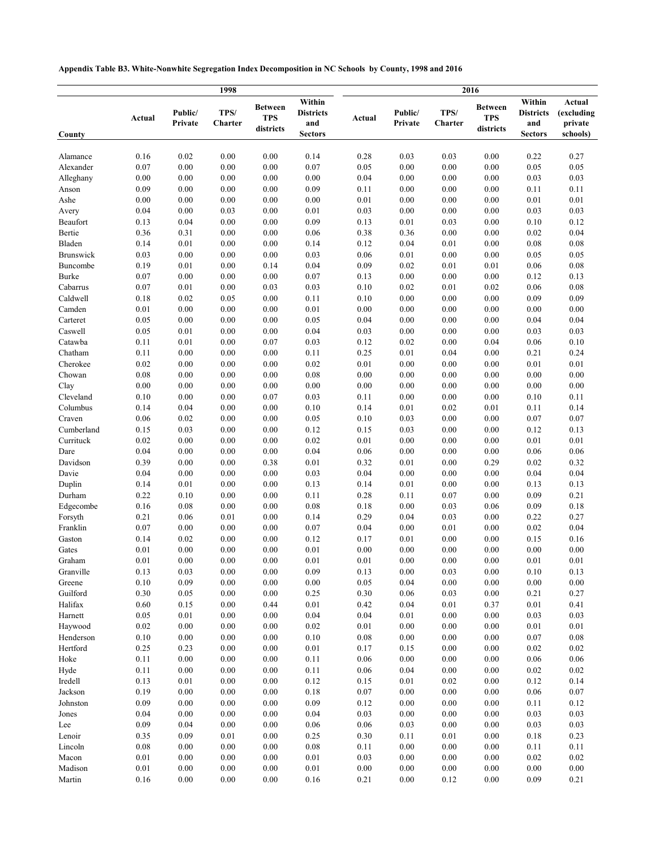**Appendix Table B3. White-Nonwhite Segregation Index Decomposition in NC Schools by County, 1998 and 2016**

|                         | 1998         |                    |                 |                                           | 2016                                                |              |                    |                 |                                           |                                                     |                                             |  |  |
|-------------------------|--------------|--------------------|-----------------|-------------------------------------------|-----------------------------------------------------|--------------|--------------------|-----------------|-------------------------------------------|-----------------------------------------------------|---------------------------------------------|--|--|
| County                  | Actual       | Public/<br>Private | TPS/<br>Charter | <b>Between</b><br><b>TPS</b><br>districts | Within<br><b>Districts</b><br>and<br><b>Sectors</b> | Actual       | Public/<br>Private | TPS/<br>Charter | <b>Between</b><br><b>TPS</b><br>districts | Within<br><b>Districts</b><br>and<br><b>Sectors</b> | Actual<br>(excluding<br>private<br>schools) |  |  |
|                         |              |                    |                 |                                           |                                                     |              |                    |                 |                                           |                                                     |                                             |  |  |
| Alamance                | 0.16         | 0.02               | 0.00            | 0.00                                      | 0.14                                                | 0.28         | 0.03               | 0.03            | 0.00                                      | 0.22                                                | 0.27                                        |  |  |
| Alexander               | 0.07         | $0.00\,$           | 0.00            | 0.00                                      | 0.07                                                | 0.05         | 0.00               | 0.00            | 0.00                                      | 0.05                                                | 0.05                                        |  |  |
| Alleghany               | 0.00         | 0.00               | 0.00            | 0.00                                      | 0.00                                                | 0.04         | 0.00               | 0.00            | 0.00                                      | 0.03                                                | 0.03                                        |  |  |
| Anson                   | 0.09         | 0.00               | 0.00            | 0.00                                      | 0.09                                                | 0.11         | 0.00               | 0.00            | 0.00                                      | 0.11                                                | 0.11                                        |  |  |
| Ashe                    | 0.00         | 0.00               | 0.00            | 0.00                                      | 0.00                                                | 0.01         | 0.00               | 0.00            | 0.00                                      | 0.01                                                | 0.01                                        |  |  |
| Avery<br>Beaufort       | 0.04<br>0.13 | 0.00<br>0.04       | 0.03<br>0.00    | 0.00<br>0.00                              | 0.01<br>0.09                                        | 0.03<br>0.13 | 0.00<br>0.01       | 0.00<br>0.03    | 0.00<br>0.00                              | 0.03<br>0.10                                        | 0.03<br>0.12                                |  |  |
| Bertie                  | 0.36         | 0.31               | 0.00            | 0.00                                      | 0.06                                                | 0.38         | 0.36               | 0.00            | 0.00                                      | 0.02                                                | 0.04                                        |  |  |
| Bladen                  | 0.14         | 0.01               | 0.00            | 0.00                                      | 0.14                                                | 0.12         | 0.04               | 0.01            | 0.00                                      | $0.08\,$                                            | $\rm 0.08$                                  |  |  |
| Brunswick               | 0.03         | 0.00               | 0.00            | 0.00                                      | 0.03                                                | 0.06         | 0.01               | 0.00            | 0.00                                      | 0.05                                                | 0.05                                        |  |  |
| Buncombe                | 0.19         | 0.01               | 0.00            | 0.14                                      | 0.04                                                | 0.09         | 0.02               | 0.01            | 0.01                                      | 0.06                                                | 0.08                                        |  |  |
| Burke                   | 0.07         | 0.00               | 0.00            | 0.00                                      | 0.07                                                | 0.13         | 0.00               | 0.00            | 0.00                                      | 0.12                                                | 0.13                                        |  |  |
| Cabarrus                | 0.07         | 0.01               | 0.00            | 0.03                                      | 0.03                                                | 0.10         | 0.02               | 0.01            | 0.02                                      | 0.06                                                | 0.08                                        |  |  |
| Caldwell                | 0.18         | 0.02               | 0.05            | 0.00                                      | 0.11                                                | 0.10         | 0.00               | 0.00            | 0.00                                      | 0.09                                                | 0.09                                        |  |  |
| Camden                  | 0.01         | 0.00               | 0.00            | 0.00                                      | 0.01                                                | 0.00         | 0.00               | 0.00            | 0.00                                      | 0.00                                                | 0.00                                        |  |  |
| Carteret                | 0.05         | 0.00               | 0.00            | 0.00                                      | 0.05                                                | 0.04         | 0.00               | 0.00            | 0.00                                      | 0.04                                                | 0.04                                        |  |  |
| Caswell                 | 0.05         | 0.01               | 0.00            | 0.00                                      | 0.04                                                | 0.03         | 0.00               | 0.00            | 0.00                                      | 0.03                                                | 0.03                                        |  |  |
| Catawba                 | 0.11         | 0.01               | 0.00            | 0.07                                      | 0.03                                                | 0.12         | 0.02               | 0.00            | 0.04                                      | 0.06                                                | 0.10                                        |  |  |
| Chatham                 | 0.11         | 0.00               | 0.00            | 0.00                                      | 0.11                                                | 0.25         | 0.01               | 0.04            | 0.00                                      | 0.21                                                | 0.24                                        |  |  |
| Cherokee                | 0.02         | 0.00               | 0.00            | 0.00                                      | 0.02                                                | 0.01         | 0.00               | 0.00            | 0.00                                      | 0.01                                                | 0.01                                        |  |  |
| Chowan                  | 0.08         | 0.00               | 0.00            | 0.00                                      | 0.08                                                | 0.00         | 0.00               | 0.00            | 0.00                                      | 0.00                                                | 0.00                                        |  |  |
| Clay                    | 0.00         | $0.00\,$           | 0.00            | 0.00                                      | 0.00                                                | 0.00         | 0.00               | 0.00            | 0.00                                      | $0.00\,$                                            | $0.00\,$                                    |  |  |
| Cleveland               | 0.10         | 0.00               | 0.00            | 0.07                                      | 0.03                                                | 0.11         | 0.00               | 0.00            | 0.00                                      | 0.10                                                | 0.11                                        |  |  |
| Columbus                | 0.14         | 0.04               | 0.00            | 0.00                                      | 0.10                                                | 0.14         | 0.01               | 0.02            | 0.01                                      | 0.11                                                | 0.14                                        |  |  |
| Craven                  | 0.06         | 0.02               | 0.00            | 0.00                                      | 0.05                                                | 0.10         | 0.03               | 0.00            | 0.00                                      | 0.07                                                | 0.07                                        |  |  |
| Cumberland<br>Currituck | 0.15         | 0.03               | 0.00            | 0.00                                      | 0.12                                                | 0.15         | 0.03               | 0.00            | 0.00                                      | 0.12                                                | 0.13                                        |  |  |
| Dare                    | 0.02<br>0.04 | 0.00<br>0.00       | 0.00<br>0.00    | 0.00<br>0.00                              | 0.02<br>0.04                                        | 0.01<br>0.06 | 0.00<br>0.00       | 0.00<br>0.00    | 0.00<br>0.00                              | 0.01<br>0.06                                        | $0.01\,$<br>0.06                            |  |  |
| Davidson                | 0.39         | 0.00               | 0.00            | 0.38                                      | 0.01                                                | 0.32         | 0.01               | 0.00            | 0.29                                      | 0.02                                                | 0.32                                        |  |  |
| Davie                   | 0.04         | 0.00               | 0.00            | 0.00                                      | 0.03                                                | 0.04         | 0.00               | 0.00            | 0.00                                      | 0.04                                                | 0.04                                        |  |  |
| Duplin                  | 0.14         | 0.01               | 0.00            | 0.00                                      | 0.13                                                | 0.14         | 0.01               | 0.00            | 0.00                                      | 0.13                                                | 0.13                                        |  |  |
| Durham                  | 0.22         | 0.10               | 0.00            | 0.00                                      | 0.11                                                | 0.28         | 0.11               | 0.07            | 0.00                                      | 0.09                                                | 0.21                                        |  |  |
| Edgecombe               | 0.16         | 0.08               | 0.00            | 0.00                                      | 0.08                                                | 0.18         | 0.00               | 0.03            | 0.06                                      | 0.09                                                | 0.18                                        |  |  |
| Forsyth                 | 0.21         | 0.06               | 0.01            | 0.00                                      | 0.14                                                | 0.29         | 0.04               | 0.03            | 0.00                                      | 0.22                                                | 0.27                                        |  |  |
| Franklin                | 0.07         | 0.00               | 0.00            | 0.00                                      | 0.07                                                | 0.04         | 0.00               | 0.01            | 0.00                                      | 0.02                                                | 0.04                                        |  |  |
| Gaston                  | 0.14         | 0.02               | 0.00            | 0.00                                      | 0.12                                                | 0.17         | 0.01               | 0.00            | 0.00                                      | 0.15                                                | 0.16                                        |  |  |
| Gates                   | 0.01         | 0.00               | 0.00            | 0.00                                      | 0.01                                                | 0.00         | 0.00               | 0.00            | 0.00                                      | $0.00\,$                                            | $0.00\,$                                    |  |  |
| Graham                  | 0.01         | 0.00               | 0.00            | 0.00                                      | 0.01                                                | 0.01         | 0.00               | 0.00            | 0.00                                      | 0.01                                                | 0.01                                        |  |  |
| Granville               | 0.13         | 0.03               | 0.00            | 0.00                                      | 0.09                                                | 0.13         | 0.00               | 0.03            | 0.00                                      | 0.10                                                | 0.13                                        |  |  |
| Greene                  | 0.10         | 0.09               | 0.00            | 0.00                                      | 0.00                                                | 0.05         | 0.04               | 0.00            | $0.00\,$                                  | 0.00                                                | $0.00\,$                                    |  |  |
| Guilford                | 0.30         | 0.05               | 0.00            | 0.00                                      | 0.25                                                | 0.30         | 0.06               | 0.03            | 0.00                                      | 0.21                                                | 0.27                                        |  |  |
| Halifax                 | 0.60         | 0.15               | 0.00            | 0.44                                      | $0.01\,$                                            | 0.42         | 0.04               | 0.01            | 0.37                                      | 0.01                                                | 0.41                                        |  |  |
| Harnett                 | 0.05         | 0.01               | 0.00            | 0.00                                      | 0.04                                                | 0.04         | 0.01               | 0.00            | 0.00                                      | 0.03                                                | 0.03                                        |  |  |
| Haywood                 | 0.02         | $0.00\,$           | 0.00            | 0.00                                      | 0.02                                                | 0.01         | 0.00               | 0.00            | 0.00                                      | 0.01                                                | 0.01                                        |  |  |
| Henderson               | 0.10         | $0.00\,$           | 0.00            | 0.00                                      | 0.10                                                | 0.08         | 0.00               | 0.00            | 0.00                                      | 0.07                                                | 0.08                                        |  |  |
| Hertford                | 0.25         | 0.23               | 0.00            | 0.00                                      | $0.01\,$                                            | 0.17         | 0.15               | 0.00            | 0.00                                      | 0.02                                                | 0.02                                        |  |  |
| Hoke                    | 0.11         | 0.00               | 0.00            | 0.00                                      | 0.11                                                | 0.06         | 0.00               | 0.00            | 0.00                                      | 0.06                                                | $0.06\,$                                    |  |  |
| Hyde                    | 0.11         | 0.00               | 0.00            | 0.00                                      | 0.11                                                | 0.06         | 0.04               | 0.00            | 0.00                                      | 0.02                                                | 0.02                                        |  |  |
| Iredell<br>Jackson      | 0.13<br>0.19 | 0.01<br>$0.00\,$   | 0.00<br>0.00    | 0.00<br>0.00                              | 0.12<br>0.18                                        | 0.15<br>0.07 | 0.01<br>0.00       | 0.02<br>0.00    | 0.00<br>0.00                              | 0.12<br>0.06                                        | 0.14<br>0.07                                |  |  |
| Johnston                | 0.09         | $0.00\,$           | 0.00            | 0.00                                      | 0.09                                                | 0.12         | 0.00               | $0.00\,$        | 0.00                                      | 0.11                                                | 0.12                                        |  |  |
| Jones                   | 0.04         | $0.00\,$           | 0.00            | 0.00                                      | 0.04                                                | 0.03         | 0.00               | 0.00            | 0.00                                      | 0.03                                                | 0.03                                        |  |  |
| Lee                     | 0.09         | 0.04               | 0.00            | 0.00                                      | 0.06                                                | 0.06         | 0.03               | 0.00            | 0.00                                      | 0.03                                                | 0.03                                        |  |  |
| Lenoir                  | 0.35         | 0.09               | 0.01            | 0.00                                      | 0.25                                                | 0.30         | 0.11               | 0.01            | 0.00                                      | 0.18                                                | 0.23                                        |  |  |
| Lincoln                 | 0.08         | 0.00               | 0.00            | 0.00                                      | 0.08                                                | 0.11         | 0.00               | 0.00            | 0.00                                      | 0.11                                                | 0.11                                        |  |  |
| Macon                   | 0.01         | $0.00\,$           | 0.00            | 0.00                                      | 0.01                                                | 0.03         | 0.00               | 0.00            | 0.00                                      | 0.02                                                | 0.02                                        |  |  |
| Madison                 | 0.01         | 0.00               | 0.00            | $0.00\,$                                  | 0.01                                                | 0.00         | 0.00               | 0.00            | 0.00                                      | 0.00                                                | $0.00\,$                                    |  |  |
| Martin                  | 0.16         | $0.00\,$           | 0.00            | 0.00                                      | 0.16                                                | 0.21         | $0.00\,$           | 0.12            | $0.00\,$                                  | 0.09                                                | 0.21                                        |  |  |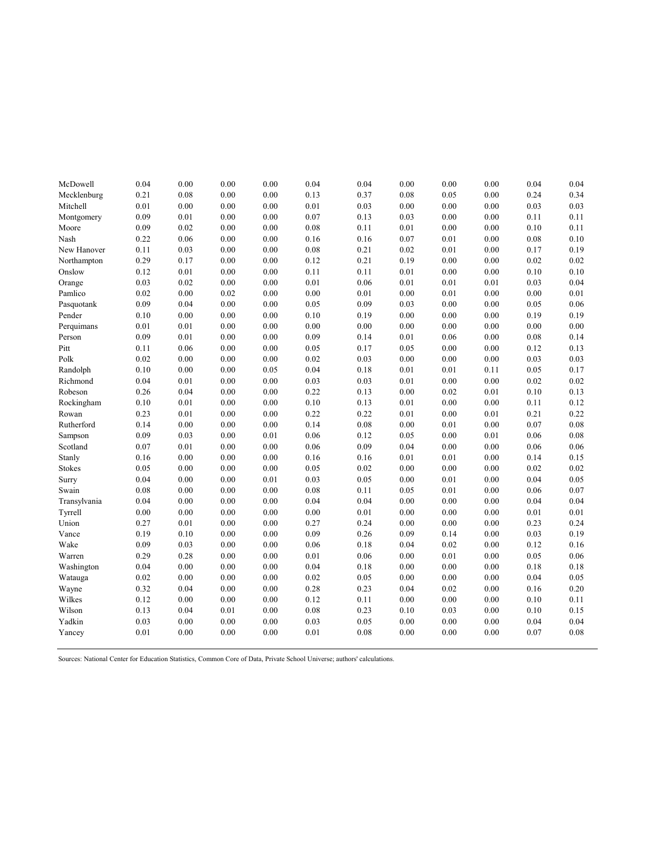| McDowell      | 0.04     | 0.00     | 0.00     | 0.00     | 0.04 | 0.04     | 0.00     | 0.00     | 0.00     | 0.04       | $0.04\,$ |
|---------------|----------|----------|----------|----------|------|----------|----------|----------|----------|------------|----------|
| Mecklenburg   | 0.21     | 0.08     | 0.00     | 0.00     | 0.13 | 0.37     | 0.08     | 0.05     | 0.00     | 0.24       | 0.34     |
| Mitchell      | 0.01     | 0.00     | $0.00\,$ | $0.00\,$ | 0.01 | 0.03     | 0.00     | 0.00     | 0.00     | 0.03       | 0.03     |
| Montgomery    | 0.09     | 0.01     | 0.00     | 0.00     | 0.07 | 0.13     | 0.03     | 0.00     | 0.00     | 0.11       | 0.11     |
| Moore         | 0.09     | 0.02     | 0.00     | 0.00     | 0.08 | 0.11     | 0.01     | 0.00     | 0.00     | 0.10       | 0.11     |
| Nash          | 0.22     | 0.06     | 0.00     | 0.00     | 0.16 | 0.16     | 0.07     | 0.01     | 0.00     | 0.08       | $0.10\,$ |
| New Hanover   | 0.11     | 0.03     | 0.00     | 0.00     | 0.08 | 0.21     | 0.02     | 0.01     | 0.00     | 0.17       | 0.19     |
| Northampton   | 0.29     | 0.17     | 0.00     | 0.00     | 0.12 | 0.21     | 0.19     | 0.00     | 0.00     | 0.02       | 0.02     |
| Onslow        | 0.12     | 0.01     | 0.00     | 0.00     | 0.11 | 0.11     | 0.01     | 0.00     | 0.00     | 0.10       | $0.10\,$ |
| Orange        | 0.03     | 0.02     | 0.00     | 0.00     | 0.01 | 0.06     | 0.01     | 0.01     | 0.01     | 0.03       | 0.04     |
| Pamlico       | 0.02     | 0.00     | 0.02     | 0.00     | 0.00 | 0.01     | 0.00     | 0.01     | 0.00     | 0.00       | 0.01     |
| Pasquotank    | 0.09     | 0.04     | 0.00     | $0.00\,$ | 0.05 | 0.09     | 0.03     | $0.00\,$ | $0.00\,$ | 0.05       | 0.06     |
| Pender        | $0.10\,$ | 0.00     | 0.00     | $0.00\,$ | 0.10 | 0.19     | $0.00\,$ | $0.00\,$ | $0.00\,$ | 0.19       | 0.19     |
| Perquimans    | 0.01     | 0.01     | 0.00     | 0.00     | 0.00 | $0.00\,$ | 0.00     | $0.00\,$ | $0.00\,$ | $0.00\,$   | 0.00     |
| Person        | 0.09     | $0.01\,$ | $0.00\,$ | $0.00\,$ | 0.09 | 0.14     | $0.01\,$ | 0.06     | $0.00\,$ | $\rm 0.08$ | 0.14     |
| Pitt          | 0.11     | 0.06     | 0.00     | 0.00     | 0.05 | 0.17     | 0.05     | 0.00     | 0.00     | 0.12       | 0.13     |
| Polk          | 0.02     | 0.00     | 0.00     | 0.00     | 0.02 | 0.03     | 0.00     | 0.00     | 0.00     | 0.03       | 0.03     |
| Randolph      | 0.10     | 0.00     | 0.00     | 0.05     | 0.04 | 0.18     | 0.01     | 0.01     | 0.11     | 0.05       | 0.17     |
| Richmond      | 0.04     | 0.01     | 0.00     | 0.00     | 0.03 | 0.03     | 0.01     | 0.00     | 0.00     | 0.02       | 0.02     |
| Robeson       | 0.26     | 0.04     | 0.00     | 0.00     | 0.22 | 0.13     | 0.00     | 0.02     | 0.01     | 0.10       | 0.13     |
| Rockingham    | 0.10     | 0.01     | 0.00     | 0.00     | 0.10 | 0.13     | 0.01     | 0.00     | 0.00     | 0.11       | 0.12     |
| Rowan         | 0.23     | 0.01     | 0.00     | 0.00     | 0.22 | 0.22     | 0.01     | 0.00     | 0.01     | 0.21       | 0.22     |
| Rutherford    | 0.14     | 0.00     | 0.00     | 0.00     | 0.14 | 0.08     | 0.00     | 0.01     | 0.00     | 0.07       | 0.08     |
| Sampson       | 0.09     | 0.03     | 0.00     | 0.01     | 0.06 | 0.12     | 0.05     | 0.00     | $0.01\,$ | $0.06\,$   | $0.08\,$ |
| Scotland      | 0.07     | 0.01     | 0.00     | 0.00     | 0.06 | 0.09     | 0.04     | $0.00\,$ | 0.00     | 0.06       | 0.06     |
| Stanly        | 0.16     | 0.00     | 0.00     | 0.00     | 0.16 | 0.16     | 0.01     | $0.01\,$ | $0.00\,$ | 0.14       | 0.15     |
| <b>Stokes</b> | 0.05     | 0.00     | 0.00     | 0.00     | 0.05 | 0.02     | 0.00     | 0.00     | 0.00     | 0.02       | 0.02     |
| Surry         | 0.04     | 0.00     | 0.00     | 0.01     | 0.03 | 0.05     | 0.00     | 0.01     | 0.00     | 0.04       | 0.05     |
| Swain         | 0.08     | 0.00     | 0.00     | 0.00     | 0.08 | 0.11     | 0.05     | 0.01     | 0.00     | 0.06       | 0.07     |
| Transylvania  | 0.04     | 0.00     | 0.00     | 0.00     | 0.04 | 0.04     | 0.00     | 0.00     | 0.00     | 0.04       | 0.04     |
| Tyrrell       | 0.00     | 0.00     | 0.00     | 0.00     | 0.00 | 0.01     | 0.00     | 0.00     | 0.00     | 0.01       | 0.01     |
| Union         | 0.27     | 0.01     | 0.00     | 0.00     | 0.27 | 0.24     | 0.00     | 0.00     | 0.00     | 0.23       | 0.24     |
| Vance         | 0.19     | 0.10     | 0.00     | 0.00     | 0.09 | 0.26     | 0.09     | 0.14     | 0.00     | 0.03       | 0.19     |
| Wake          | 0.09     | 0.03     | 0.00     | 0.00     | 0.06 | 0.18     | 0.04     | 0.02     | 0.00     | 0.12       | 0.16     |
| Warren        | 0.29     | 0.28     | 0.00     | 0.00     | 0.01 | 0.06     | 0.00     | 0.01     | 0.00     | 0.05       | 0.06     |
| Washington    | 0.04     | $0.00\,$ | $0.00\,$ | $0.00\,$ | 0.04 | 0.18     | $0.00\,$ | $0.00\,$ | $0.00\,$ | 0.18       | $0.18\,$ |
| Watauga       | 0.02     | 0.00     | 0.00     | 0.00     | 0.02 | 0.05     | 0.00     | $0.00\,$ | 0.00     | 0.04       | 0.05     |
| Wayne         | 0.32     | 0.04     | $0.00\,$ | $0.00\,$ | 0.28 | 0.23     | 0.04     | 0.02     | $0.00\,$ | $0.16\,$   | 0.20     |
| Wilkes        | 0.12     | 0.00     | 0.00     | 0.00     | 0.12 | 0.11     | 0.00     | 0.00     | 0.00     | $0.10\,$   | 0.11     |
| Wilson        | 0.13     | 0.04     | 0.01     | 0.00     | 0.08 | 0.23     | 0.10     | 0.03     | 0.00     | 0.10       | 0.15     |
| Yadkin        | 0.03     | 0.00     | 0.00     | 0.00     | 0.03 | 0.05     | 0.00     | 0.00     | 0.00     | 0.04       | 0.04     |
| Yancey        | 0.01     | 0.00     | 0.00     | 0.00     | 0.01 | 0.08     | 0.00     | 0.00     | 0.00     | 0.07       | 0.08     |
|               |          |          |          |          |      |          |          |          |          |            |          |

Sources: National Center for Education Statistics, Common Core of Data, Private School Universe; authors' calculations.